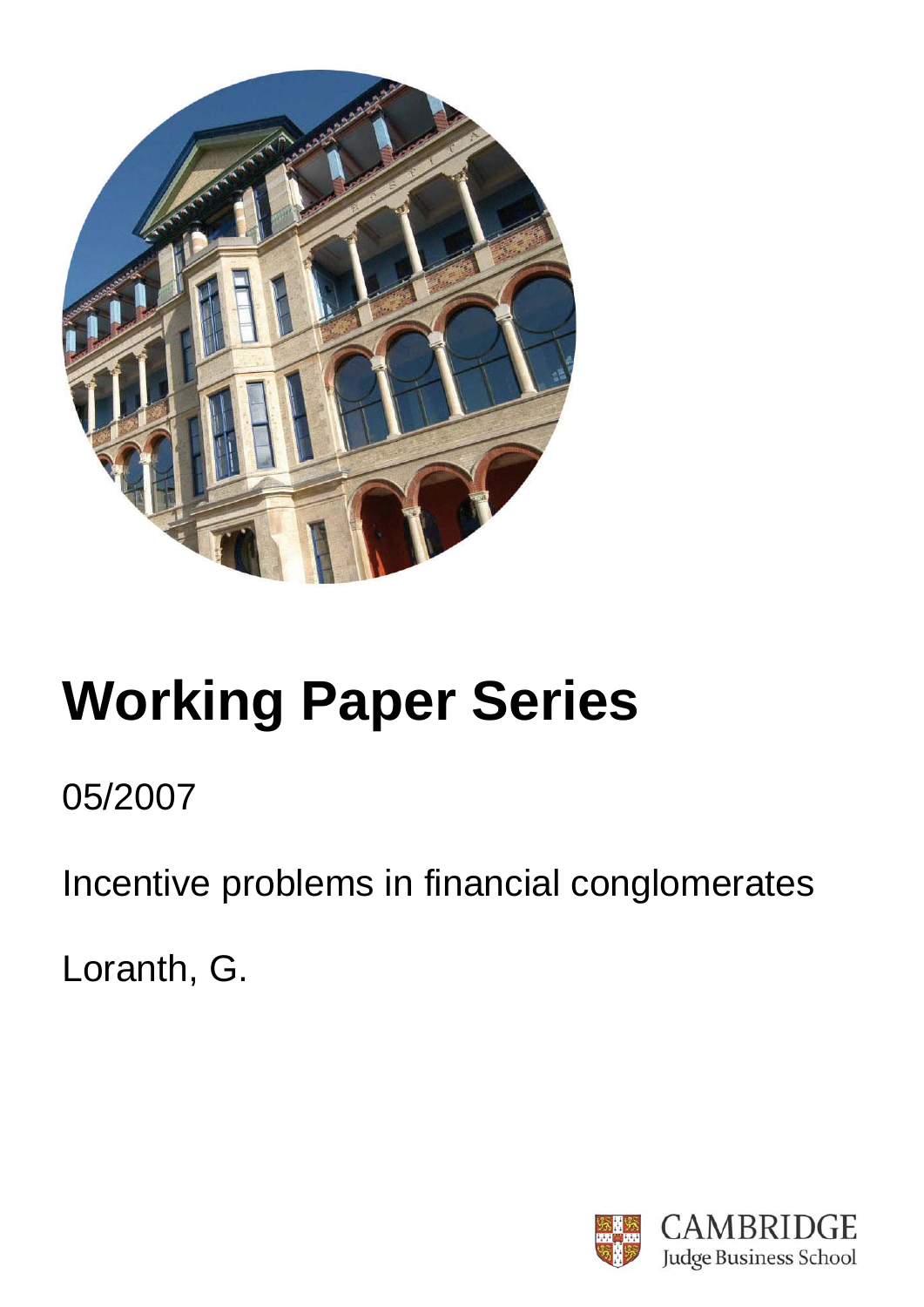

# **Working Paper Series**

# 05/2007

Incentive problems in financial conglomerates

Loranth, G.

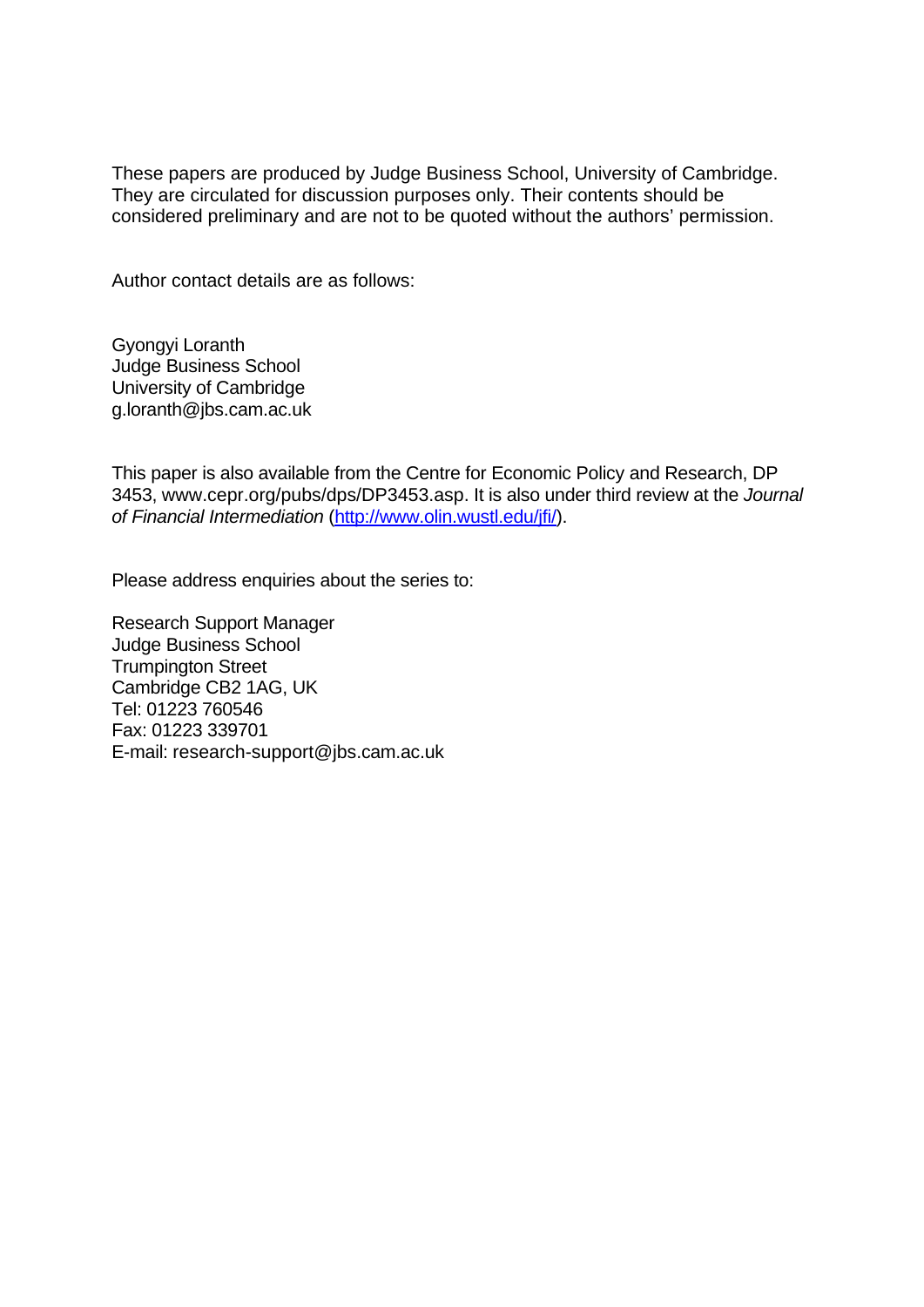These papers are produced by Judge Business School, University of Cambridge. They are circulated for discussion purposes only. Their contents should be considered preliminary and are not to be quoted without the authors' permission.

Author contact details are as follows:

Gyongyi Loranth Judge Business School University of Cambridge g.loranth@jbs.cam.ac.uk

This paper is also available from the Centre for Economic Policy and Research, DP 3453, www.cepr.org/pubs/dps/DP3453.asp. It is also under third review at the *Journal of Financial Intermediation* (http://www.olin.wustl.edu/jfi/).

Please address enquiries about the series to:

Research Support Manager Judge Business School Trumpington Street Cambridge CB2 1AG, UK Tel: 01223 760546 Fax: 01223 339701 E-mail: research-support@jbs.cam.ac.uk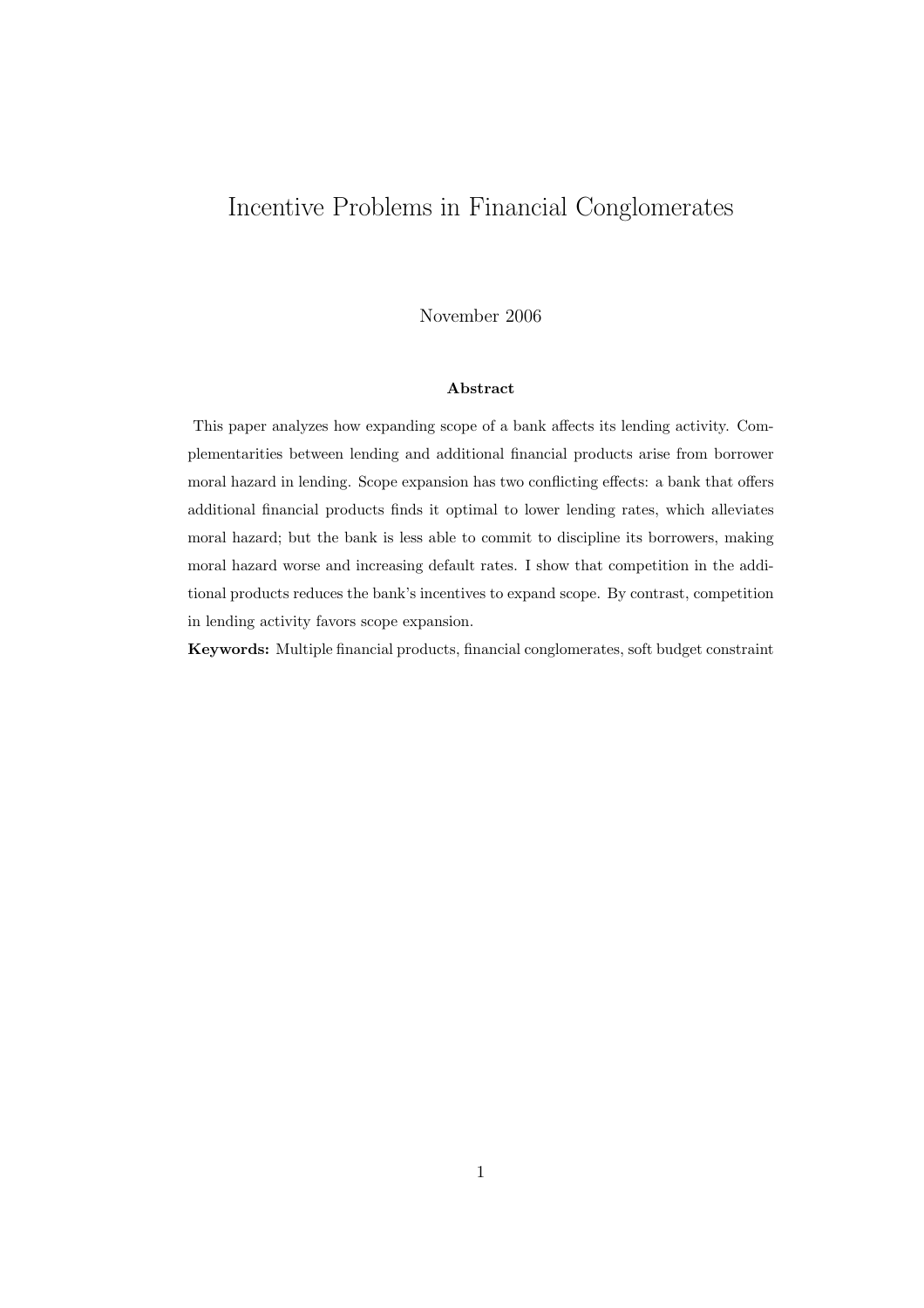### Incentive Problems in Financial Conglomerates

November 2006

#### Abstract

This paper analyzes how expanding scope of a bank affects its lending activity. Complementarities between lending and additional financial products arise from borrower moral hazard in lending. Scope expansion has two conflicting effects: a bank that offers additional financial products finds it optimal to lower lending rates, which alleviates moral hazard; but the bank is less able to commit to discipline its borrowers, making moral hazard worse and increasing default rates. I show that competition in the additional products reduces the bank's incentives to expand scope. By contrast, competition in lending activity favors scope expansion.

Keywords: Multiple financial products, financial conglomerates, soft budget constraint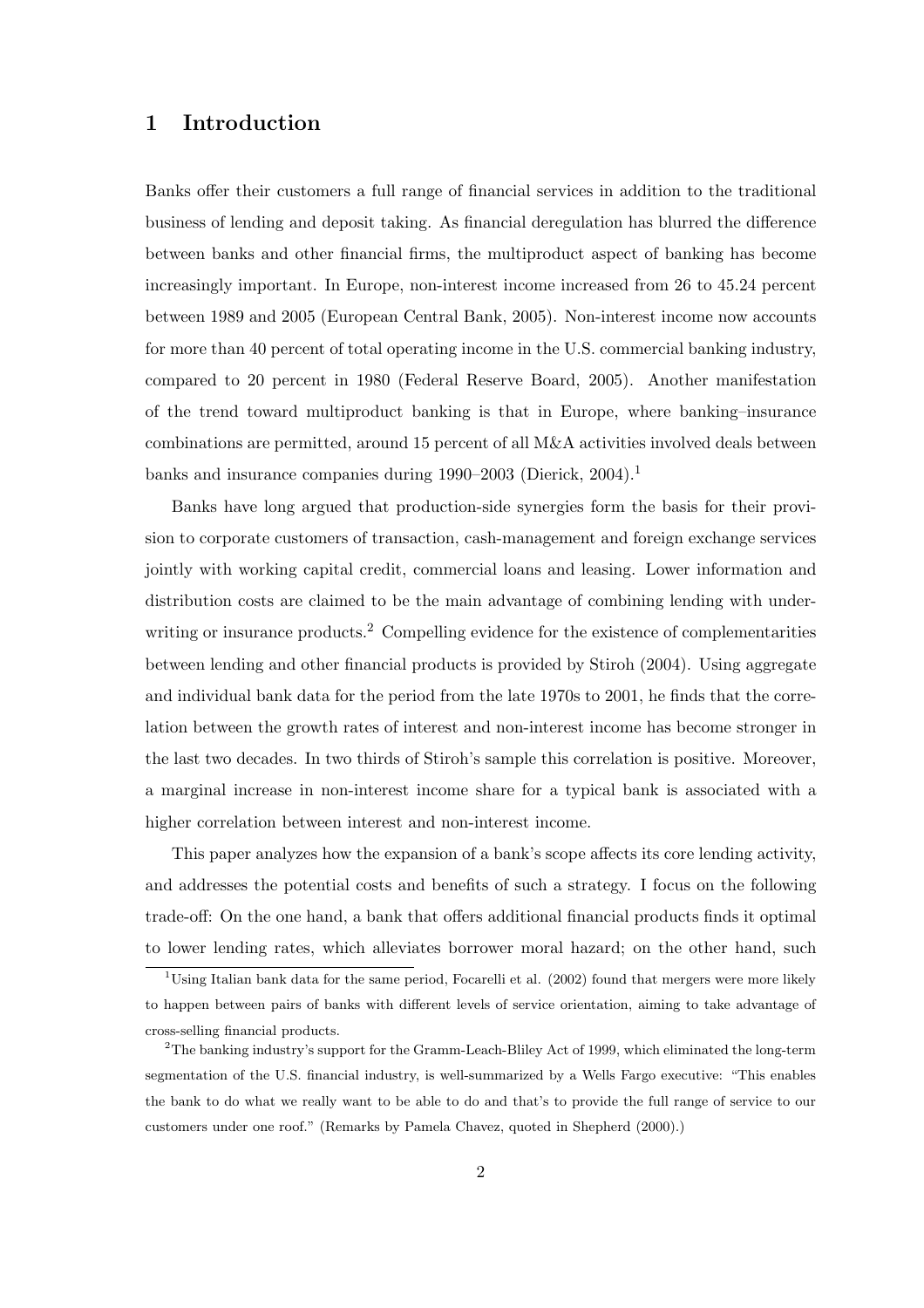#### 1 Introduction

Banks offer their customers a full range of financial services in addition to the traditional business of lending and deposit taking. As financial deregulation has blurred the difference between banks and other financial firms, the multiproduct aspect of banking has become increasingly important. In Europe, non-interest income increased from 26 to 45.24 percent between 1989 and 2005 (European Central Bank, 2005). Non-interest income now accounts for more than 40 percent of total operating income in the U.S. commercial banking industry, compared to 20 percent in 1980 (Federal Reserve Board, 2005). Another manifestation of the trend toward multiproduct banking is that in Europe, where banking–insurance combinations are permitted, around 15 percent of all M&A activities involved deals between banks and insurance companies during 1990–2003 (Dierick, 2004).<sup>1</sup>

Banks have long argued that production-side synergies form the basis for their provision to corporate customers of transaction, cash-management and foreign exchange services jointly with working capital credit, commercial loans and leasing. Lower information and distribution costs are claimed to be the main advantage of combining lending with underwriting or insurance products.<sup>2</sup> Compelling evidence for the existence of complementarities between lending and other financial products is provided by Stiroh (2004). Using aggregate and individual bank data for the period from the late 1970s to 2001, he finds that the correlation between the growth rates of interest and non-interest income has become stronger in the last two decades. In two thirds of Stiroh's sample this correlation is positive. Moreover, a marginal increase in non-interest income share for a typical bank is associated with a higher correlation between interest and non-interest income.

This paper analyzes how the expansion of a bank's scope affects its core lending activity, and addresses the potential costs and benefits of such a strategy. I focus on the following trade-off: On the one hand, a bank that offers additional financial products finds it optimal to lower lending rates, which alleviates borrower moral hazard; on the other hand, such

<sup>&</sup>lt;sup>1</sup>Using Italian bank data for the same period, Focarelli et al. (2002) found that mergers were more likely to happen between pairs of banks with different levels of service orientation, aiming to take advantage of cross-selling financial products.

<sup>2</sup>The banking industry's support for the Gramm-Leach-Bliley Act of 1999, which eliminated the long-term segmentation of the U.S. financial industry, is well-summarized by a Wells Fargo executive: "This enables the bank to do what we really want to be able to do and that's to provide the full range of service to our customers under one roof." (Remarks by Pamela Chavez, quoted in Shepherd (2000).)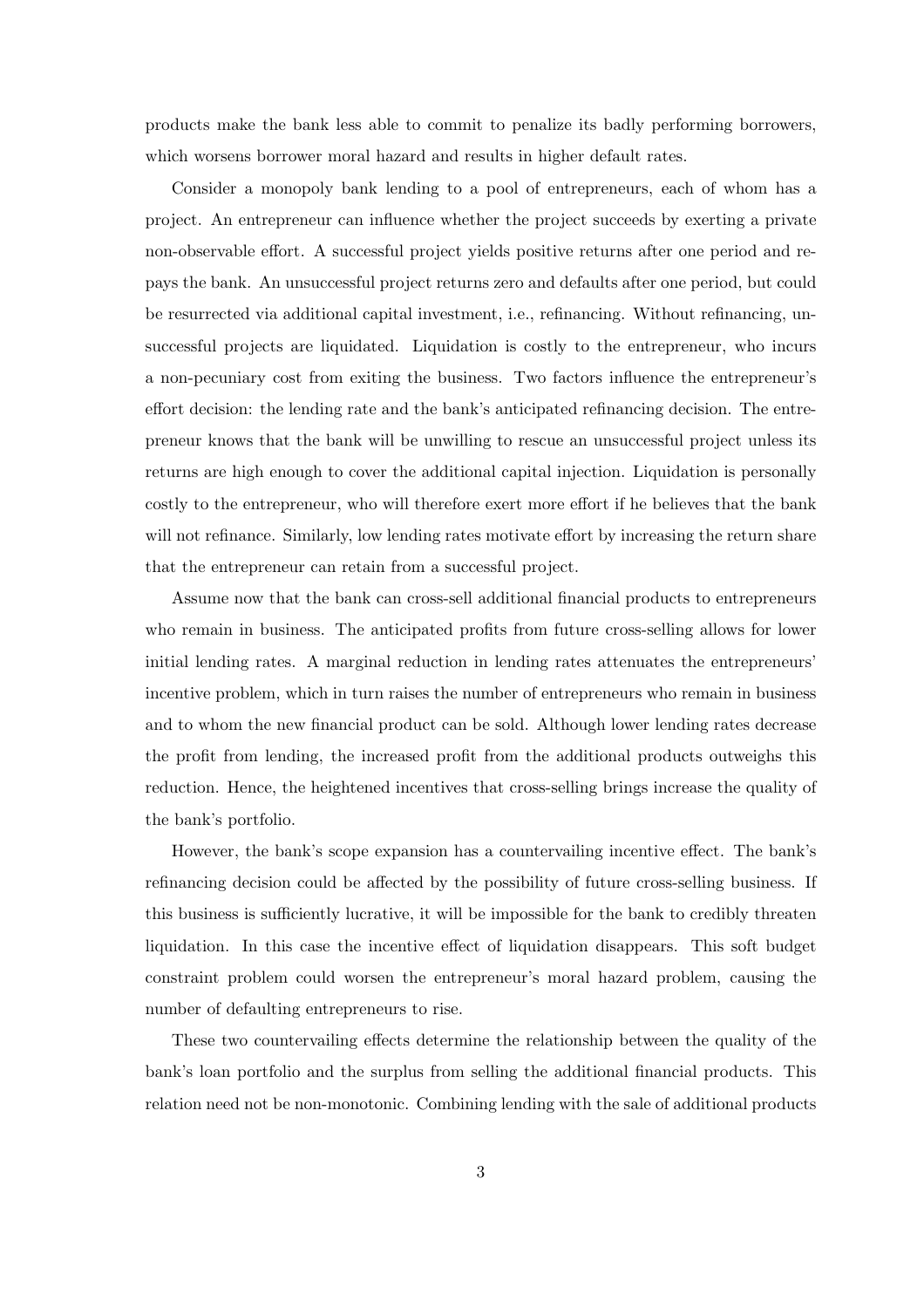products make the bank less able to commit to penalize its badly performing borrowers, which worsens borrower moral hazard and results in higher default rates.

Consider a monopoly bank lending to a pool of entrepreneurs, each of whom has a project. An entrepreneur can influence whether the project succeeds by exerting a private non-observable effort. A successful project yields positive returns after one period and repays the bank. An unsuccessful project returns zero and defaults after one period, but could be resurrected via additional capital investment, i.e., refinancing. Without refinancing, unsuccessful projects are liquidated. Liquidation is costly to the entrepreneur, who incurs a non-pecuniary cost from exiting the business. Two factors influence the entrepreneur's effort decision: the lending rate and the bank's anticipated refinancing decision. The entrepreneur knows that the bank will be unwilling to rescue an unsuccessful project unless its returns are high enough to cover the additional capital injection. Liquidation is personally costly to the entrepreneur, who will therefore exert more effort if he believes that the bank will not refinance. Similarly, low lending rates motivate effort by increasing the return share that the entrepreneur can retain from a successful project.

Assume now that the bank can cross-sell additional financial products to entrepreneurs who remain in business. The anticipated profits from future cross-selling allows for lower initial lending rates. A marginal reduction in lending rates attenuates the entrepreneurs' incentive problem, which in turn raises the number of entrepreneurs who remain in business and to whom the new financial product can be sold. Although lower lending rates decrease the profit from lending, the increased profit from the additional products outweighs this reduction. Hence, the heightened incentives that cross-selling brings increase the quality of the bank's portfolio.

However, the bank's scope expansion has a countervailing incentive effect. The bank's refinancing decision could be affected by the possibility of future cross-selling business. If this business is sufficiently lucrative, it will be impossible for the bank to credibly threaten liquidation. In this case the incentive effect of liquidation disappears. This soft budget constraint problem could worsen the entrepreneur's moral hazard problem, causing the number of defaulting entrepreneurs to rise.

These two countervailing effects determine the relationship between the quality of the bank's loan portfolio and the surplus from selling the additional financial products. This relation need not be non-monotonic. Combining lending with the sale of additional products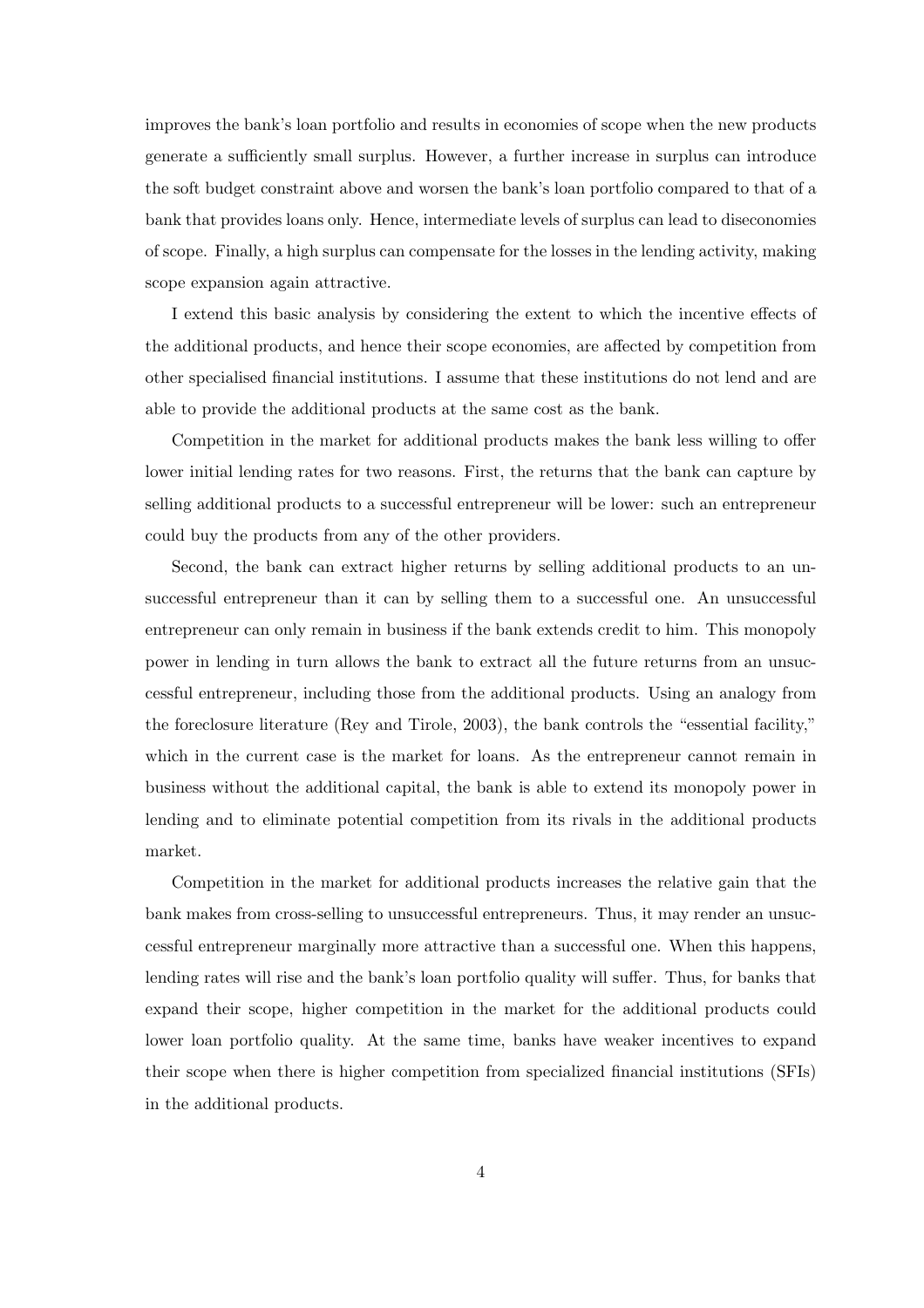improves the bank's loan portfolio and results in economies of scope when the new products generate a sufficiently small surplus. However, a further increase in surplus can introduce the soft budget constraint above and worsen the bank's loan portfolio compared to that of a bank that provides loans only. Hence, intermediate levels of surplus can lead to diseconomies of scope. Finally, a high surplus can compensate for the losses in the lending activity, making scope expansion again attractive.

I extend this basic analysis by considering the extent to which the incentive effects of the additional products, and hence their scope economies, are affected by competition from other specialised financial institutions. I assume that these institutions do not lend and are able to provide the additional products at the same cost as the bank.

Competition in the market for additional products makes the bank less willing to offer lower initial lending rates for two reasons. First, the returns that the bank can capture by selling additional products to a successful entrepreneur will be lower: such an entrepreneur could buy the products from any of the other providers.

Second, the bank can extract higher returns by selling additional products to an unsuccessful entrepreneur than it can by selling them to a successful one. An unsuccessful entrepreneur can only remain in business if the bank extends credit to him. This monopoly power in lending in turn allows the bank to extract all the future returns from an unsuccessful entrepreneur, including those from the additional products. Using an analogy from the foreclosure literature (Rey and Tirole, 2003), the bank controls the "essential facility," which in the current case is the market for loans. As the entrepreneur cannot remain in business without the additional capital, the bank is able to extend its monopoly power in lending and to eliminate potential competition from its rivals in the additional products market.

Competition in the market for additional products increases the relative gain that the bank makes from cross-selling to unsuccessful entrepreneurs. Thus, it may render an unsuccessful entrepreneur marginally more attractive than a successful one. When this happens, lending rates will rise and the bank's loan portfolio quality will suffer. Thus, for banks that expand their scope, higher competition in the market for the additional products could lower loan portfolio quality. At the same time, banks have weaker incentives to expand their scope when there is higher competition from specialized financial institutions (SFIs) in the additional products.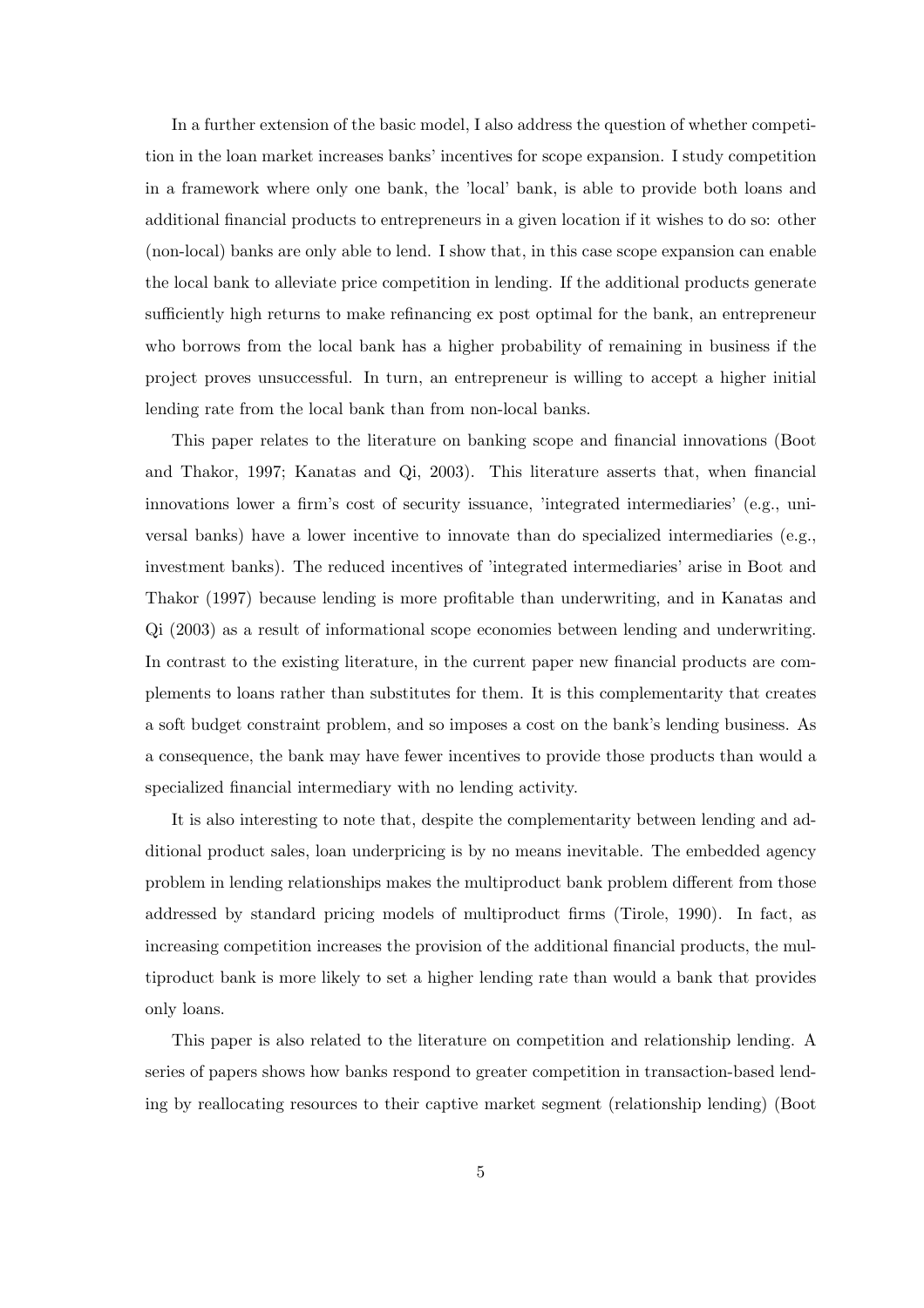In a further extension of the basic model, I also address the question of whether competition in the loan market increases banks' incentives for scope expansion. I study competition in a framework where only one bank, the 'local' bank, is able to provide both loans and additional financial products to entrepreneurs in a given location if it wishes to do so: other (non-local) banks are only able to lend. I show that, in this case scope expansion can enable the local bank to alleviate price competition in lending. If the additional products generate sufficiently high returns to make refinancing ex post optimal for the bank, an entrepreneur who borrows from the local bank has a higher probability of remaining in business if the project proves unsuccessful. In turn, an entrepreneur is willing to accept a higher initial lending rate from the local bank than from non-local banks.

This paper relates to the literature on banking scope and financial innovations (Boot and Thakor, 1997; Kanatas and Qi, 2003). This literature asserts that, when financial innovations lower a firm's cost of security issuance, 'integrated intermediaries' (e.g., universal banks) have a lower incentive to innovate than do specialized intermediaries (e.g., investment banks). The reduced incentives of 'integrated intermediaries' arise in Boot and Thakor (1997) because lending is more profitable than underwriting, and in Kanatas and Qi (2003) as a result of informational scope economies between lending and underwriting. In contrast to the existing literature, in the current paper new financial products are complements to loans rather than substitutes for them. It is this complementarity that creates a soft budget constraint problem, and so imposes a cost on the bank's lending business. As a consequence, the bank may have fewer incentives to provide those products than would a specialized financial intermediary with no lending activity.

It is also interesting to note that, despite the complementarity between lending and additional product sales, loan underpricing is by no means inevitable. The embedded agency problem in lending relationships makes the multiproduct bank problem different from those addressed by standard pricing models of multiproduct firms (Tirole, 1990). In fact, as increasing competition increases the provision of the additional financial products, the multiproduct bank is more likely to set a higher lending rate than would a bank that provides only loans.

This paper is also related to the literature on competition and relationship lending. A series of papers shows how banks respond to greater competition in transaction-based lending by reallocating resources to their captive market segment (relationship lending) (Boot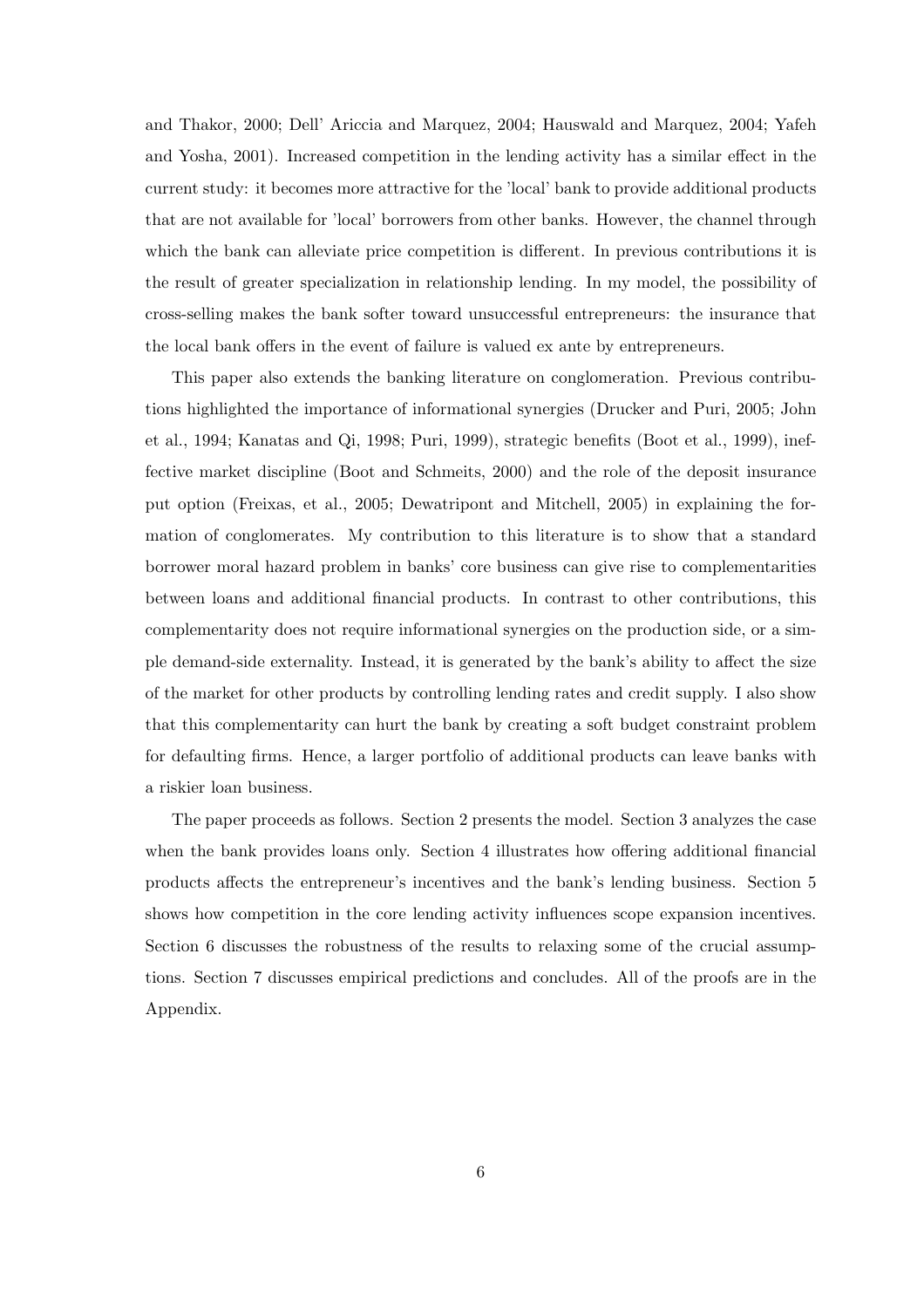and Thakor, 2000; Dell' Ariccia and Marquez, 2004; Hauswald and Marquez, 2004; Yafeh and Yosha, 2001). Increased competition in the lending activity has a similar effect in the current study: it becomes more attractive for the 'local' bank to provide additional products that are not available for 'local' borrowers from other banks. However, the channel through which the bank can alleviate price competition is different. In previous contributions it is the result of greater specialization in relationship lending. In my model, the possibility of cross-selling makes the bank softer toward unsuccessful entrepreneurs: the insurance that the local bank offers in the event of failure is valued ex ante by entrepreneurs.

This paper also extends the banking literature on conglomeration. Previous contributions highlighted the importance of informational synergies (Drucker and Puri, 2005; John et al., 1994; Kanatas and Qi, 1998; Puri, 1999), strategic benefits (Boot et al., 1999), ineffective market discipline (Boot and Schmeits, 2000) and the role of the deposit insurance put option (Freixas, et al., 2005; Dewatripont and Mitchell, 2005) in explaining the formation of conglomerates. My contribution to this literature is to show that a standard borrower moral hazard problem in banks' core business can give rise to complementarities between loans and additional financial products. In contrast to other contributions, this complementarity does not require informational synergies on the production side, or a simple demand-side externality. Instead, it is generated by the bank's ability to affect the size of the market for other products by controlling lending rates and credit supply. I also show that this complementarity can hurt the bank by creating a soft budget constraint problem for defaulting firms. Hence, a larger portfolio of additional products can leave banks with a riskier loan business.

The paper proceeds as follows. Section 2 presents the model. Section 3 analyzes the case when the bank provides loans only. Section 4 illustrates how offering additional financial products affects the entrepreneur's incentives and the bank's lending business. Section 5 shows how competition in the core lending activity influences scope expansion incentives. Section 6 discusses the robustness of the results to relaxing some of the crucial assumptions. Section 7 discusses empirical predictions and concludes. All of the proofs are in the Appendix.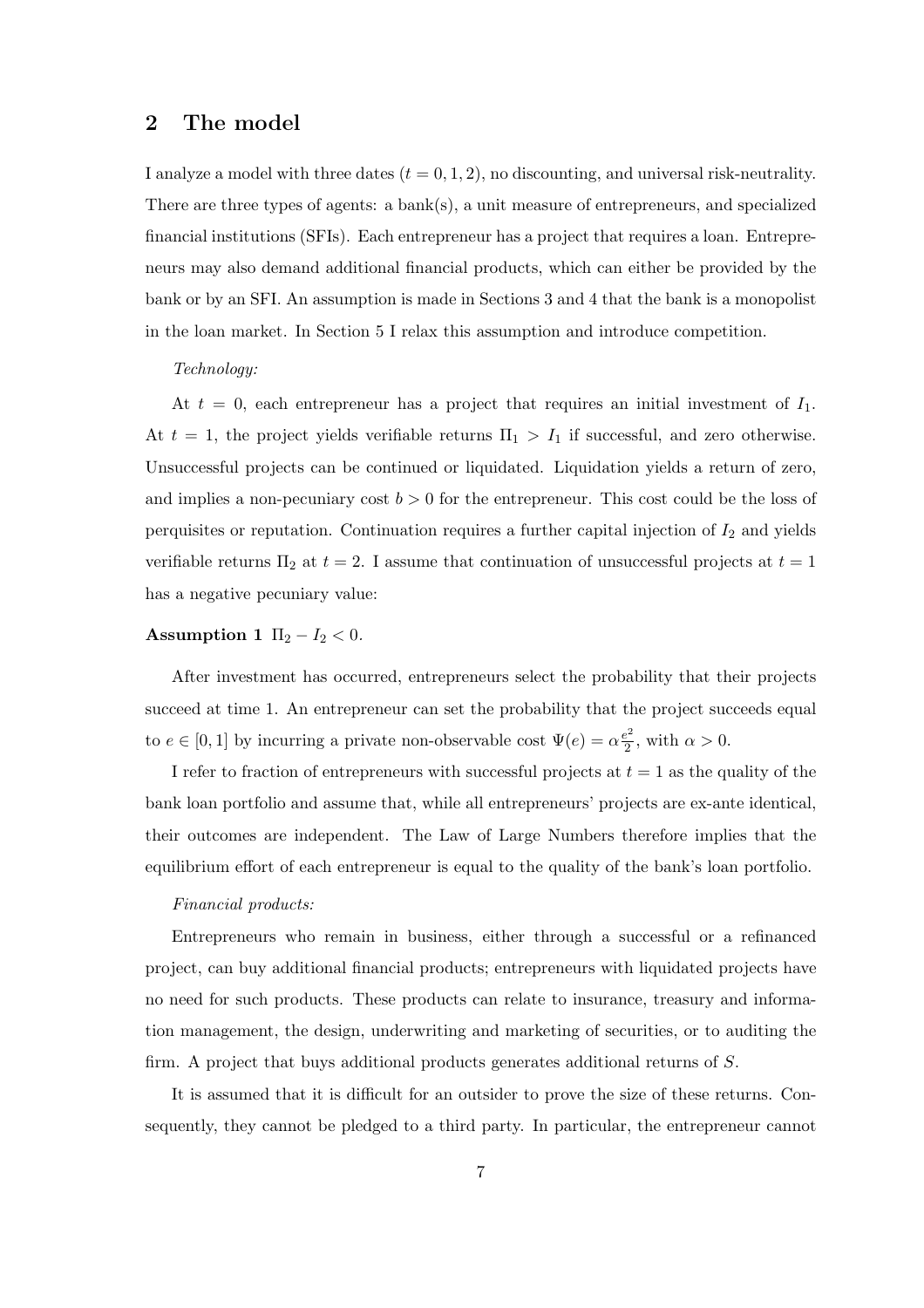#### 2 The model

I analyze a model with three dates  $(t = 0, 1, 2)$ , no discounting, and universal risk-neutrality. There are three types of agents: a bank(s), a unit measure of entrepreneurs, and specialized financial institutions (SFIs). Each entrepreneur has a project that requires a loan. Entrepreneurs may also demand additional financial products, which can either be provided by the bank or by an SFI. An assumption is made in Sections 3 and 4 that the bank is a monopolist in the loan market. In Section 5 I relax this assumption and introduce competition.

#### Technology:

At  $t = 0$ , each entrepreneur has a project that requires an initial investment of  $I_1$ . At  $t = 1$ , the project yields verifiable returns  $\Pi_1 > I_1$  if successful, and zero otherwise. Unsuccessful projects can be continued or liquidated. Liquidation yields a return of zero, and implies a non-pecuniary cost  $b > 0$  for the entrepreneur. This cost could be the loss of perquisites or reputation. Continuation requires a further capital injection of  $I_2$  and yields verifiable returns  $\Pi_2$  at  $t = 2$ . I assume that continuation of unsuccessful projects at  $t = 1$ has a negative pecuniary value:

#### Assumption 1  $\Pi_2 - I_2 < 0$ .

After investment has occurred, entrepreneurs select the probability that their projects succeed at time 1. An entrepreneur can set the probability that the project succeeds equal to  $e \in [0, 1]$  by incurring a private non-observable cost  $\Psi(e) = \alpha \frac{e^2}{2}$  $\frac{e^2}{2}$ , with  $\alpha > 0$ .

I refer to fraction of entrepreneurs with successful projects at  $t = 1$  as the quality of the bank loan portfolio and assume that, while all entrepreneurs' projects are ex-ante identical, their outcomes are independent. The Law of Large Numbers therefore implies that the equilibrium effort of each entrepreneur is equal to the quality of the bank's loan portfolio.

#### Financial products:

Entrepreneurs who remain in business, either through a successful or a refinanced project, can buy additional financial products; entrepreneurs with liquidated projects have no need for such products. These products can relate to insurance, treasury and information management, the design, underwriting and marketing of securities, or to auditing the firm. A project that buys additional products generates additional returns of S.

It is assumed that it is difficult for an outsider to prove the size of these returns. Consequently, they cannot be pledged to a third party. In particular, the entrepreneur cannot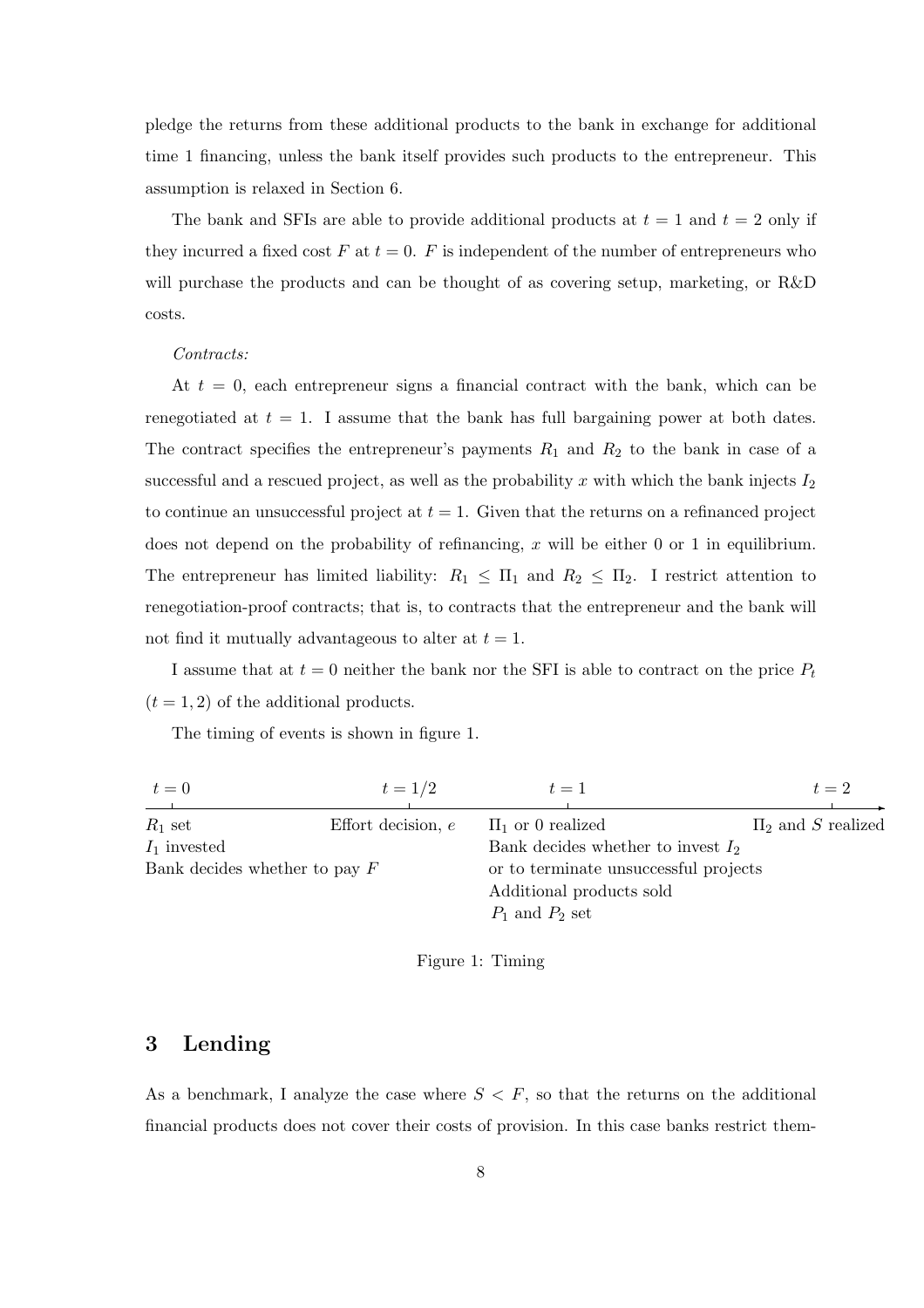pledge the returns from these additional products to the bank in exchange for additional time 1 financing, unless the bank itself provides such products to the entrepreneur. This assumption is relaxed in Section 6.

The bank and SFIs are able to provide additional products at  $t = 1$  and  $t = 2$  only if they incurred a fixed cost  $F$  at  $t = 0$ .  $F$  is independent of the number of entrepreneurs who will purchase the products and can be thought of as covering setup, marketing, or R&D costs.

#### Contracts:

At  $t = 0$ , each entrepreneur signs a financial contract with the bank, which can be renegotiated at  $t = 1$ . I assume that the bank has full bargaining power at both dates. The contract specifies the entrepreneur's payments  $R_1$  and  $R_2$  to the bank in case of a successful and a rescued project, as well as the probability x with which the bank injects  $I_2$ to continue an unsuccessful project at  $t = 1$ . Given that the returns on a refinanced project does not depend on the probability of refinancing, x will be either 0 or 1 in equilibrium. The entrepreneur has limited liability:  $R_1 \leq \Pi_1$  and  $R_2 \leq \Pi_2$ . I restrict attention to renegotiation-proof contracts; that is, to contracts that the entrepreneur and the bank will not find it mutually advantageous to alter at  $t = 1$ .

I assume that at  $t = 0$  neither the bank nor the SFI is able to contract on the price  $P_t$  $(t = 1, 2)$  of the additional products.

The timing of events is shown in figure 1.

| $t=0$                           | $t = 1/2$            | $t=1$                                 | $t=2$                  |
|---------------------------------|----------------------|---------------------------------------|------------------------|
|                                 |                      |                                       |                        |
| $R_1$ set                       | Effort decision, $e$ | $\Pi_1$ or 0 realized                 | $\Pi_2$ and S realized |
| $I_1$ invested                  |                      | Bank decides whether to invest $I_2$  |                        |
| Bank decides whether to pay $F$ |                      | or to terminate unsuccessful projects |                        |
|                                 |                      | Additional products sold              |                        |
|                                 |                      | $P_1$ and $P_2$ set                   |                        |

Figure 1: Timing

#### 3 Lending

As a benchmark, I analyze the case where  $S < F$ , so that the returns on the additional financial products does not cover their costs of provision. In this case banks restrict them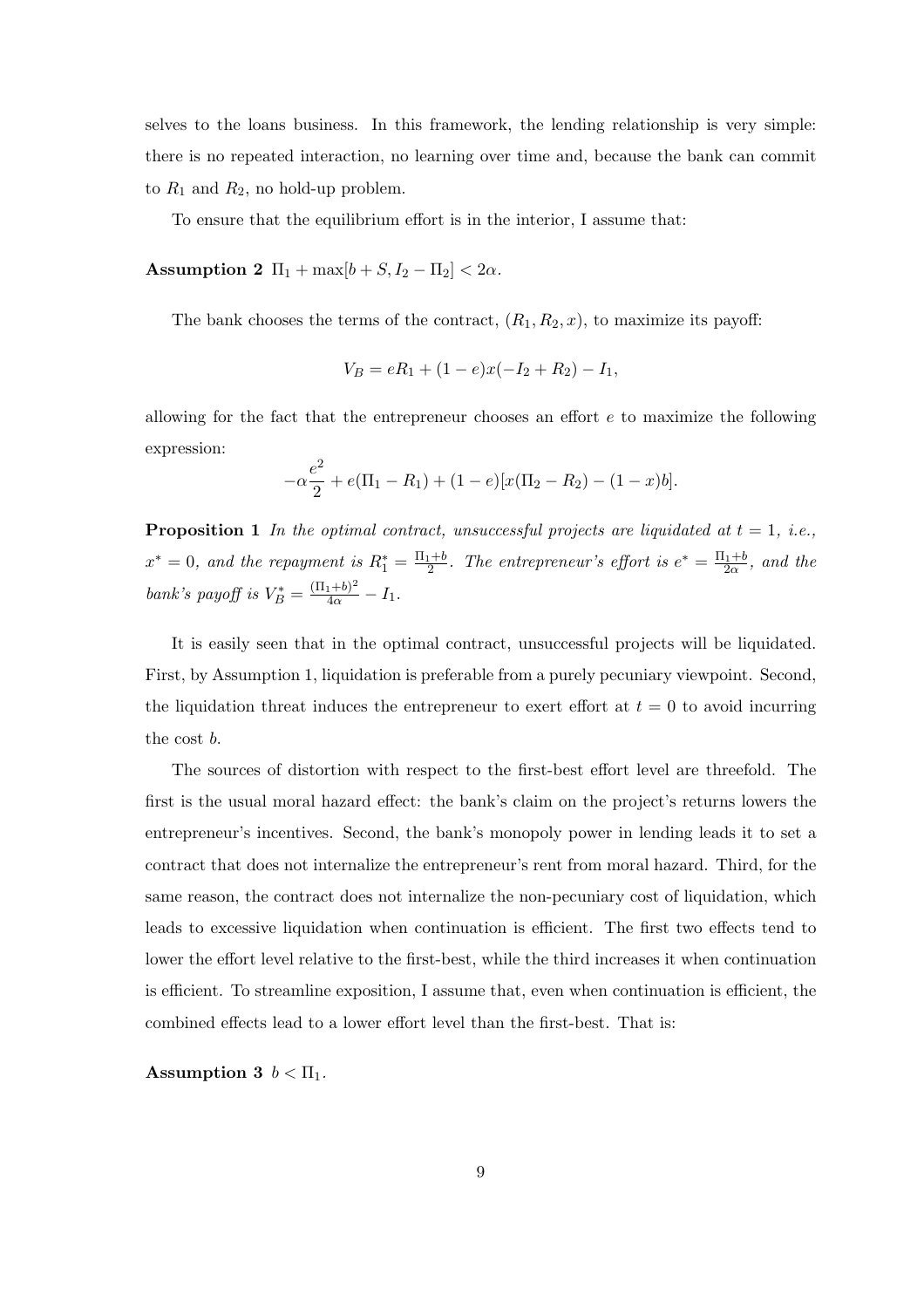selves to the loans business. In this framework, the lending relationship is very simple: there is no repeated interaction, no learning over time and, because the bank can commit to  $R_1$  and  $R_2$ , no hold-up problem.

To ensure that the equilibrium effort is in the interior, I assume that:

Assumption 2  $\Pi_1 + \max[b + S, I_2 - \Pi_2] < 2\alpha$ .

The bank chooses the terms of the contract,  $(R_1, R_2, x)$ , to maximize its payoff:

$$
V_B = eR_1 + (1 - e)x(-I_2 + R_2) - I_1,
$$

allowing for the fact that the entrepreneur chooses an effort e to maximize the following expression:

$$
-\alpha \frac{e^2}{2} + e(\Pi_1 - R_1) + (1 - e)[x(\Pi_2 - R_2) - (1 - x)b].
$$

**Proposition 1** In the optimal contract, unsuccessful projects are liquidated at  $t = 1$ , i.e.,  $x^* = 0$ , and the repayment is  $R_1^* = \frac{\Pi_1 + b}{2}$ . The entrepreneur's effort is  $e^* = \frac{\Pi_1 + b}{2\alpha}$ , and the bank's payoff is  $V_B^* = \frac{(\Pi_1 + b)^2}{4\alpha} - I_1$ .

It is easily seen that in the optimal contract, unsuccessful projects will be liquidated. First, by Assumption 1, liquidation is preferable from a purely pecuniary viewpoint. Second, the liquidation threat induces the entrepreneur to exert effort at  $t = 0$  to avoid incurring the cost b.

The sources of distortion with respect to the first-best effort level are threefold. The first is the usual moral hazard effect: the bank's claim on the project's returns lowers the entrepreneur's incentives. Second, the bank's monopoly power in lending leads it to set a contract that does not internalize the entrepreneur's rent from moral hazard. Third, for the same reason, the contract does not internalize the non-pecuniary cost of liquidation, which leads to excessive liquidation when continuation is efficient. The first two effects tend to lower the effort level relative to the first-best, while the third increases it when continuation is efficient. To streamline exposition, I assume that, even when continuation is efficient, the combined effects lead to a lower effort level than the first-best. That is:

Assumption 3  $b < \Pi_1$ .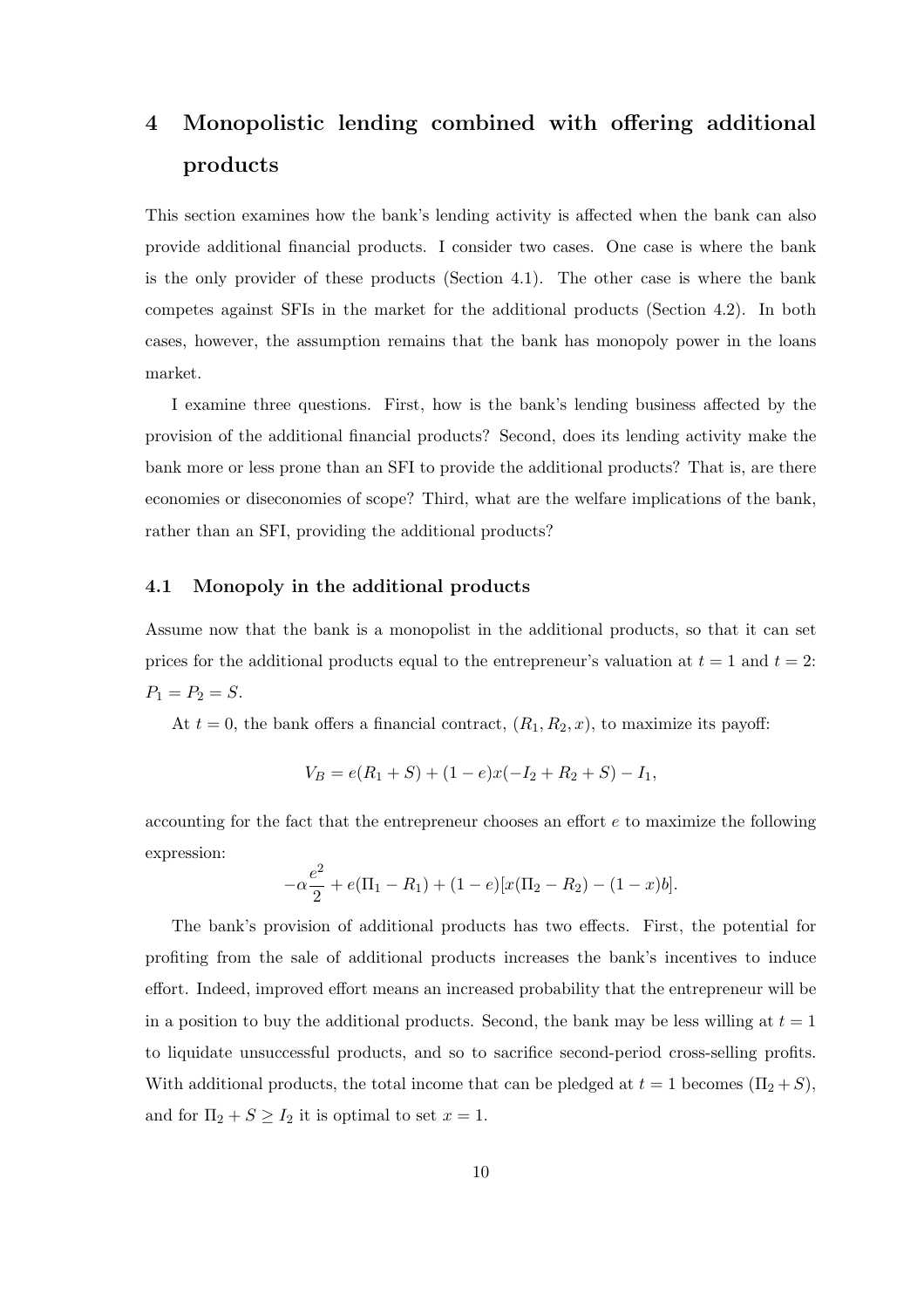# 4 Monopolistic lending combined with offering additional products

This section examines how the bank's lending activity is affected when the bank can also provide additional financial products. I consider two cases. One case is where the bank is the only provider of these products (Section 4.1). The other case is where the bank competes against SFIs in the market for the additional products (Section 4.2). In both cases, however, the assumption remains that the bank has monopoly power in the loans market.

I examine three questions. First, how is the bank's lending business affected by the provision of the additional financial products? Second, does its lending activity make the bank more or less prone than an SFI to provide the additional products? That is, are there economies or diseconomies of scope? Third, what are the welfare implications of the bank, rather than an SFI, providing the additional products?

#### 4.1 Monopoly in the additional products

Assume now that the bank is a monopolist in the additional products, so that it can set prices for the additional products equal to the entrepreneur's valuation at  $t = 1$  and  $t = 2$ :  $P_1 = P_2 = S.$ 

At  $t = 0$ , the bank offers a financial contract,  $(R_1, R_2, x)$ , to maximize its payoff:

$$
V_B = e(R_1 + S) + (1 - e)x(-I_2 + R_2 + S) - I_1,
$$

accounting for the fact that the entrepreneur chooses an effort e to maximize the following expression:

$$
-\alpha \frac{e^2}{2} + e(\Pi_1 - R_1) + (1 - e)[x(\Pi_2 - R_2) - (1 - x)b].
$$

The bank's provision of additional products has two effects. First, the potential for profiting from the sale of additional products increases the bank's incentives to induce effort. Indeed, improved effort means an increased probability that the entrepreneur will be in a position to buy the additional products. Second, the bank may be less willing at  $t = 1$ to liquidate unsuccessful products, and so to sacrifice second-period cross-selling profits. With additional products, the total income that can be pledged at  $t = 1$  becomes  $(\Pi_2 + S)$ , and for  $\Pi_2 + S \geq I_2$  it is optimal to set  $x = 1$ .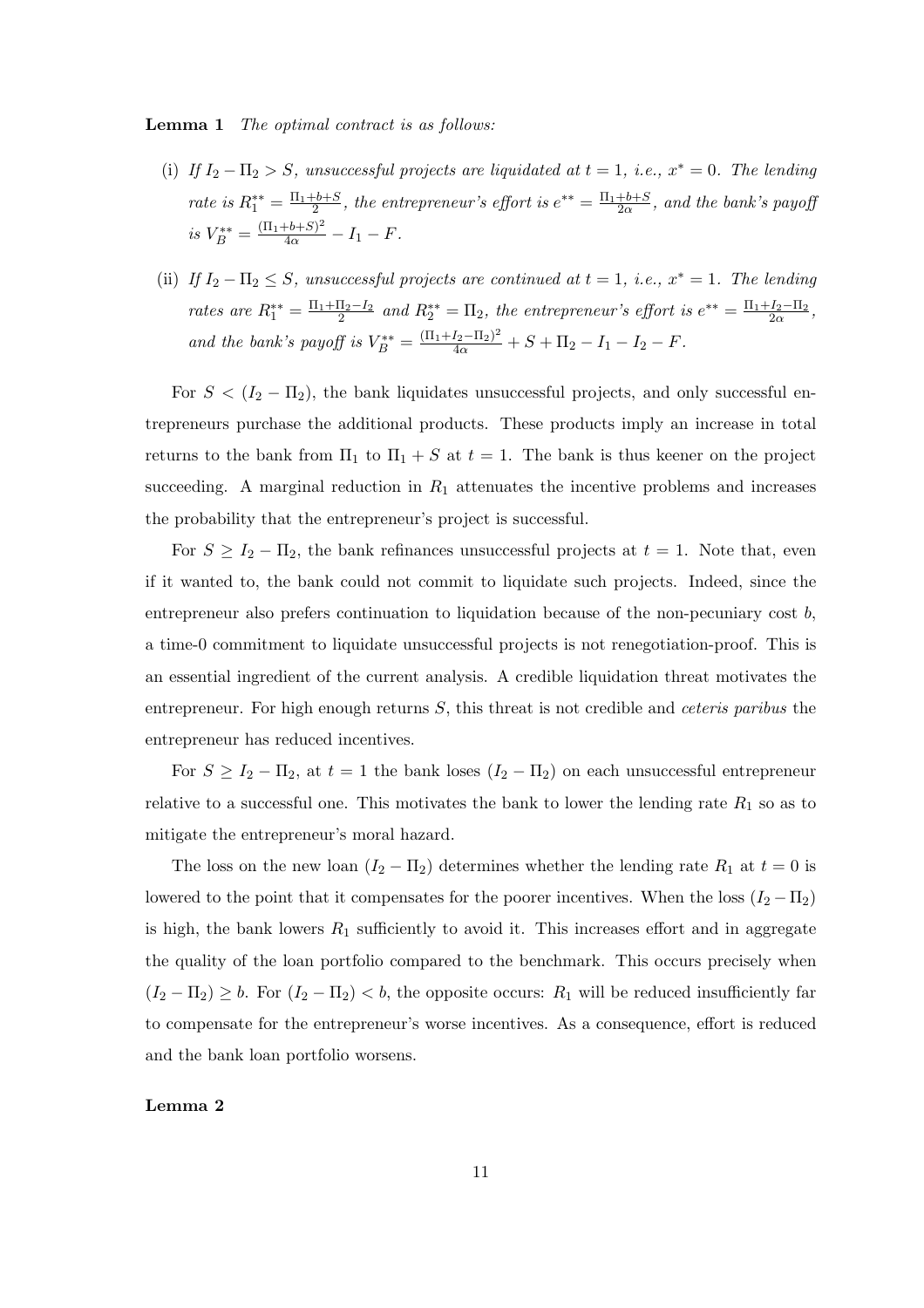**Lemma 1** The optimal contract is as follows:

- (i) If  $I_2 \Pi_2 > S$ , unsuccessful projects are liquidated at  $t = 1$ , i.e.,  $x^* = 0$ . The lending rate is  $R_1^{**} = \frac{\Pi_1 + b + S}{2}$ , the entrepreneur's effort is  $e^{**} = \frac{\Pi_1 + b + S}{2\alpha}$ , and the bank's payoff is  $V_B^{**} = \frac{(\Pi_1 + b + S)^2}{4\alpha} - I_1 - F$ .
- (ii) If  $I_2 \Pi_2 \leq S$ , unsuccessful projects are continued at  $t = 1$ , i.e.,  $x^* = 1$ . The lending rates are  $R_1^{**} = \frac{\Pi_1 + \Pi_2 - I_2}{2}$  and  $R_2^{**} = \Pi_2$ , the entrepreneur's effort is  $e^{**} = \frac{\Pi_1 + I_2 - \Pi_2}{2\alpha}$ , and the bank's payoff is  $V_B^{**} = \frac{(\Pi_1 + I_2 - \Pi_2)^2}{4\alpha} + S + \Pi_2 - I_1 - I_2 - F$ .

For  $S < (I_2 - \Pi_2)$ , the bank liquidates unsuccessful projects, and only successful entrepreneurs purchase the additional products. These products imply an increase in total returns to the bank from  $\Pi_1$  to  $\Pi_1 + S$  at  $t = 1$ . The bank is thus keener on the project succeeding. A marginal reduction in  $R_1$  attenuates the incentive problems and increases the probability that the entrepreneur's project is successful.

For  $S \ge I_2 - \Pi_2$ , the bank refinances unsuccessful projects at  $t = 1$ . Note that, even if it wanted to, the bank could not commit to liquidate such projects. Indeed, since the entrepreneur also prefers continuation to liquidation because of the non-pecuniary cost  $b$ , a time-0 commitment to liquidate unsuccessful projects is not renegotiation-proof. This is an essential ingredient of the current analysis. A credible liquidation threat motivates the entrepreneur. For high enough returns  $S$ , this threat is not credible and *ceteris paribus* the entrepreneur has reduced incentives.

For  $S \ge I_2 - \Pi_2$ , at  $t = 1$  the bank loses  $(I_2 - \Pi_2)$  on each unsuccessful entrepreneur relative to a successful one. This motivates the bank to lower the lending rate  $R_1$  so as to mitigate the entrepreneur's moral hazard.

The loss on the new loan  $(I_2 - \Pi_2)$  determines whether the lending rate  $R_1$  at  $t = 0$  is lowered to the point that it compensates for the poorer incentives. When the loss  $(I_2 - \Pi_2)$ is high, the bank lowers  $R_1$  sufficiently to avoid it. This increases effort and in aggregate the quality of the loan portfolio compared to the benchmark. This occurs precisely when  $(I_2 - \Pi_2) \geq b$ . For  $(I_2 - \Pi_2) < b$ , the opposite occurs:  $R_1$  will be reduced insufficiently far to compensate for the entrepreneur's worse incentives. As a consequence, effort is reduced and the bank loan portfolio worsens.

#### Lemma 2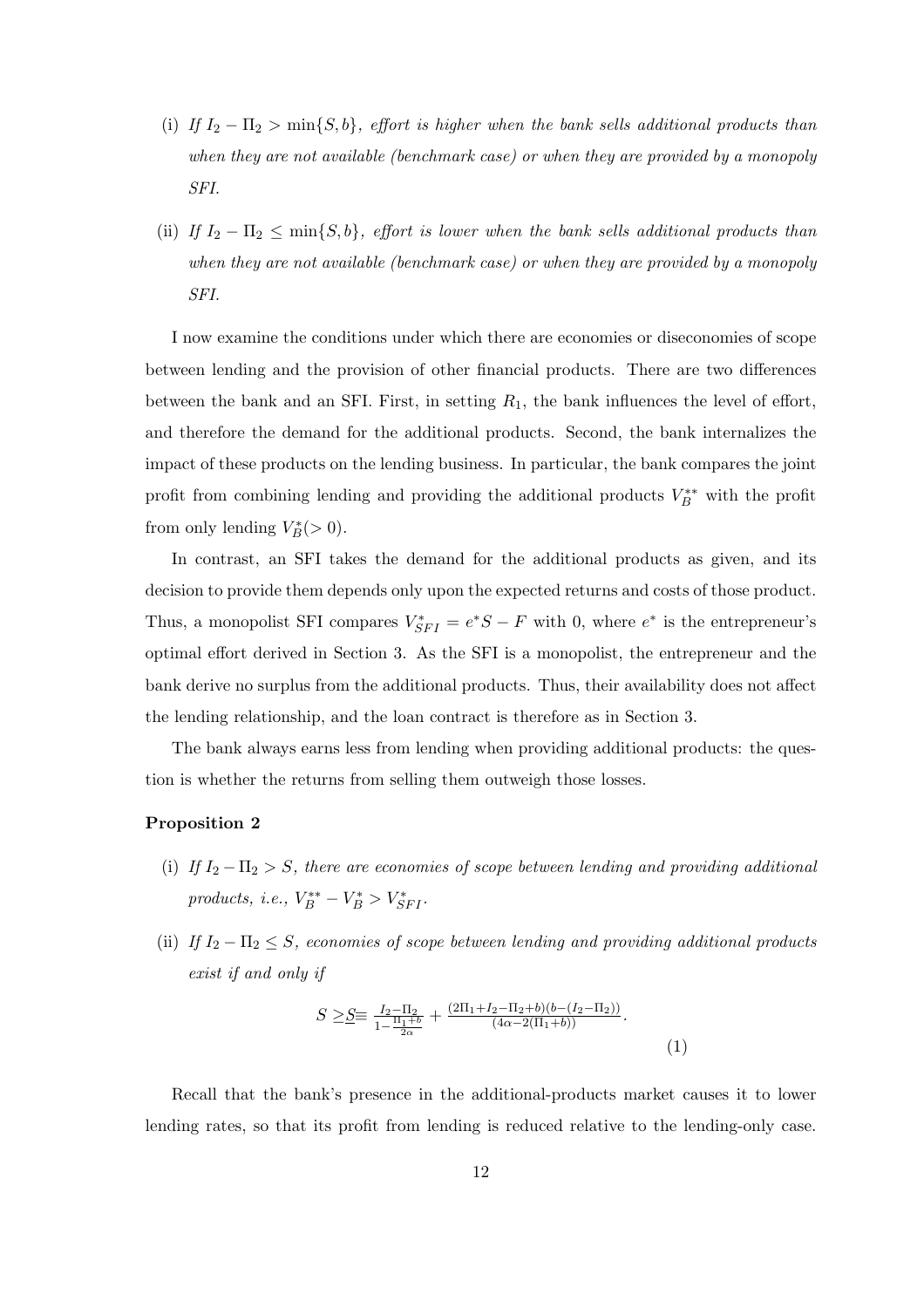- (i) If  $I_2 \Pi_2 > \min\{S, b\}$ , effort is higher when the bank sells additional products than when they are not available (benchmark case) or when they are provided by a monopoly SFI.
- (ii) If  $I_2 \Pi_2 \le \min\{S, b\}$ , effort is lower when the bank sells additional products than when they are not available (benchmark case) or when they are provided by a monopoly SFI.

I now examine the conditions under which there are economies or diseconomies of scope between lending and the provision of other financial products. There are two differences between the bank and an SFI. First, in setting  $R_1$ , the bank influences the level of effort, and therefore the demand for the additional products. Second, the bank internalizes the impact of these products on the lending business. In particular, the bank compares the joint profit from combining lending and providing the additional products  $V_B^{**}$  with the profit from only lending  $V_B^*(>0)$ .

In contrast, an SFI takes the demand for the additional products as given, and its decision to provide them depends only upon the expected returns and costs of those product. Thus, a monopolist SFI compares  $V_{SFI}^* = e^*S - F$  with 0, where  $e^*$  is the entrepreneur's optimal effort derived in Section 3. As the SFI is a monopolist, the entrepreneur and the bank derive no surplus from the additional products. Thus, their availability does not affect the lending relationship, and the loan contract is therefore as in Section 3.

The bank always earns less from lending when providing additional products: the question is whether the returns from selling them outweigh those losses.

#### Proposition 2

- (i) If  $I_2 \Pi_2 > S$ , there are economies of scope between lending and providing additional products, i.e.,  $V_B^{**} - V_B^* > V_{SFI}^*$ .
- (ii) If  $I_2 \Pi_2 \leq S$ , economies of scope between lending and providing additional products exist if and only if

$$
S \geq \underline{S} \equiv \frac{I_2 - \Pi_2}{1 - \frac{\Pi_1 + b}{2\alpha}} + \frac{(2\Pi_1 + I_2 - \Pi_2 + b)(b - (I_2 - \Pi_2))}{(4\alpha - 2(\Pi_1 + b))}.
$$
\n(1)

Recall that the bank's presence in the additional-products market causes it to lower lending rates, so that its profit from lending is reduced relative to the lending-only case.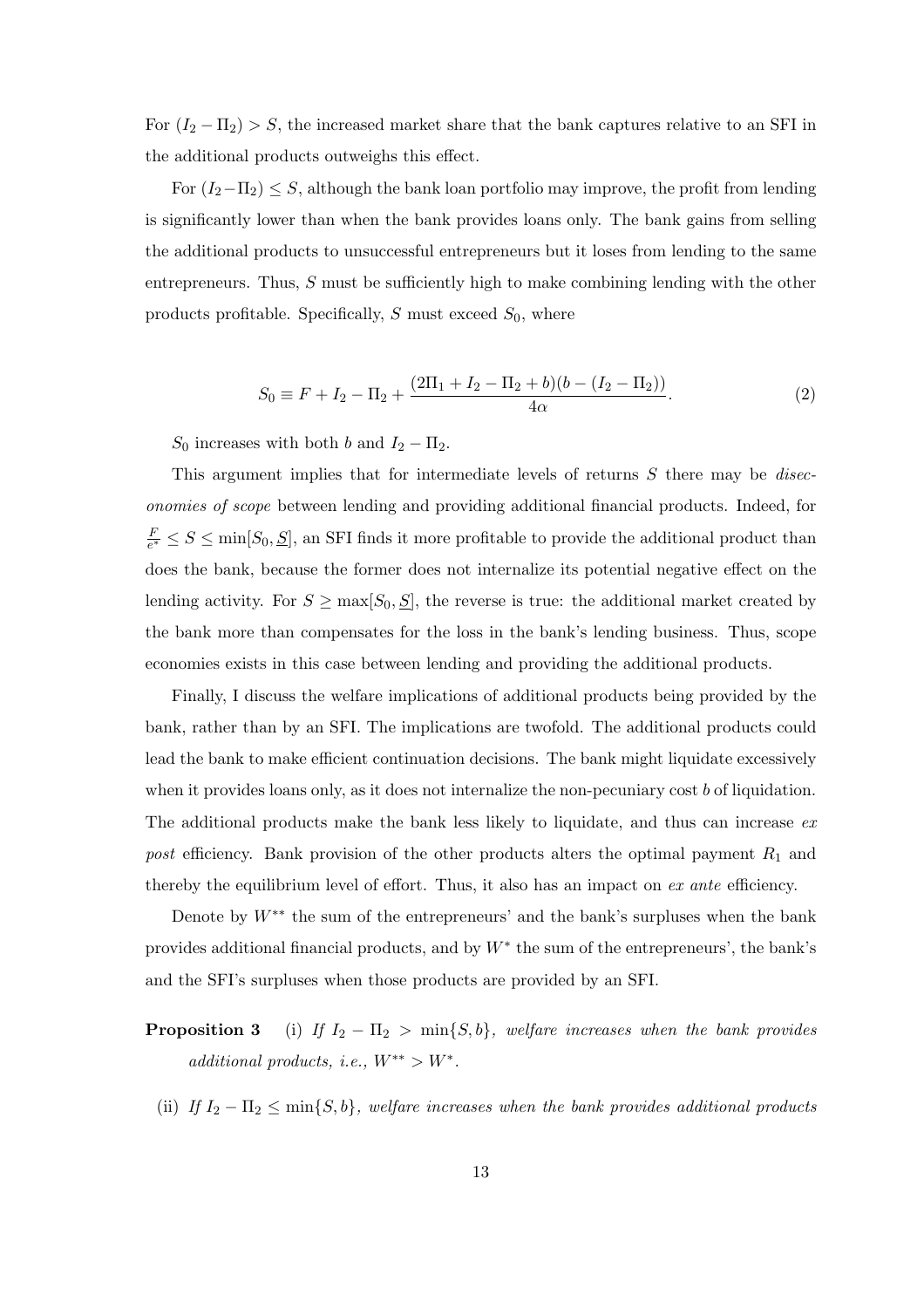For  $(I_2 - \Pi_2) > S$ , the increased market share that the bank captures relative to an SFI in the additional products outweighs this effect.

For  $(I_2-\Pi_2) \leq S$ , although the bank loan portfolio may improve, the profit from lending is significantly lower than when the bank provides loans only. The bank gains from selling the additional products to unsuccessful entrepreneurs but it loses from lending to the same entrepreneurs. Thus, S must be sufficiently high to make combining lending with the other products profitable. Specifically,  $S$  must exceed  $S_0$ , where

$$
S_0 \equiv F + I_2 - \Pi_2 + \frac{(2\Pi_1 + I_2 - \Pi_2 + b)(b - (I_2 - \Pi_2))}{4\alpha}.
$$
 (2)

 $S_0$  increases with both b and  $I_2 - \Pi_2$ .

This argument implies that for intermediate levels of returns  $S$  there may be *disec*onomies of scope between lending and providing additional financial products. Indeed, for F  $\frac{F}{e^*} \leq S \leq \min[S_0, S],$  an SFI finds it more profitable to provide the additional product than does the bank, because the former does not internalize its potential negative effect on the lending activity. For  $S \ge \max[S_0, S]$ , the reverse is true: the additional market created by the bank more than compensates for the loss in the bank's lending business. Thus, scope economies exists in this case between lending and providing the additional products.

Finally, I discuss the welfare implications of additional products being provided by the bank, rather than by an SFI. The implications are twofold. The additional products could lead the bank to make efficient continuation decisions. The bank might liquidate excessively when it provides loans only, as it does not internalize the non-pecuniary cost  $b$  of liquidation. The additional products make the bank less likely to liquidate, and thus can increase  $ex$ post efficiency. Bank provision of the other products alters the optimal payment  $R_1$  and thereby the equilibrium level of effort. Thus, it also has an impact on ex ante efficiency.

Denote by  $W^{**}$  the sum of the entrepreneurs' and the bank's surpluses when the bank provides additional financial products, and by  $W^*$  the sum of the entrepreneurs', the bank's and the SFI's surpluses when those products are provided by an SFI.

- **Proposition 3** (i) If  $I_2 \Pi_2 > \min\{S, b\}$ , welfare increases when the bank provides additional products, i.e.,  $W^{**} > W^*$ .
	- (ii) If  $I_2 \Pi_2 \le \min\{S, b\}$ , welfare increases when the bank provides additional products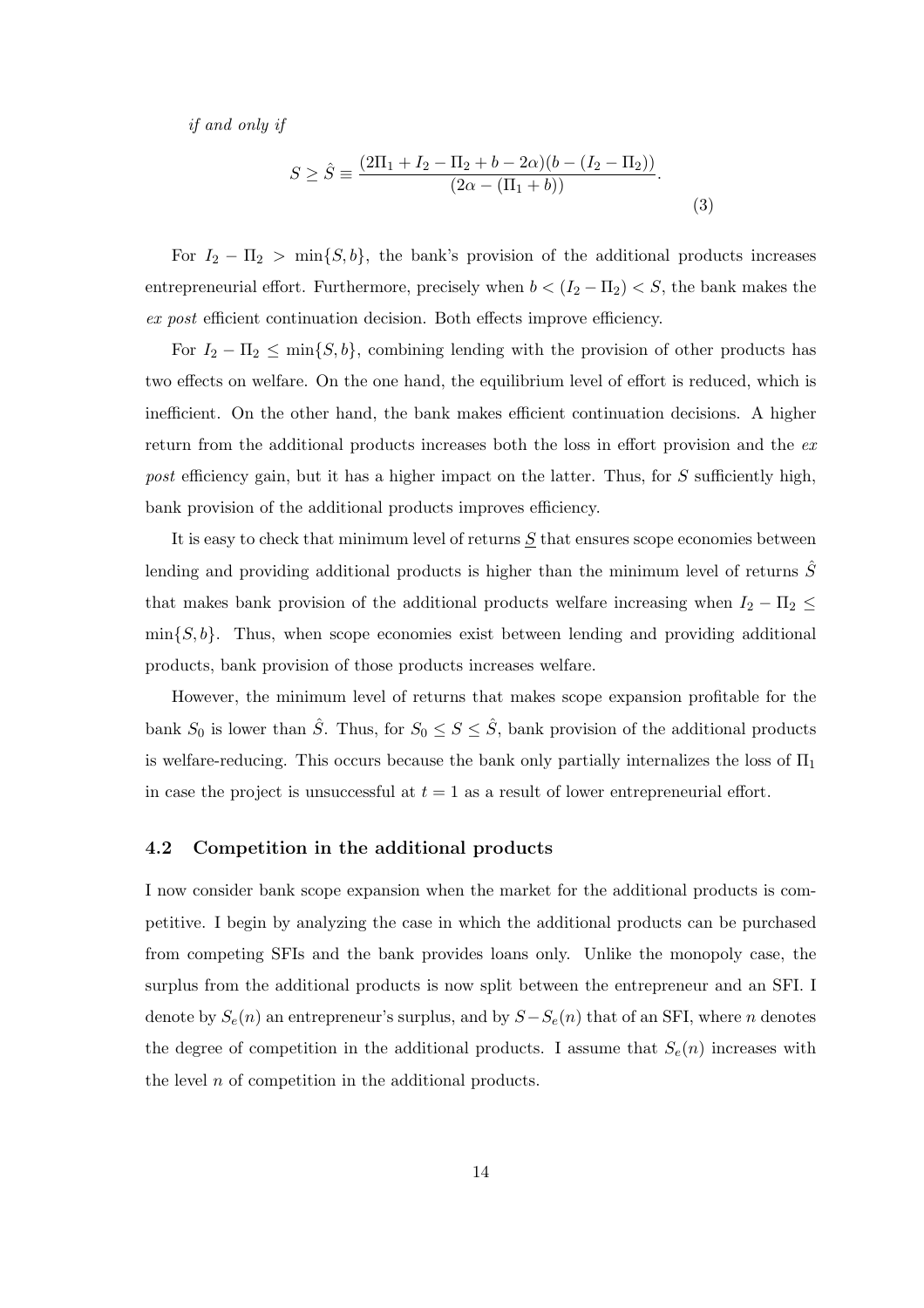if and only if

$$
S \ge \hat{S} \equiv \frac{(2\Pi_1 + I_2 - \Pi_2 + b - 2\alpha)(b - (I_2 - \Pi_2))}{(2\alpha - (\Pi_1 + b))}.
$$
\n(3)

For  $I_2 - \Pi_2 > \min\{S, b\}$ , the bank's provision of the additional products increases entrepreneurial effort. Furthermore, precisely when  $b < (I_2 - \Pi_2) < S$ , the bank makes the ex post efficient continuation decision. Both effects improve efficiency.

For  $I_2 - \Pi_2 \le \min\{S, b\}$ , combining lending with the provision of other products has two effects on welfare. On the one hand, the equilibrium level of effort is reduced, which is inefficient. On the other hand, the bank makes efficient continuation decisions. A higher return from the additional products increases both the loss in effort provision and the expost efficiency gain, but it has a higher impact on the latter. Thus, for S sufficiently high, bank provision of the additional products improves efficiency.

It is easy to check that minimum level of returns S that ensures scope economies between lending and providing additional products is higher than the minimum level of returns  $\hat{S}$ that makes bank provision of the additional products welfare increasing when  $I_2 - \Pi_2 \leq$  $\min\{S, b\}$ . Thus, when scope economies exist between lending and providing additional products, bank provision of those products increases welfare.

However, the minimum level of returns that makes scope expansion profitable for the bank  $S_0$  is lower than  $\hat{S}$ . Thus, for  $S_0 \leq S \leq \hat{S}$ , bank provision of the additional products is welfare-reducing. This occurs because the bank only partially internalizes the loss of  $\Pi_1$ in case the project is unsuccessful at  $t = 1$  as a result of lower entrepreneurial effort.

#### 4.2 Competition in the additional products

I now consider bank scope expansion when the market for the additional products is competitive. I begin by analyzing the case in which the additional products can be purchased from competing SFIs and the bank provides loans only. Unlike the monopoly case, the surplus from the additional products is now split between the entrepreneur and an SFI. I denote by  $S_e(n)$  an entrepreneur's surplus, and by  $S-S_e(n)$  that of an SFI, where n denotes the degree of competition in the additional products. I assume that  $S_e(n)$  increases with the level  $n$  of competition in the additional products.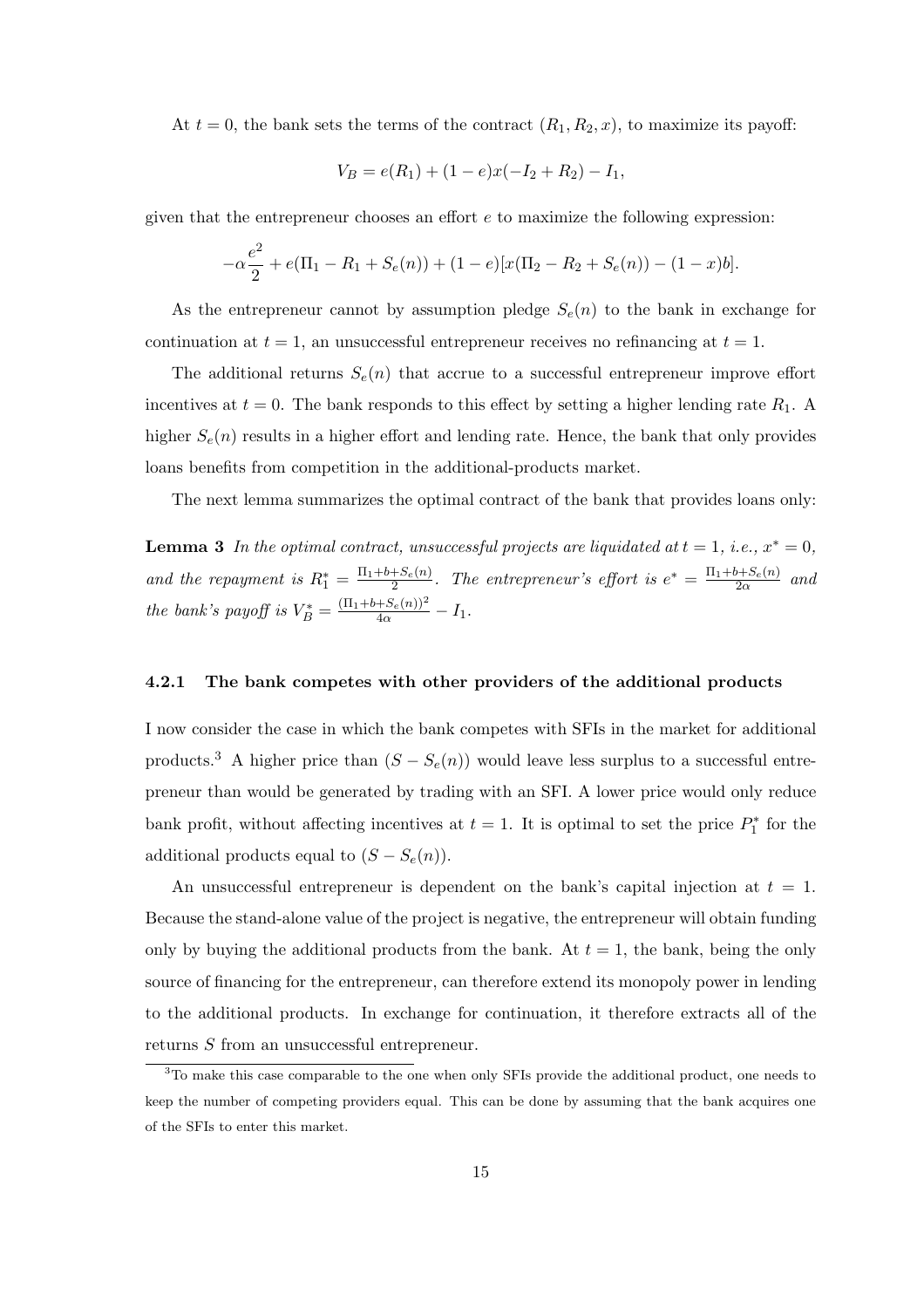At  $t = 0$ , the bank sets the terms of the contract  $(R_1, R_2, x)$ , to maximize its payoff:

$$
V_B = e(R_1) + (1 - e)x(-I_2 + R_2) - I_1,
$$

given that the entrepreneur chooses an effort  $e$  to maximize the following expression:

$$
-\alpha \frac{e^2}{2} + e(\Pi_1 - R_1 + S_e(n)) + (1 - e)[x(\Pi_2 - R_2 + S_e(n)) - (1 - x)b].
$$

As the entrepreneur cannot by assumption pledge  $S_e(n)$  to the bank in exchange for continuation at  $t = 1$ , an unsuccessful entrepreneur receives no refinancing at  $t = 1$ .

The additional returns  $S_e(n)$  that accrue to a successful entrepreneur improve effort incentives at  $t = 0$ . The bank responds to this effect by setting a higher lending rate  $R_1$ . A higher  $S_e(n)$  results in a higher effort and lending rate. Hence, the bank that only provides loans benefits from competition in the additional-products market.

The next lemma summarizes the optimal contract of the bank that provides loans only:

**Lemma 3** In the optimal contract, unsuccessful projects are liquidated at  $t = 1$ , i.e.,  $x^* = 0$ , and the repayment is  $R_1^* = \frac{\Pi_1 + b + S_e(n)}{2}$  $\frac{+S_e(n)}{2}$ . The entrepreneur's effort is  $e^* = \frac{\Pi_1 + b + S_e(n)}{2\alpha}$  $rac{\partial+Se(n)}{2\alpha}$  and the bank's payoff is  $V_B^* = \frac{(\Pi_1 + b + S_e(n))^2}{4\alpha} - I_1$ .

#### 4.2.1 The bank competes with other providers of the additional products

I now consider the case in which the bank competes with SFIs in the market for additional products.<sup>3</sup> A higher price than  $(S - S<sub>e</sub>(n))$  would leave less surplus to a successful entrepreneur than would be generated by trading with an SFI. A lower price would only reduce bank profit, without affecting incentives at  $t = 1$ . It is optimal to set the price  $P_1^*$  for the additional products equal to  $(S - S_e(n))$ .

An unsuccessful entrepreneur is dependent on the bank's capital injection at  $t = 1$ . Because the stand-alone value of the project is negative, the entrepreneur will obtain funding only by buying the additional products from the bank. At  $t = 1$ , the bank, being the only source of financing for the entrepreneur, can therefore extend its monopoly power in lending to the additional products. In exchange for continuation, it therefore extracts all of the returns S from an unsuccessful entrepreneur.

<sup>&</sup>lt;sup>3</sup>To make this case comparable to the one when only SFIs provide the additional product, one needs to keep the number of competing providers equal. This can be done by assuming that the bank acquires one of the SFIs to enter this market.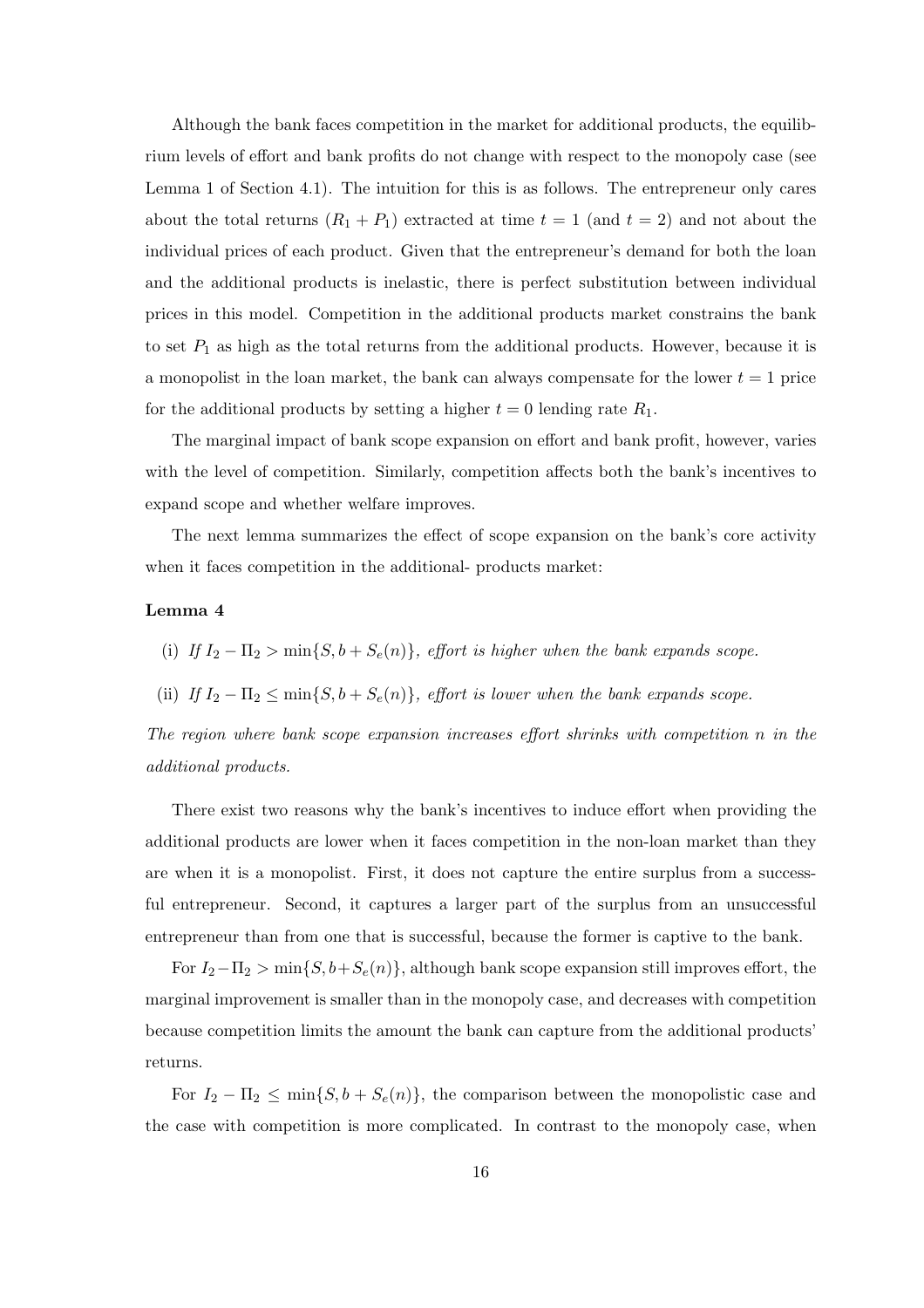Although the bank faces competition in the market for additional products, the equilibrium levels of effort and bank profits do not change with respect to the monopoly case (see Lemma 1 of Section 4.1). The intuition for this is as follows. The entrepreneur only cares about the total returns  $(R_1 + P_1)$  extracted at time  $t = 1$  (and  $t = 2$ ) and not about the individual prices of each product. Given that the entrepreneur's demand for both the loan and the additional products is inelastic, there is perfect substitution between individual prices in this model. Competition in the additional products market constrains the bank to set  $P_1$  as high as the total returns from the additional products. However, because it is a monopolist in the loan market, the bank can always compensate for the lower  $t = 1$  price for the additional products by setting a higher  $t = 0$  lending rate  $R_1$ .

The marginal impact of bank scope expansion on effort and bank profit, however, varies with the level of competition. Similarly, competition affects both the bank's incentives to expand scope and whether welfare improves.

The next lemma summarizes the effect of scope expansion on the bank's core activity when it faces competition in the additional- products market:

#### Lemma 4

- (i) If  $I_2 \Pi_2 > \min\{S, b + S_e(n)\}\$ , effort is higher when the bank expands scope.
- (ii) If  $I_2 \Pi_2 \le \min\{S, b + S_e(n)\}\$ , effort is lower when the bank expands scope.

The region where bank scope expansion increases effort shrinks with competition n in the additional products.

There exist two reasons why the bank's incentives to induce effort when providing the additional products are lower when it faces competition in the non-loan market than they are when it is a monopolist. First, it does not capture the entire surplus from a successful entrepreneur. Second, it captures a larger part of the surplus from an unsuccessful entrepreneur than from one that is successful, because the former is captive to the bank.

For  $I_2-\Pi_2 > \min\{S, b+S_e(n)\}\$ , although bank scope expansion still improves effort, the marginal improvement is smaller than in the monopoly case, and decreases with competition because competition limits the amount the bank can capture from the additional products' returns.

For  $I_2 - \Pi_2 \le \min\{S, b + S_e(n)\}\$ , the comparison between the monopolistic case and the case with competition is more complicated. In contrast to the monopoly case, when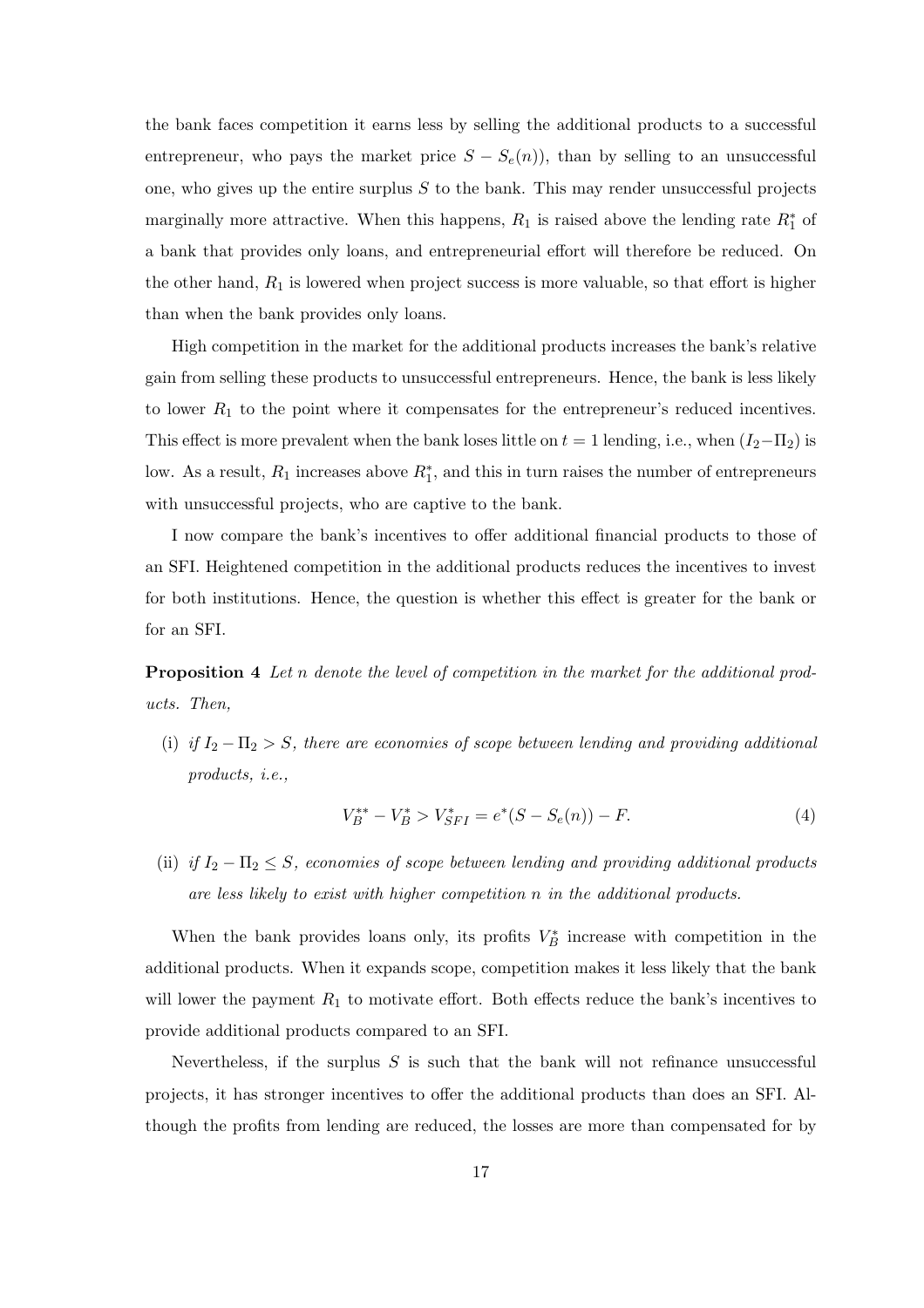the bank faces competition it earns less by selling the additional products to a successful entrepreneur, who pays the market price  $S - S<sub>e</sub>(n)$ , than by selling to an unsuccessful one, who gives up the entire surplus  $S$  to the bank. This may render unsuccessful projects marginally more attractive. When this happens,  $R_1$  is raised above the lending rate  $R_1^*$  of a bank that provides only loans, and entrepreneurial effort will therefore be reduced. On the other hand,  $R_1$  is lowered when project success is more valuable, so that effort is higher than when the bank provides only loans.

High competition in the market for the additional products increases the bank's relative gain from selling these products to unsuccessful entrepreneurs. Hence, the bank is less likely to lower  $R_1$  to the point where it compensates for the entrepreneur's reduced incentives. This effect is more prevalent when the bank loses little on  $t = 1$  lending, i.e., when  $(I_2 - \Pi_2)$  is low. As a result,  $R_1$  increases above  $R_1^*$ , and this in turn raises the number of entrepreneurs with unsuccessful projects, who are captive to the bank.

I now compare the bank's incentives to offer additional financial products to those of an SFI. Heightened competition in the additional products reduces the incentives to invest for both institutions. Hence, the question is whether this effect is greater for the bank or for an SFI.

Proposition 4 Let n denote the level of competition in the market for the additional products. Then,

(i) if  $I_2 - \Pi_2 > S$ , there are economies of scope between lending and providing additional products, i.e.,

$$
V_B^{**} - V_B^* > V_{SFI}^* = e^*(S - S_e(n)) - F.
$$
\n<sup>(4)</sup>

(ii) if  $I_2 - \Pi_2 \leq S$ , economies of scope between lending and providing additional products are less likely to exist with higher competition n in the additional products.

When the bank provides loans only, its profits  $V_B^*$  increase with competition in the additional products. When it expands scope, competition makes it less likely that the bank will lower the payment  $R_1$  to motivate effort. Both effects reduce the bank's incentives to provide additional products compared to an SFI.

Nevertheless, if the surplus  $S$  is such that the bank will not refinance unsuccessful projects, it has stronger incentives to offer the additional products than does an SFI. Although the profits from lending are reduced, the losses are more than compensated for by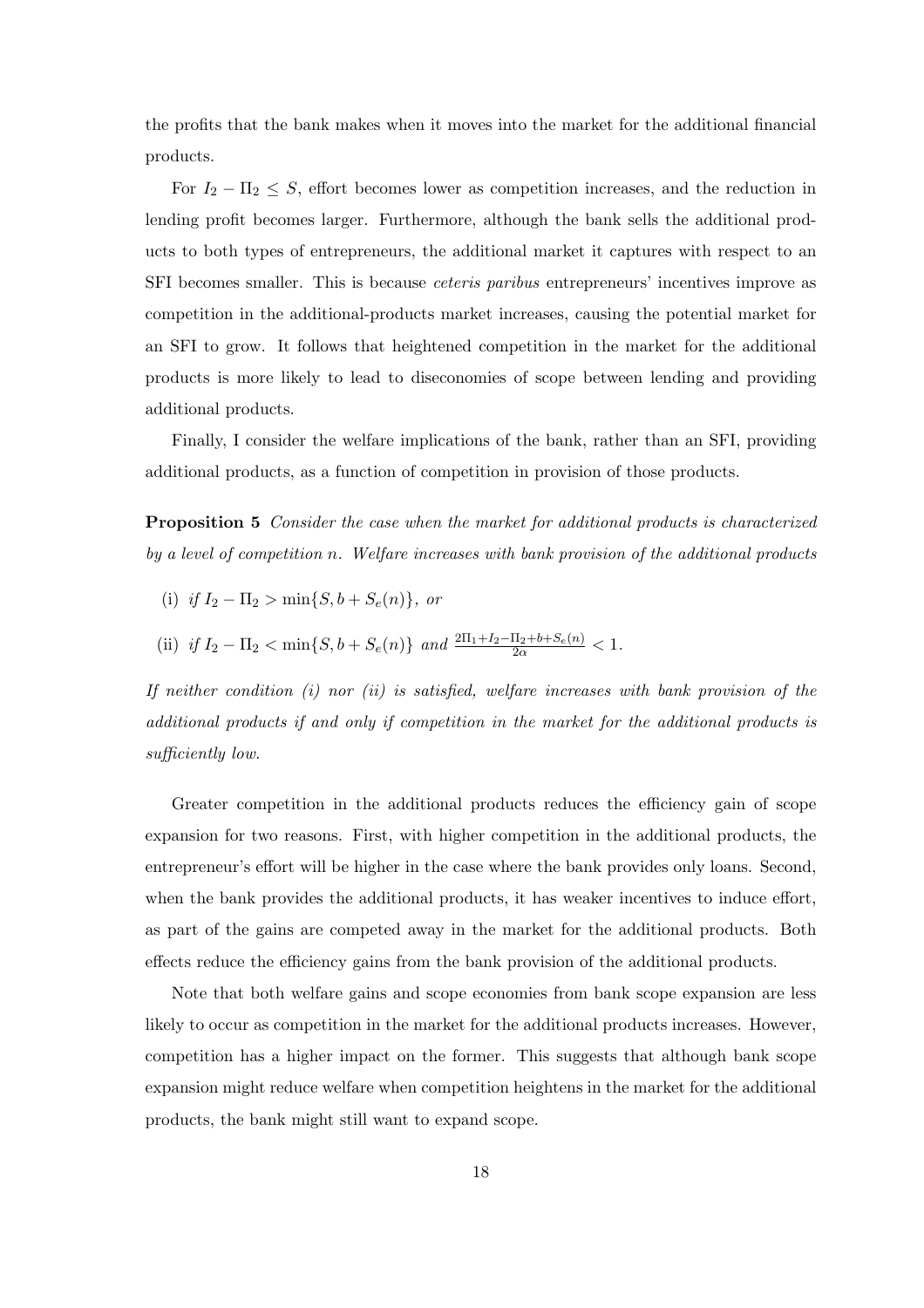the profits that the bank makes when it moves into the market for the additional financial products.

For  $I_2 - \Pi_2 \leq S$ , effort becomes lower as competition increases, and the reduction in lending profit becomes larger. Furthermore, although the bank sells the additional products to both types of entrepreneurs, the additional market it captures with respect to an SFI becomes smaller. This is because ceteris paribus entrepreneurs' incentives improve as competition in the additional-products market increases, causing the potential market for an SFI to grow. It follows that heightened competition in the market for the additional products is more likely to lead to diseconomies of scope between lending and providing additional products.

Finally, I consider the welfare implications of the bank, rather than an SFI, providing additional products, as a function of competition in provision of those products.

Proposition 5 Consider the case when the market for additional products is characterized by a level of competition n. Welfare increases with bank provision of the additional products

- (i) if  $I_2 \Pi_2 > \min\{S, b + S_e(n)\}\text{, or}$
- (ii) if  $I_2 \Pi_2 < \min\{S, b + S_e(n)\}\$  and  $\frac{2\Pi_1 + I_2 \Pi_2 + b + S_e(n)}{2\alpha} < 1$ .

If neither condition  $(i)$  nor  $(ii)$  is satisfied, welfare increases with bank provision of the additional products if and only if competition in the market for the additional products is sufficiently low.

Greater competition in the additional products reduces the efficiency gain of scope expansion for two reasons. First, with higher competition in the additional products, the entrepreneur's effort will be higher in the case where the bank provides only loans. Second, when the bank provides the additional products, it has weaker incentives to induce effort, as part of the gains are competed away in the market for the additional products. Both effects reduce the efficiency gains from the bank provision of the additional products.

Note that both welfare gains and scope economies from bank scope expansion are less likely to occur as competition in the market for the additional products increases. However, competition has a higher impact on the former. This suggests that although bank scope expansion might reduce welfare when competition heightens in the market for the additional products, the bank might still want to expand scope.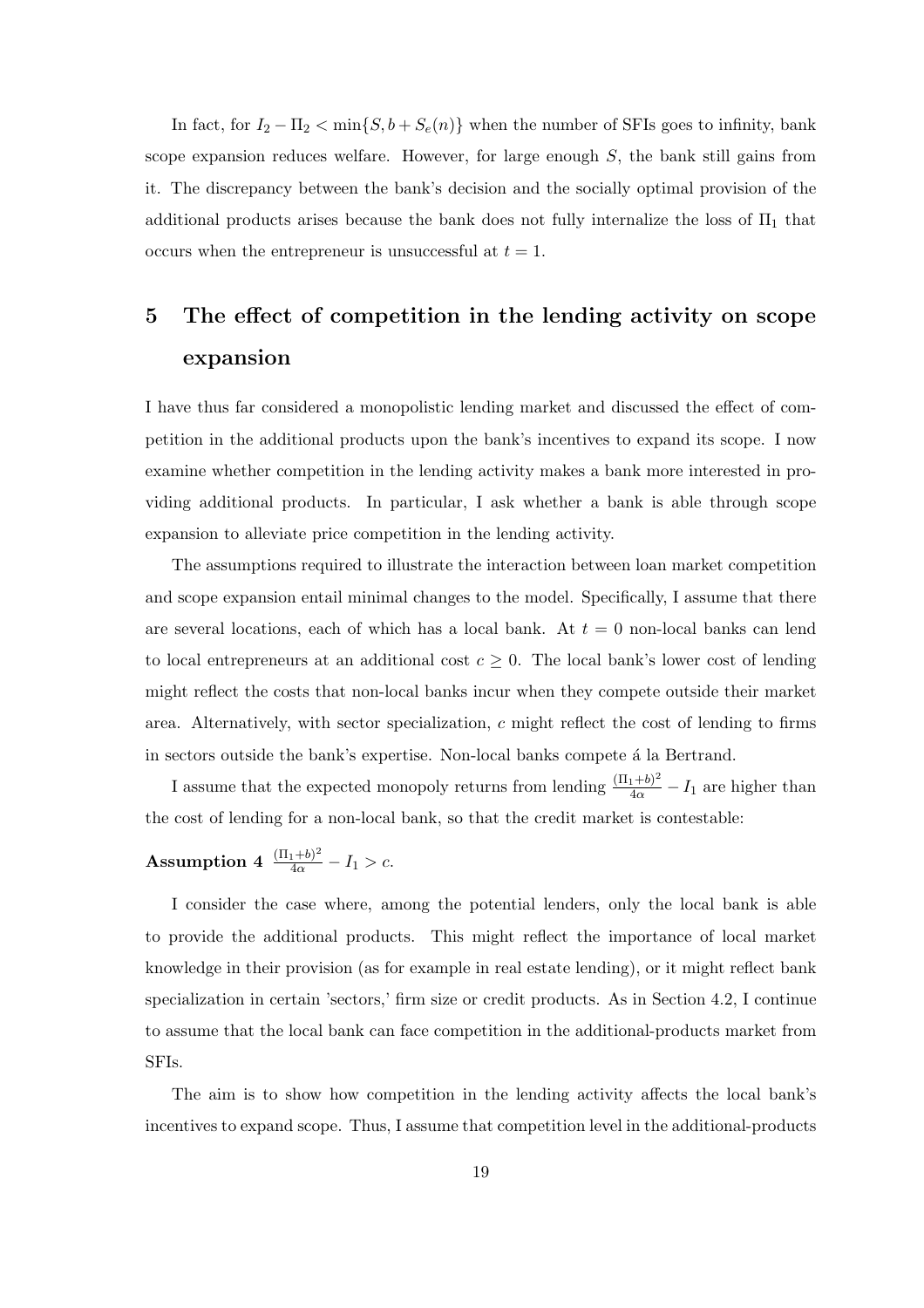In fact, for  $I_2 - \Pi_2 < \min\{S, b + S_e(n)\}\$  when the number of SFIs goes to infinity, bank scope expansion reduces welfare. However, for large enough  $S$ , the bank still gains from it. The discrepancy between the bank's decision and the socially optimal provision of the additional products arises because the bank does not fully internalize the loss of  $\Pi_1$  that occurs when the entrepreneur is unsuccessful at  $t = 1$ .

# 5 The effect of competition in the lending activity on scope expansion

I have thus far considered a monopolistic lending market and discussed the effect of competition in the additional products upon the bank's incentives to expand its scope. I now examine whether competition in the lending activity makes a bank more interested in providing additional products. In particular, I ask whether a bank is able through scope expansion to alleviate price competition in the lending activity.

The assumptions required to illustrate the interaction between loan market competition and scope expansion entail minimal changes to the model. Specifically, I assume that there are several locations, each of which has a local bank. At  $t = 0$  non-local banks can lend to local entrepreneurs at an additional cost  $c \geq 0$ . The local bank's lower cost of lending might reflect the costs that non-local banks incur when they compete outside their market area. Alternatively, with sector specialization,  $c$  might reflect the cost of lending to firms in sectors outside the bank's expertise. Non-local banks compete á la Bertrand.

I assume that the expected monopoly returns from lending  $\frac{(\Pi_1+b)^2}{4\alpha}-I_1$  are higher than the cost of lending for a non-local bank, so that the credit market is contestable:

**Assumption 4** 
$$
\frac{(\Pi_1+b)^2}{4\alpha}-I_1 > c.
$$

I consider the case where, among the potential lenders, only the local bank is able to provide the additional products. This might reflect the importance of local market knowledge in their provision (as for example in real estate lending), or it might reflect bank specialization in certain 'sectors,' firm size or credit products. As in Section 4.2, I continue to assume that the local bank can face competition in the additional-products market from SFIs.

The aim is to show how competition in the lending activity affects the local bank's incentives to expand scope. Thus, I assume that competition level in the additional-products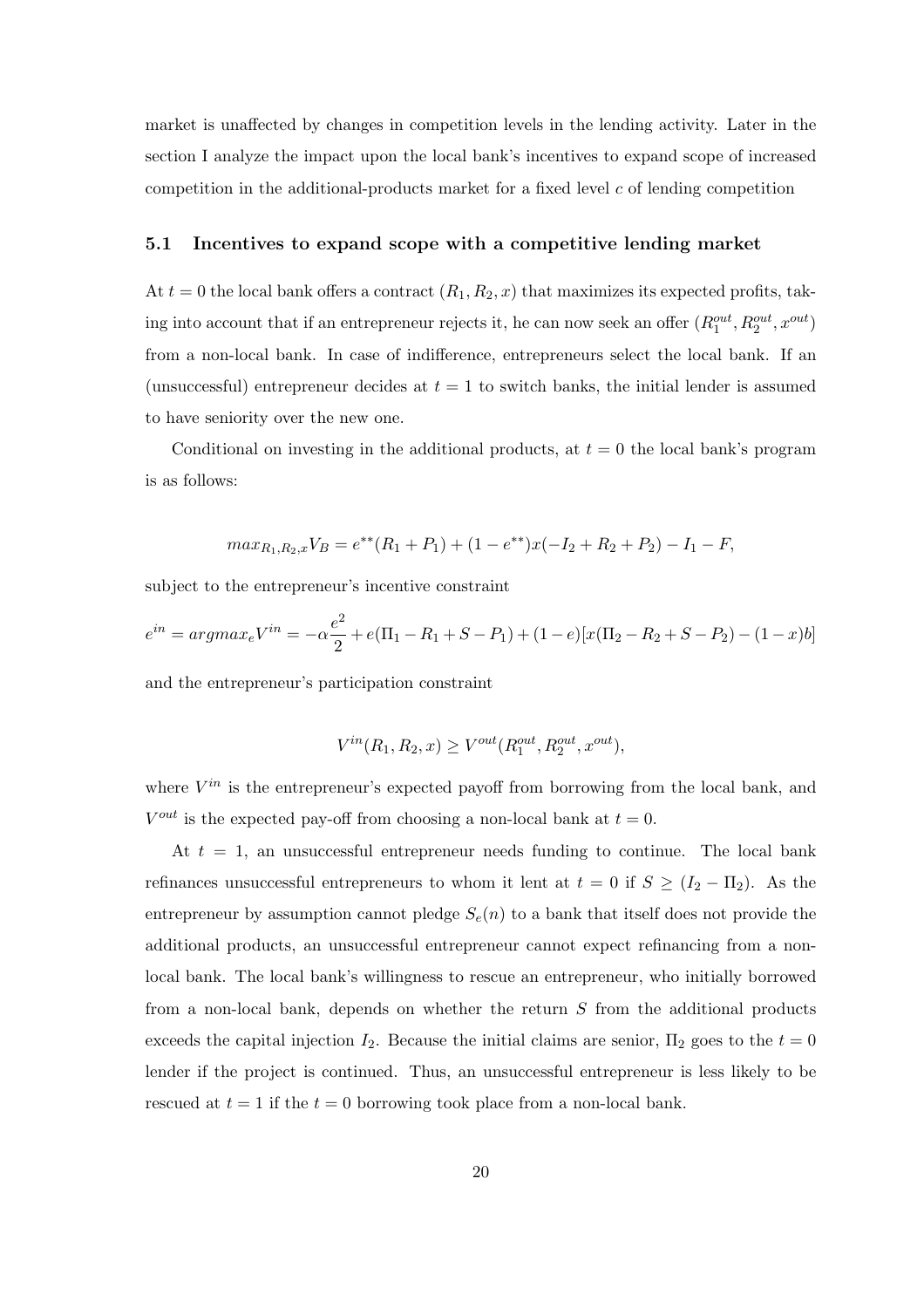market is unaffected by changes in competition levels in the lending activity. Later in the section I analyze the impact upon the local bank's incentives to expand scope of increased competition in the additional-products market for a fixed level  $c$  of lending competition

#### 5.1 Incentives to expand scope with a competitive lending market

At  $t = 0$  the local bank offers a contract  $(R_1, R_2, x)$  that maximizes its expected profits, taking into account that if an entrepreneur rejects it, he can now seek an offer  $(R_1^{out}, R_2^{out}, x^{out})$ from a non-local bank. In case of indifference, entrepreneurs select the local bank. If an (unsuccessful) entrepreneur decides at  $t = 1$  to switch banks, the initial lender is assumed to have seniority over the new one.

Conditional on investing in the additional products, at  $t = 0$  the local bank's program is as follows:

$$
max_{R_1,R_2,x}V_B = e^{**}(R_1 + P_1) + (1 - e^{**})x(-I_2 + R_2 + P_2) - I_1 - F,
$$

subject to the entrepreneur's incentive constraint

$$
e^{in} = argmax_e V^{in} = -\alpha \frac{e^2}{2} + e(\Pi_1 - R_1 + S - P_1) + (1 - e)[x(\Pi_2 - R_2 + S - P_2) - (1 - x)b]
$$

and the entrepreneur's participation constraint

$$
V^{in}(R_1, R_2, x) \ge V^{out}(R_1^{out}, R_2^{out}, x^{out}),
$$

where  $V^{in}$  is the entrepreneur's expected payoff from borrowing from the local bank, and  $V^{out}$  is the expected pay-off from choosing a non-local bank at  $t = 0$ .

At  $t = 1$ , an unsuccessful entrepreneur needs funding to continue. The local bank refinances unsuccessful entrepreneurs to whom it lent at  $t = 0$  if  $S \geq (I_2 - \Pi_2)$ . As the entrepreneur by assumption cannot pledge  $S_e(n)$  to a bank that itself does not provide the additional products, an unsuccessful entrepreneur cannot expect refinancing from a nonlocal bank. The local bank's willingness to rescue an entrepreneur, who initially borrowed from a non-local bank, depends on whether the return S from the additional products exceeds the capital injection  $I_2$ . Because the initial claims are senior,  $\Pi_2$  goes to the  $t = 0$ lender if the project is continued. Thus, an unsuccessful entrepreneur is less likely to be rescued at  $t = 1$  if the  $t = 0$  borrowing took place from a non-local bank.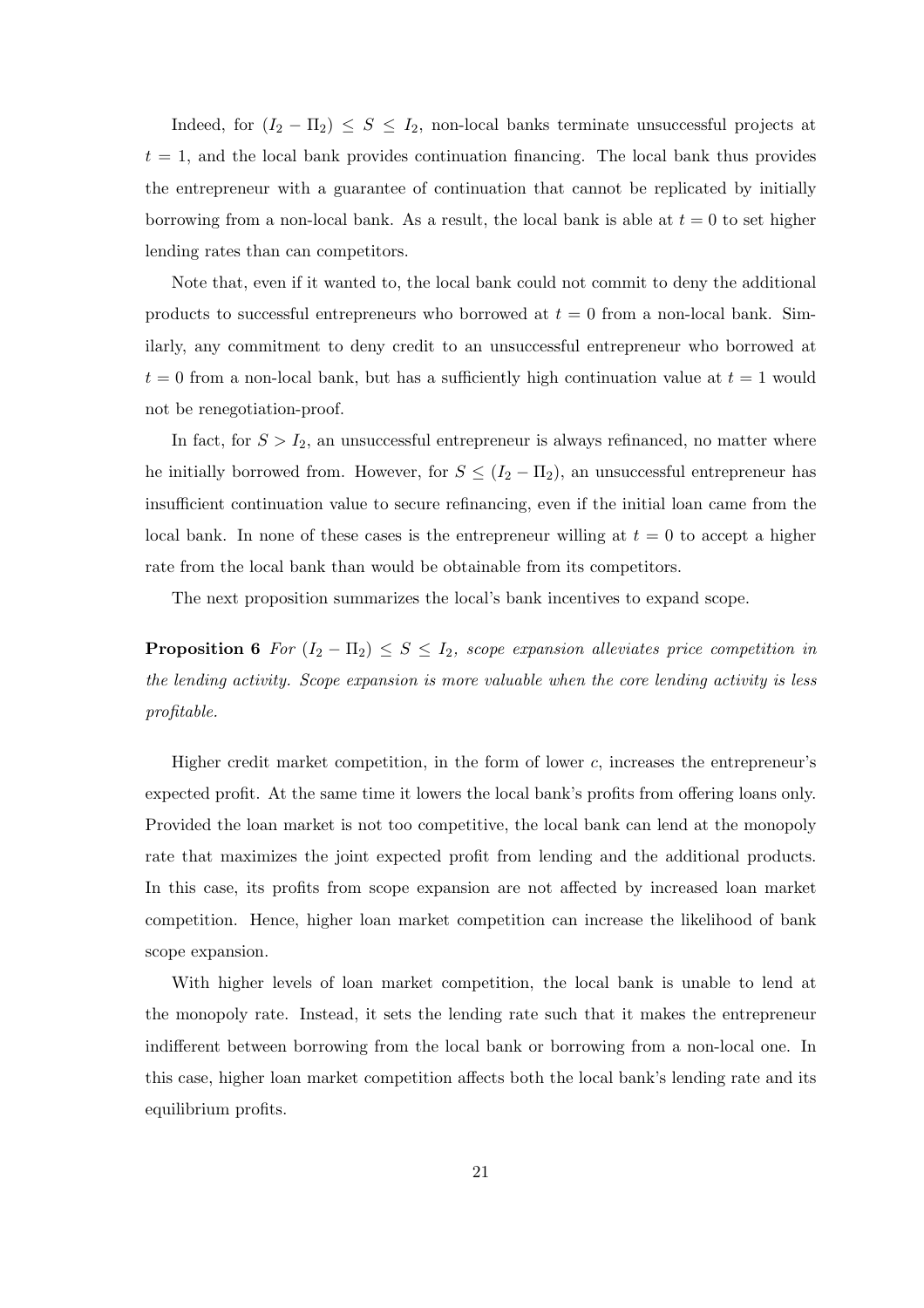Indeed, for  $(I_2 - \Pi_2) \leq S \leq I_2$ , non-local banks terminate unsuccessful projects at  $t = 1$ , and the local bank provides continuation financing. The local bank thus provides the entrepreneur with a guarantee of continuation that cannot be replicated by initially borrowing from a non-local bank. As a result, the local bank is able at  $t = 0$  to set higher lending rates than can competitors.

Note that, even if it wanted to, the local bank could not commit to deny the additional products to successful entrepreneurs who borrowed at  $t = 0$  from a non-local bank. Similarly, any commitment to deny credit to an unsuccessful entrepreneur who borrowed at  $t = 0$  from a non-local bank, but has a sufficiently high continuation value at  $t = 1$  would not be renegotiation-proof.

In fact, for  $S > I_2$ , an unsuccessful entrepreneur is always refinanced, no matter where he initially borrowed from. However, for  $S \leq (I_2 - \Pi_2)$ , an unsuccessful entrepreneur has insufficient continuation value to secure refinancing, even if the initial loan came from the local bank. In none of these cases is the entrepreneur willing at  $t = 0$  to accept a higher rate from the local bank than would be obtainable from its competitors.

The next proposition summarizes the local's bank incentives to expand scope.

**Proposition 6** For  $(I_2 - \Pi_2) \leq S \leq I_2$ , scope expansion alleviates price competition in the lending activity. Scope expansion is more valuable when the core lending activity is less profitable.

Higher credit market competition, in the form of lower  $c$ , increases the entrepreneur's expected profit. At the same time it lowers the local bank's profits from offering loans only. Provided the loan market is not too competitive, the local bank can lend at the monopoly rate that maximizes the joint expected profit from lending and the additional products. In this case, its profits from scope expansion are not affected by increased loan market competition. Hence, higher loan market competition can increase the likelihood of bank scope expansion.

With higher levels of loan market competition, the local bank is unable to lend at the monopoly rate. Instead, it sets the lending rate such that it makes the entrepreneur indifferent between borrowing from the local bank or borrowing from a non-local one. In this case, higher loan market competition affects both the local bank's lending rate and its equilibrium profits.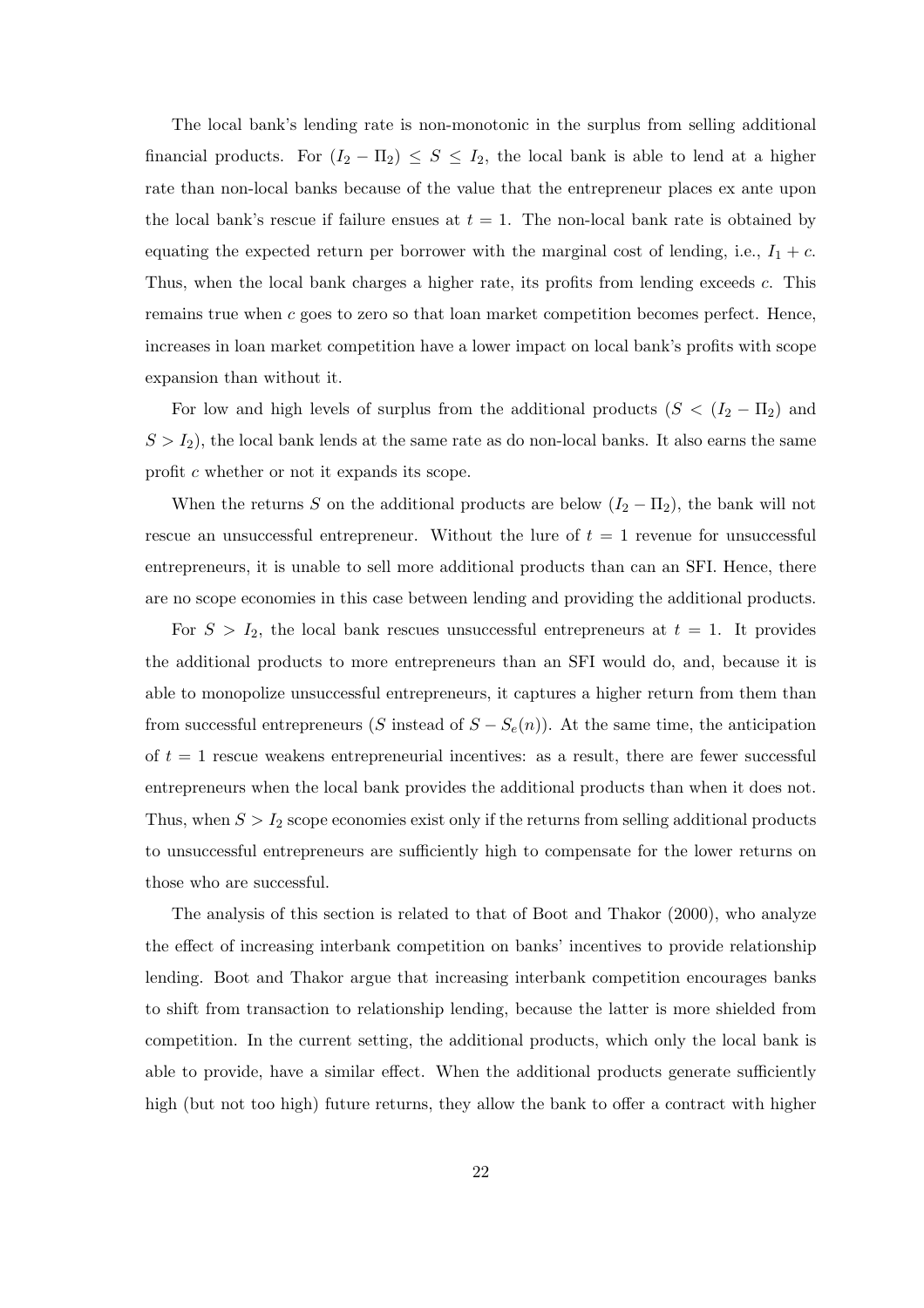The local bank's lending rate is non-monotonic in the surplus from selling additional financial products. For  $(I_2 - \Pi_2) \leq S \leq I_2$ , the local bank is able to lend at a higher rate than non-local banks because of the value that the entrepreneur places ex ante upon the local bank's rescue if failure ensues at  $t = 1$ . The non-local bank rate is obtained by equating the expected return per borrower with the marginal cost of lending, i.e.,  $I_1 + c$ . Thus, when the local bank charges a higher rate, its profits from lending exceeds c. This remains true when  $c$  goes to zero so that loan market competition becomes perfect. Hence, increases in loan market competition have a lower impact on local bank's profits with scope expansion than without it.

For low and high levels of surplus from the additional products ( $S < (I_2 - \Pi_2)$ ) and  $S > I_2$ , the local bank lends at the same rate as do non-local banks. It also earns the same profit c whether or not it expands its scope.

When the returns S on the additional products are below  $(I_2 - \Pi_2)$ , the bank will not rescue an unsuccessful entrepreneur. Without the lure of  $t = 1$  revenue for unsuccessful entrepreneurs, it is unable to sell more additional products than can an SFI. Hence, there are no scope economies in this case between lending and providing the additional products.

For  $S > I_2$ , the local bank rescues unsuccessful entrepreneurs at  $t = 1$ . It provides the additional products to more entrepreneurs than an SFI would do, and, because it is able to monopolize unsuccessful entrepreneurs, it captures a higher return from them than from successful entrepreneurs (S instead of  $S - S<sub>e</sub>(n)$ ). At the same time, the anticipation of  $t = 1$  rescue weakens entrepreneurial incentives: as a result, there are fewer successful entrepreneurs when the local bank provides the additional products than when it does not. Thus, when  $S > I_2$  scope economies exist only if the returns from selling additional products to unsuccessful entrepreneurs are sufficiently high to compensate for the lower returns on those who are successful.

The analysis of this section is related to that of Boot and Thakor (2000), who analyze the effect of increasing interbank competition on banks' incentives to provide relationship lending. Boot and Thakor argue that increasing interbank competition encourages banks to shift from transaction to relationship lending, because the latter is more shielded from competition. In the current setting, the additional products, which only the local bank is able to provide, have a similar effect. When the additional products generate sufficiently high (but not too high) future returns, they allow the bank to offer a contract with higher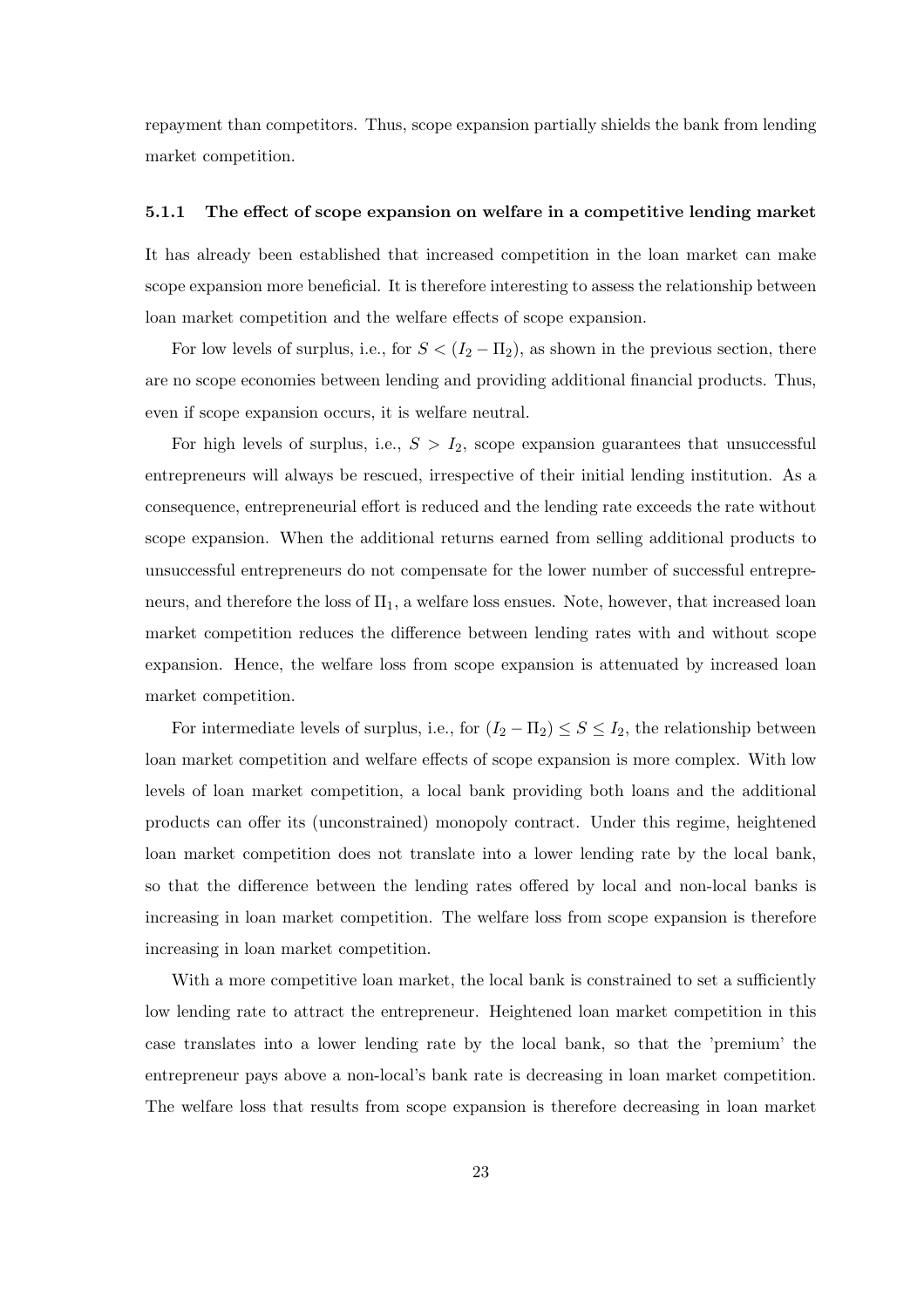repayment than competitors. Thus, scope expansion partially shields the bank from lending market competition.

#### 5.1.1 The effect of scope expansion on welfare in a competitive lending market

It has already been established that increased competition in the loan market can make scope expansion more beneficial. It is therefore interesting to assess the relationship between loan market competition and the welfare effects of scope expansion.

For low levels of surplus, i.e., for  $S < (I_2 - \Pi_2)$ , as shown in the previous section, there are no scope economies between lending and providing additional financial products. Thus, even if scope expansion occurs, it is welfare neutral.

For high levels of surplus, i.e.,  $S > I_2$ , scope expansion guarantees that unsuccessful entrepreneurs will always be rescued, irrespective of their initial lending institution. As a consequence, entrepreneurial effort is reduced and the lending rate exceeds the rate without scope expansion. When the additional returns earned from selling additional products to unsuccessful entrepreneurs do not compensate for the lower number of successful entrepreneurs, and therefore the loss of  $\Pi_1$ , a welfare loss ensues. Note, however, that increased loan market competition reduces the difference between lending rates with and without scope expansion. Hence, the welfare loss from scope expansion is attenuated by increased loan market competition.

For intermediate levels of surplus, i.e., for  $(I_2 - \Pi_2) \leq S \leq I_2$ , the relationship between loan market competition and welfare effects of scope expansion is more complex. With low levels of loan market competition, a local bank providing both loans and the additional products can offer its (unconstrained) monopoly contract. Under this regime, heightened loan market competition does not translate into a lower lending rate by the local bank, so that the difference between the lending rates offered by local and non-local banks is increasing in loan market competition. The welfare loss from scope expansion is therefore increasing in loan market competition.

With a more competitive loan market, the local bank is constrained to set a sufficiently low lending rate to attract the entrepreneur. Heightened loan market competition in this case translates into a lower lending rate by the local bank, so that the 'premium' the entrepreneur pays above a non-local's bank rate is decreasing in loan market competition. The welfare loss that results from scope expansion is therefore decreasing in loan market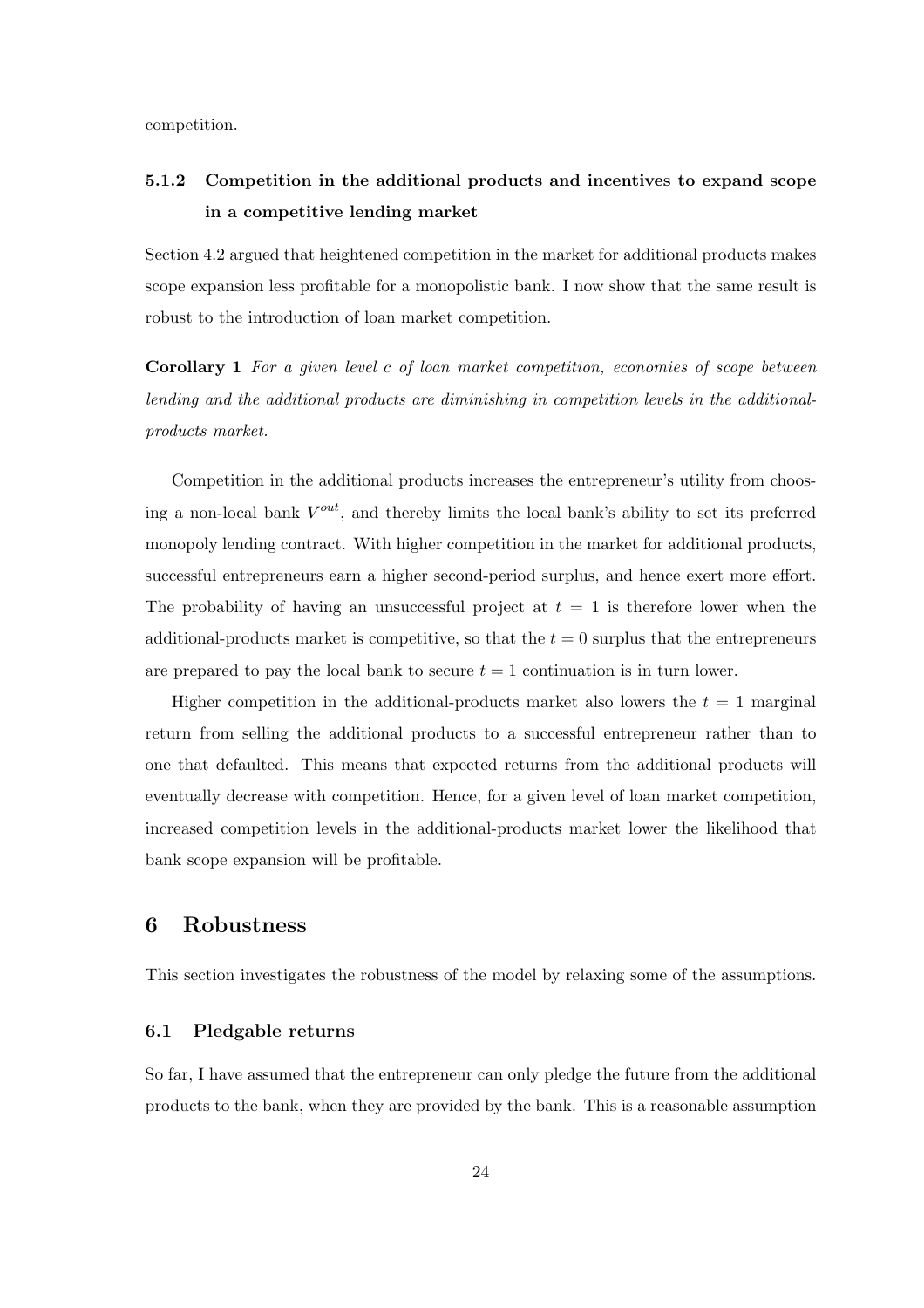competition.

#### 5.1.2 Competition in the additional products and incentives to expand scope in a competitive lending market

Section 4.2 argued that heightened competition in the market for additional products makes scope expansion less profitable for a monopolistic bank. I now show that the same result is robust to the introduction of loan market competition.

Corollary 1 For a given level c of loan market competition, economies of scope between lending and the additional products are diminishing in competition levels in the additionalproducts market.

Competition in the additional products increases the entrepreneur's utility from choosing a non-local bank  $V^{out}$ , and thereby limits the local bank's ability to set its preferred monopoly lending contract. With higher competition in the market for additional products, successful entrepreneurs earn a higher second-period surplus, and hence exert more effort. The probability of having an unsuccessful project at  $t = 1$  is therefore lower when the additional-products market is competitive, so that the  $t = 0$  surplus that the entrepreneurs are prepared to pay the local bank to secure  $t = 1$  continuation is in turn lower.

Higher competition in the additional-products market also lowers the  $t = 1$  marginal return from selling the additional products to a successful entrepreneur rather than to one that defaulted. This means that expected returns from the additional products will eventually decrease with competition. Hence, for a given level of loan market competition, increased competition levels in the additional-products market lower the likelihood that bank scope expansion will be profitable.

#### 6 Robustness

This section investigates the robustness of the model by relaxing some of the assumptions.

#### 6.1 Pledgable returns

So far, I have assumed that the entrepreneur can only pledge the future from the additional products to the bank, when they are provided by the bank. This is a reasonable assumption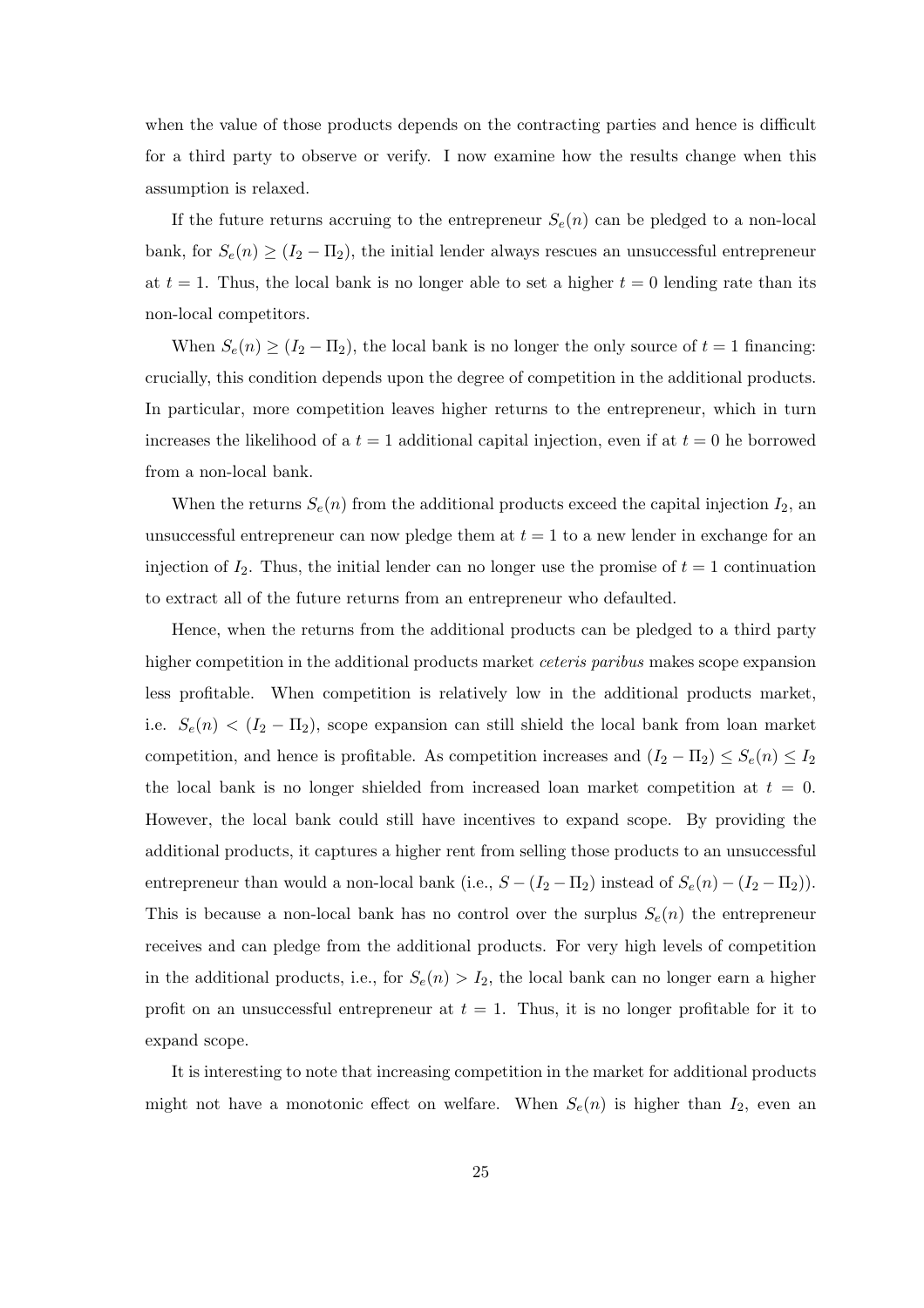when the value of those products depends on the contracting parties and hence is difficult for a third party to observe or verify. I now examine how the results change when this assumption is relaxed.

If the future returns accruing to the entrepreneur  $S_e(n)$  can be pledged to a non-local bank, for  $S_e(n) \geq (I_2 - \Pi_2)$ , the initial lender always rescues an unsuccessful entrepreneur at  $t = 1$ . Thus, the local bank is no longer able to set a higher  $t = 0$  lending rate than its non-local competitors.

When  $S_e(n) \geq (I_2 - \Pi_2)$ , the local bank is no longer the only source of  $t = 1$  financing: crucially, this condition depends upon the degree of competition in the additional products. In particular, more competition leaves higher returns to the entrepreneur, which in turn increases the likelihood of a  $t = 1$  additional capital injection, even if at  $t = 0$  he borrowed from a non-local bank.

When the returns  $S_e(n)$  from the additional products exceed the capital injection  $I_2$ , and unsuccessful entrepreneur can now pledge them at  $t = 1$  to a new lender in exchange for an injection of  $I_2$ . Thus, the initial lender can no longer use the promise of  $t = 1$  continuation to extract all of the future returns from an entrepreneur who defaulted.

Hence, when the returns from the additional products can be pledged to a third party higher competition in the additional products market *ceteris paribus* makes scope expansion less profitable. When competition is relatively low in the additional products market, i.e.  $S_e(n) < (I_2 - \Pi_2)$ , scope expansion can still shield the local bank from loan market competition, and hence is profitable. As competition increases and  $(I_2 - \Pi_2) \leq S_e(n) \leq I_2$ the local bank is no longer shielded from increased loan market competition at  $t = 0$ . However, the local bank could still have incentives to expand scope. By providing the additional products, it captures a higher rent from selling those products to an unsuccessful entrepreneur than would a non-local bank (i.e.,  $S - (I_2 - \Pi_2)$  instead of  $S_e(n) - (I_2 - \Pi_2)$ ). This is because a non-local bank has no control over the surplus  $S_e(n)$  the entrepreneur receives and can pledge from the additional products. For very high levels of competition in the additional products, i.e., for  $S_e(n) > I_2$ , the local bank can no longer earn a higher profit on an unsuccessful entrepreneur at  $t = 1$ . Thus, it is no longer profitable for it to expand scope.

It is interesting to note that increasing competition in the market for additional products might not have a monotonic effect on welfare. When  $S_e(n)$  is higher than  $I_2$ , even an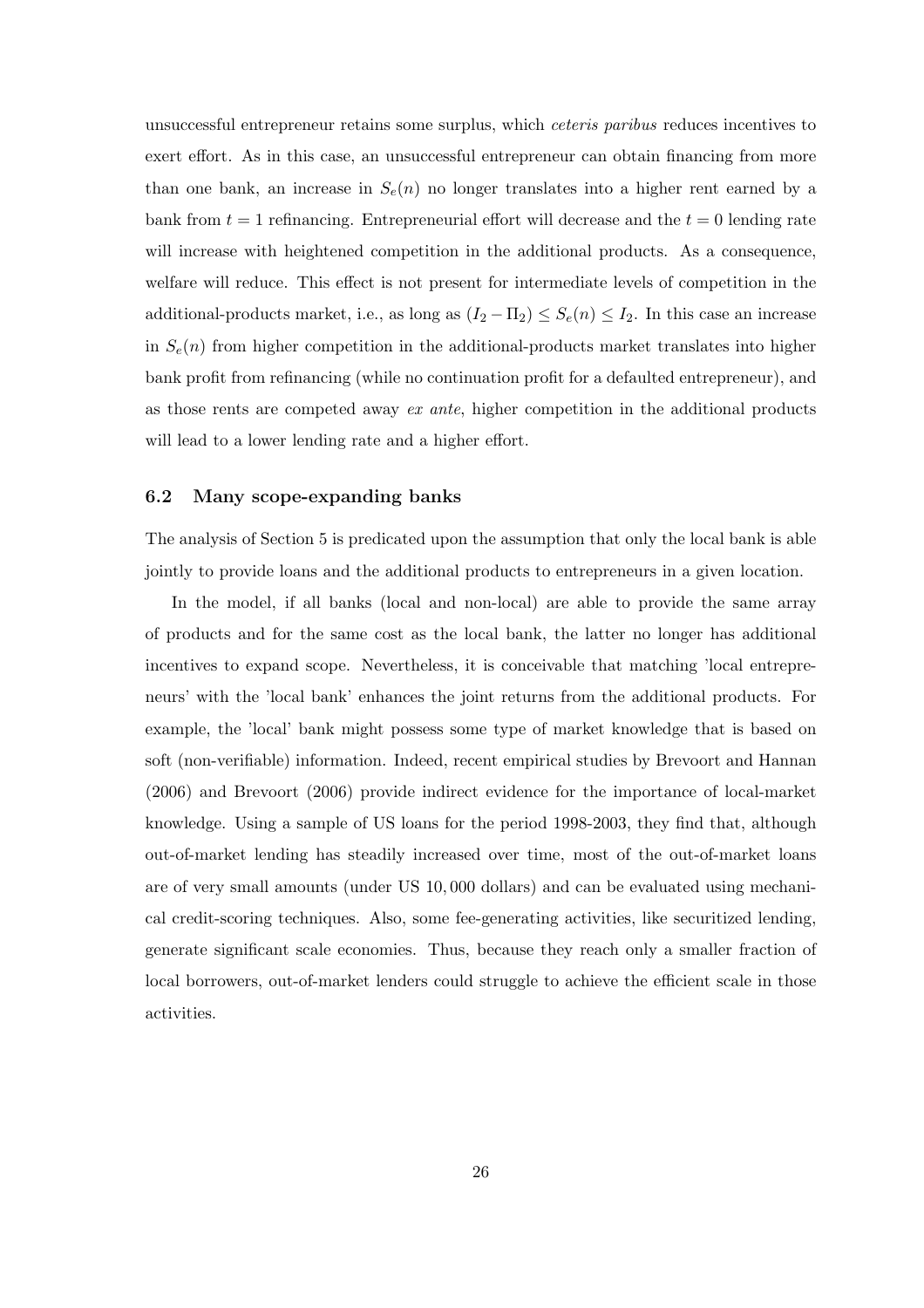unsuccessful entrepreneur retains some surplus, which ceteris paribus reduces incentives to exert effort. As in this case, an unsuccessful entrepreneur can obtain financing from more than one bank, an increase in  $S_e(n)$  no longer translates into a higher rent earned by a bank from  $t = 1$  refinancing. Entrepreneurial effort will decrease and the  $t = 0$  lending rate will increase with heightened competition in the additional products. As a consequence, welfare will reduce. This effect is not present for intermediate levels of competition in the additional-products market, i.e., as long as  $(I_2 - \Pi_2) \leq S_e(n) \leq I_2$ . In this case an increase in  $S_e(n)$  from higher competition in the additional-products market translates into higher bank profit from refinancing (while no continuation profit for a defaulted entrepreneur), and as those rents are competed away ex ante, higher competition in the additional products will lead to a lower lending rate and a higher effort.

#### 6.2 Many scope-expanding banks

The analysis of Section 5 is predicated upon the assumption that only the local bank is able jointly to provide loans and the additional products to entrepreneurs in a given location.

In the model, if all banks (local and non-local) are able to provide the same array of products and for the same cost as the local bank, the latter no longer has additional incentives to expand scope. Nevertheless, it is conceivable that matching 'local entrepreneurs' with the 'local bank' enhances the joint returns from the additional products. For example, the 'local' bank might possess some type of market knowledge that is based on soft (non-verifiable) information. Indeed, recent empirical studies by Brevoort and Hannan (2006) and Brevoort (2006) provide indirect evidence for the importance of local-market knowledge. Using a sample of US loans for the period 1998-2003, they find that, although out-of-market lending has steadily increased over time, most of the out-of-market loans are of very small amounts (under US 10, 000 dollars) and can be evaluated using mechanical credit-scoring techniques. Also, some fee-generating activities, like securitized lending, generate significant scale economies. Thus, because they reach only a smaller fraction of local borrowers, out-of-market lenders could struggle to achieve the efficient scale in those activities.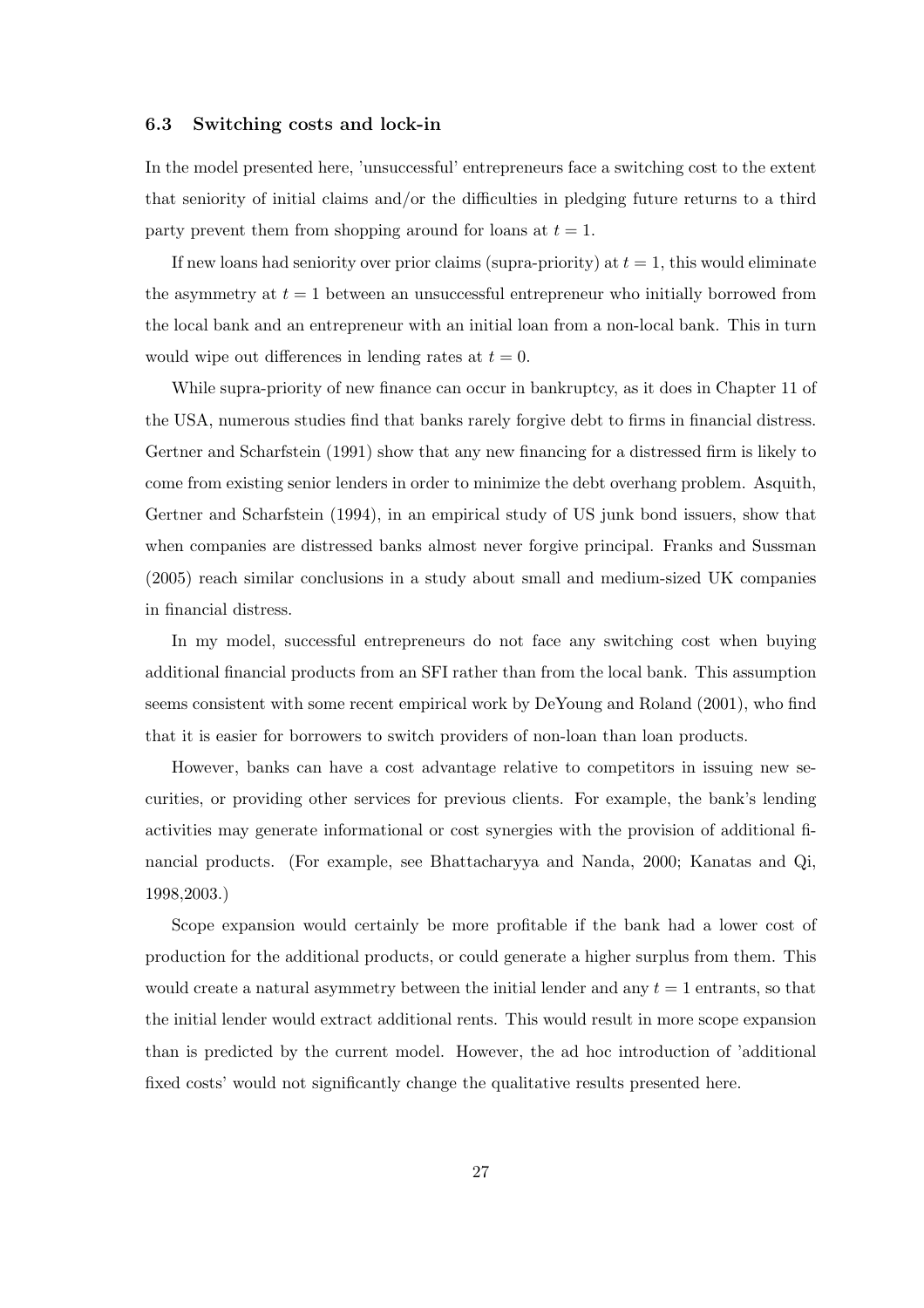#### 6.3 Switching costs and lock-in

In the model presented here, 'unsuccessful' entrepreneurs face a switching cost to the extent that seniority of initial claims and/or the difficulties in pledging future returns to a third party prevent them from shopping around for loans at  $t = 1$ .

If new loans had seniority over prior claims (supra-priority) at  $t = 1$ , this would eliminate the asymmetry at  $t = 1$  between an unsuccessful entrepreneur who initially borrowed from the local bank and an entrepreneur with an initial loan from a non-local bank. This in turn would wipe out differences in lending rates at  $t = 0$ .

While supra-priority of new finance can occur in bankruptcy, as it does in Chapter 11 of the USA, numerous studies find that banks rarely forgive debt to firms in financial distress. Gertner and Scharfstein (1991) show that any new financing for a distressed firm is likely to come from existing senior lenders in order to minimize the debt overhang problem. Asquith, Gertner and Scharfstein (1994), in an empirical study of US junk bond issuers, show that when companies are distressed banks almost never forgive principal. Franks and Sussman (2005) reach similar conclusions in a study about small and medium-sized UK companies in financial distress.

In my model, successful entrepreneurs do not face any switching cost when buying additional financial products from an SFI rather than from the local bank. This assumption seems consistent with some recent empirical work by DeYoung and Roland (2001), who find that it is easier for borrowers to switch providers of non-loan than loan products.

However, banks can have a cost advantage relative to competitors in issuing new securities, or providing other services for previous clients. For example, the bank's lending activities may generate informational or cost synergies with the provision of additional financial products. (For example, see Bhattacharyya and Nanda, 2000; Kanatas and Qi, 1998,2003.)

Scope expansion would certainly be more profitable if the bank had a lower cost of production for the additional products, or could generate a higher surplus from them. This would create a natural asymmetry between the initial lender and any  $t = 1$  entrants, so that the initial lender would extract additional rents. This would result in more scope expansion than is predicted by the current model. However, the ad hoc introduction of 'additional fixed costs' would not significantly change the qualitative results presented here.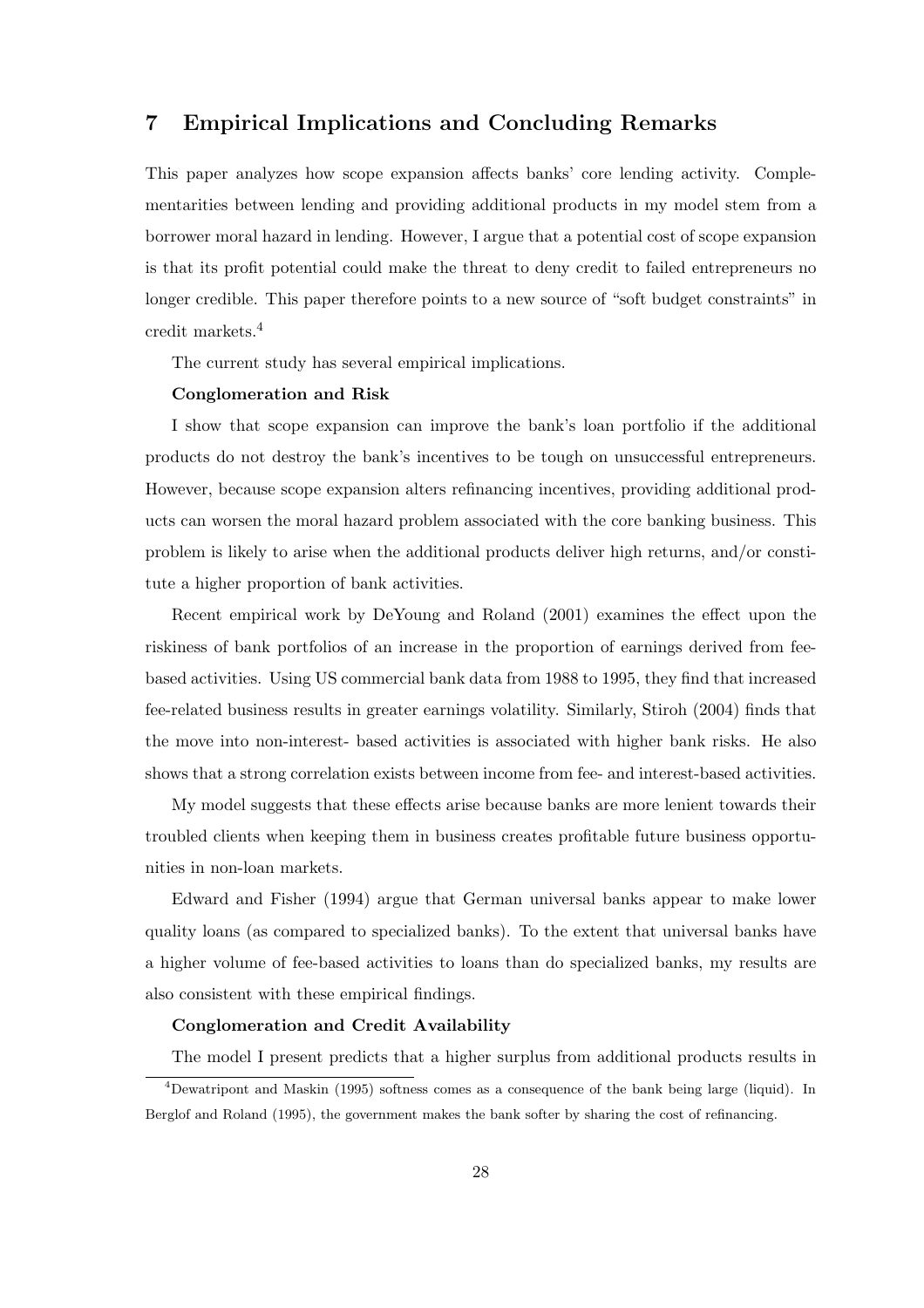#### 7 Empirical Implications and Concluding Remarks

This paper analyzes how scope expansion affects banks' core lending activity. Complementarities between lending and providing additional products in my model stem from a borrower moral hazard in lending. However, I argue that a potential cost of scope expansion is that its profit potential could make the threat to deny credit to failed entrepreneurs no longer credible. This paper therefore points to a new source of "soft budget constraints" in credit markets.<sup>4</sup>

The current study has several empirical implications.

#### Conglomeration and Risk

I show that scope expansion can improve the bank's loan portfolio if the additional products do not destroy the bank's incentives to be tough on unsuccessful entrepreneurs. However, because scope expansion alters refinancing incentives, providing additional products can worsen the moral hazard problem associated with the core banking business. This problem is likely to arise when the additional products deliver high returns, and/or constitute a higher proportion of bank activities.

Recent empirical work by DeYoung and Roland (2001) examines the effect upon the riskiness of bank portfolios of an increase in the proportion of earnings derived from feebased activities. Using US commercial bank data from 1988 to 1995, they find that increased fee-related business results in greater earnings volatility. Similarly, Stiroh (2004) finds that the move into non-interest- based activities is associated with higher bank risks. He also shows that a strong correlation exists between income from fee- and interest-based activities.

My model suggests that these effects arise because banks are more lenient towards their troubled clients when keeping them in business creates profitable future business opportunities in non-loan markets.

Edward and Fisher (1994) argue that German universal banks appear to make lower quality loans (as compared to specialized banks). To the extent that universal banks have a higher volume of fee-based activities to loans than do specialized banks, my results are also consistent with these empirical findings.

#### Conglomeration and Credit Availability

The model I present predicts that a higher surplus from additional products results in

<sup>4</sup>Dewatripont and Maskin (1995) softness comes as a consequence of the bank being large (liquid). In Berglof and Roland (1995), the government makes the bank softer by sharing the cost of refinancing.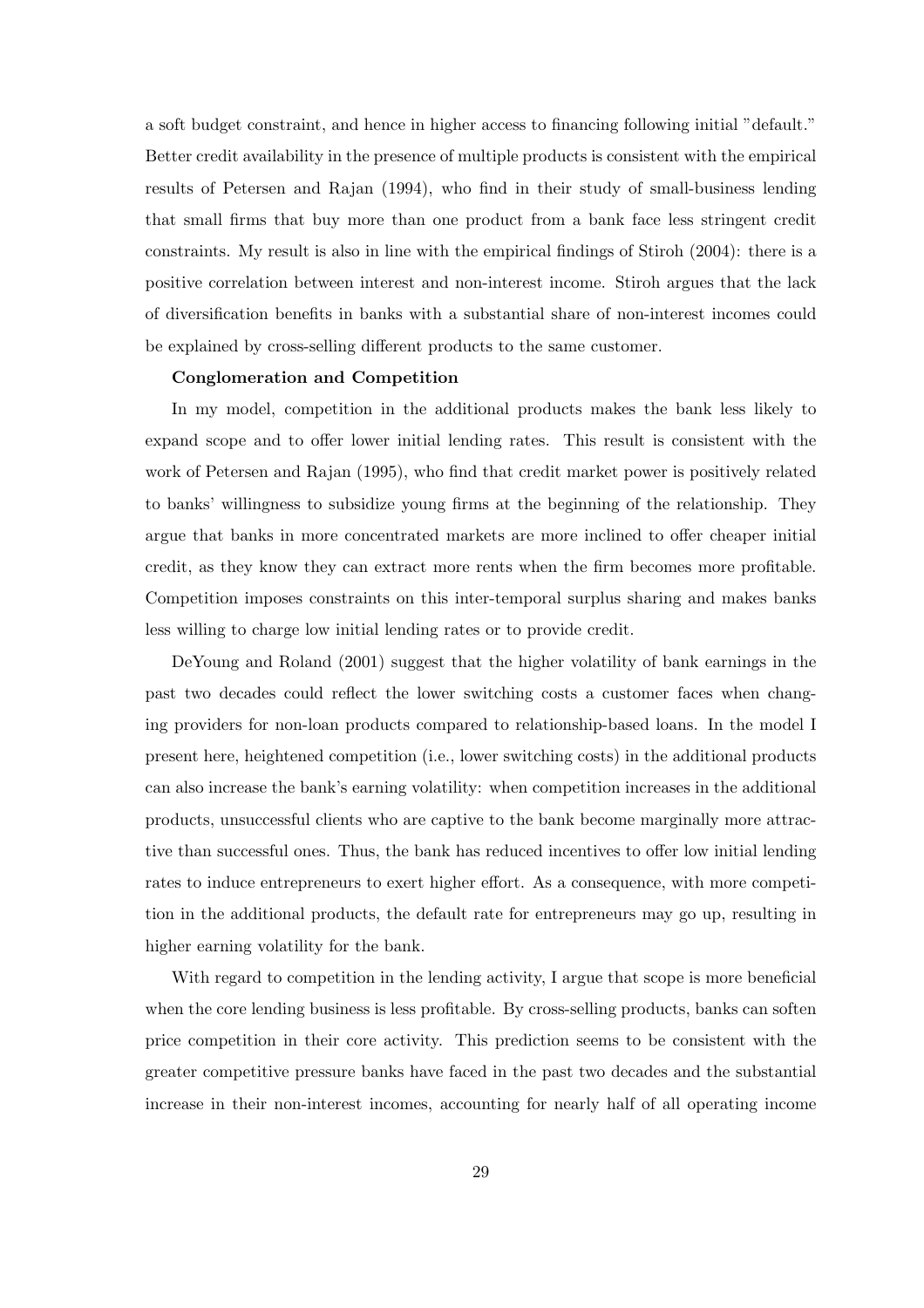a soft budget constraint, and hence in higher access to financing following initial "default." Better credit availability in the presence of multiple products is consistent with the empirical results of Petersen and Rajan (1994), who find in their study of small-business lending that small firms that buy more than one product from a bank face less stringent credit constraints. My result is also in line with the empirical findings of Stiroh (2004): there is a positive correlation between interest and non-interest income. Stiroh argues that the lack of diversification benefits in banks with a substantial share of non-interest incomes could be explained by cross-selling different products to the same customer.

#### Conglomeration and Competition

In my model, competition in the additional products makes the bank less likely to expand scope and to offer lower initial lending rates. This result is consistent with the work of Petersen and Rajan (1995), who find that credit market power is positively related to banks' willingness to subsidize young firms at the beginning of the relationship. They argue that banks in more concentrated markets are more inclined to offer cheaper initial credit, as they know they can extract more rents when the firm becomes more profitable. Competition imposes constraints on this inter-temporal surplus sharing and makes banks less willing to charge low initial lending rates or to provide credit.

DeYoung and Roland (2001) suggest that the higher volatility of bank earnings in the past two decades could reflect the lower switching costs a customer faces when changing providers for non-loan products compared to relationship-based loans. In the model I present here, heightened competition (i.e., lower switching costs) in the additional products can also increase the bank's earning volatility: when competition increases in the additional products, unsuccessful clients who are captive to the bank become marginally more attractive than successful ones. Thus, the bank has reduced incentives to offer low initial lending rates to induce entrepreneurs to exert higher effort. As a consequence, with more competition in the additional products, the default rate for entrepreneurs may go up, resulting in higher earning volatility for the bank.

With regard to competition in the lending activity, I argue that scope is more beneficial when the core lending business is less profitable. By cross-selling products, banks can soften price competition in their core activity. This prediction seems to be consistent with the greater competitive pressure banks have faced in the past two decades and the substantial increase in their non-interest incomes, accounting for nearly half of all operating income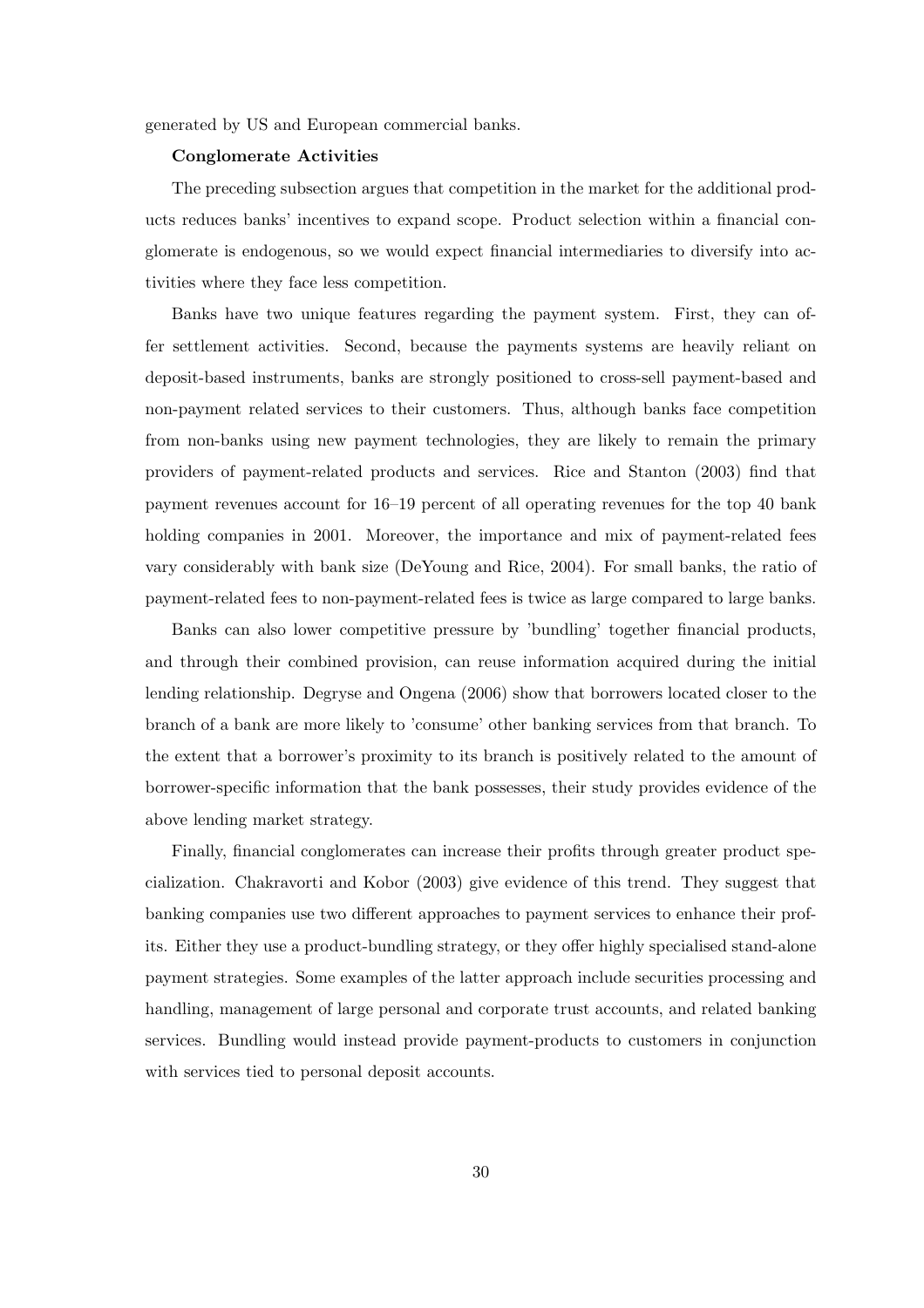generated by US and European commercial banks.

#### Conglomerate Activities

The preceding subsection argues that competition in the market for the additional products reduces banks' incentives to expand scope. Product selection within a financial conglomerate is endogenous, so we would expect financial intermediaries to diversify into activities where they face less competition.

Banks have two unique features regarding the payment system. First, they can offer settlement activities. Second, because the payments systems are heavily reliant on deposit-based instruments, banks are strongly positioned to cross-sell payment-based and non-payment related services to their customers. Thus, although banks face competition from non-banks using new payment technologies, they are likely to remain the primary providers of payment-related products and services. Rice and Stanton (2003) find that payment revenues account for 16–19 percent of all operating revenues for the top 40 bank holding companies in 2001. Moreover, the importance and mix of payment-related fees vary considerably with bank size (DeYoung and Rice, 2004). For small banks, the ratio of payment-related fees to non-payment-related fees is twice as large compared to large banks.

Banks can also lower competitive pressure by 'bundling' together financial products, and through their combined provision, can reuse information acquired during the initial lending relationship. Degryse and Ongena (2006) show that borrowers located closer to the branch of a bank are more likely to 'consume' other banking services from that branch. To the extent that a borrower's proximity to its branch is positively related to the amount of borrower-specific information that the bank possesses, their study provides evidence of the above lending market strategy.

Finally, financial conglomerates can increase their profits through greater product specialization. Chakravorti and Kobor (2003) give evidence of this trend. They suggest that banking companies use two different approaches to payment services to enhance their profits. Either they use a product-bundling strategy, or they offer highly specialised stand-alone payment strategies. Some examples of the latter approach include securities processing and handling, management of large personal and corporate trust accounts, and related banking services. Bundling would instead provide payment-products to customers in conjunction with services tied to personal deposit accounts.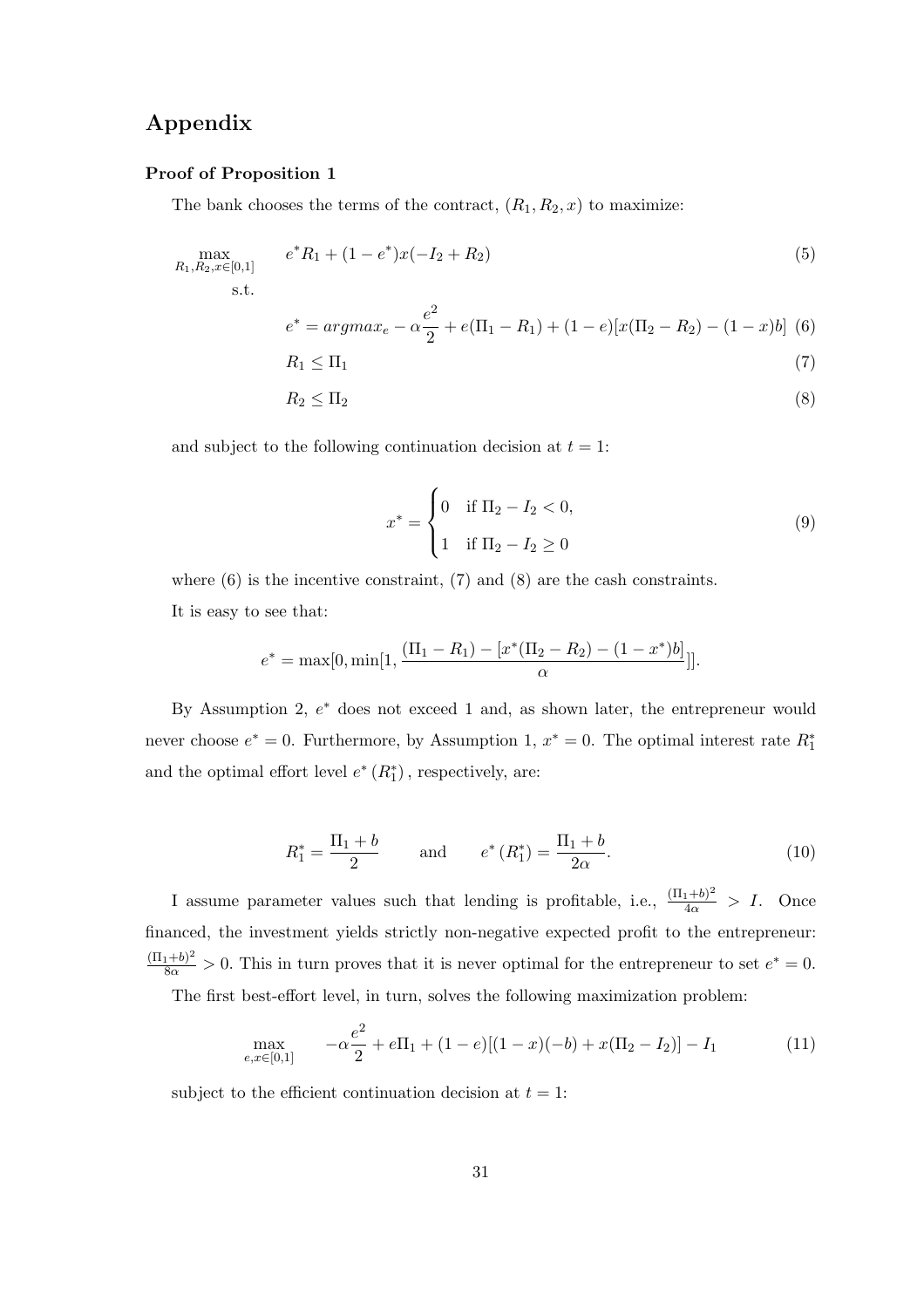#### Appendix

#### Proof of Proposition 1

The bank chooses the terms of the contract,  $(R_1, R_2, x)$  to maximize:

$$
\max_{R_1, R_2, x \in [0,1]} e^* R_1 + (1 - e^*) x (-I_2 + R_2)
$$
\n
$$
\text{s.t.}
$$
\n
$$
e^* = \operatorname{argmax}_e - \alpha \frac{e^2}{2} + e(\Pi_1 - R_1) + (1 - e)[x(\Pi_2 - R_2) - (1 - x)b] \tag{6}
$$
\n
$$
R_1 \le \Pi_1 \tag{7}
$$

$$
R_2 \le \Pi_2 \tag{8}
$$

and subject to the following continuation decision at  $t = 1$ :

$$
x^* = \begin{cases} 0 & \text{if } \Pi_2 - I_2 < 0, \\ 1 & \text{if } \Pi_2 - I_2 \ge 0 \end{cases}
$$
 (9)

where  $(6)$  is the incentive constraint,  $(7)$  and  $(8)$  are the cash constraints. It is easy to see that:

$$
e^* = \max[0, \min[1, \frac{(\Pi_1 - R_1) - [x^*(\Pi_2 - R_2) - (1 - x^*)b]}{\alpha}]].
$$

By Assumption 2,  $e^*$  does not exceed 1 and, as shown later, the entrepreneur would never choose  $e^* = 0$ . Furthermore, by Assumption 1,  $x^* = 0$ . The optimal interest rate  $R_1^*$ and the optimal effort level  $e^* (R_1^*)$ , respectively, are:

$$
R_1^* = \frac{\Pi_1 + b}{2} \quad \text{and} \quad e^* (R_1^*) = \frac{\Pi_1 + b}{2\alpha}.
$$
 (10)

I assume parameter values such that lending is profitable, i.e.,  $\frac{(\Pi_1+b)^2}{4\alpha} > I$ . Once financed, the investment yields strictly non-negative expected profit to the entrepreneur:  $\frac{(\Pi_1+b)^2}{8\alpha} > 0$ . This in turn proves that it is never optimal for the entrepreneur to set  $e^* = 0$ .

The first best-effort level, in turn, solves the following maximization problem:

$$
\max_{e,x \in [0,1]} \qquad -\alpha \frac{e^2}{2} + e\Pi_1 + (1-e)[(1-x)(-b) + x(\Pi_2 - I_2)] - I_1 \tag{11}
$$

subject to the efficient continuation decision at  $t = 1$ :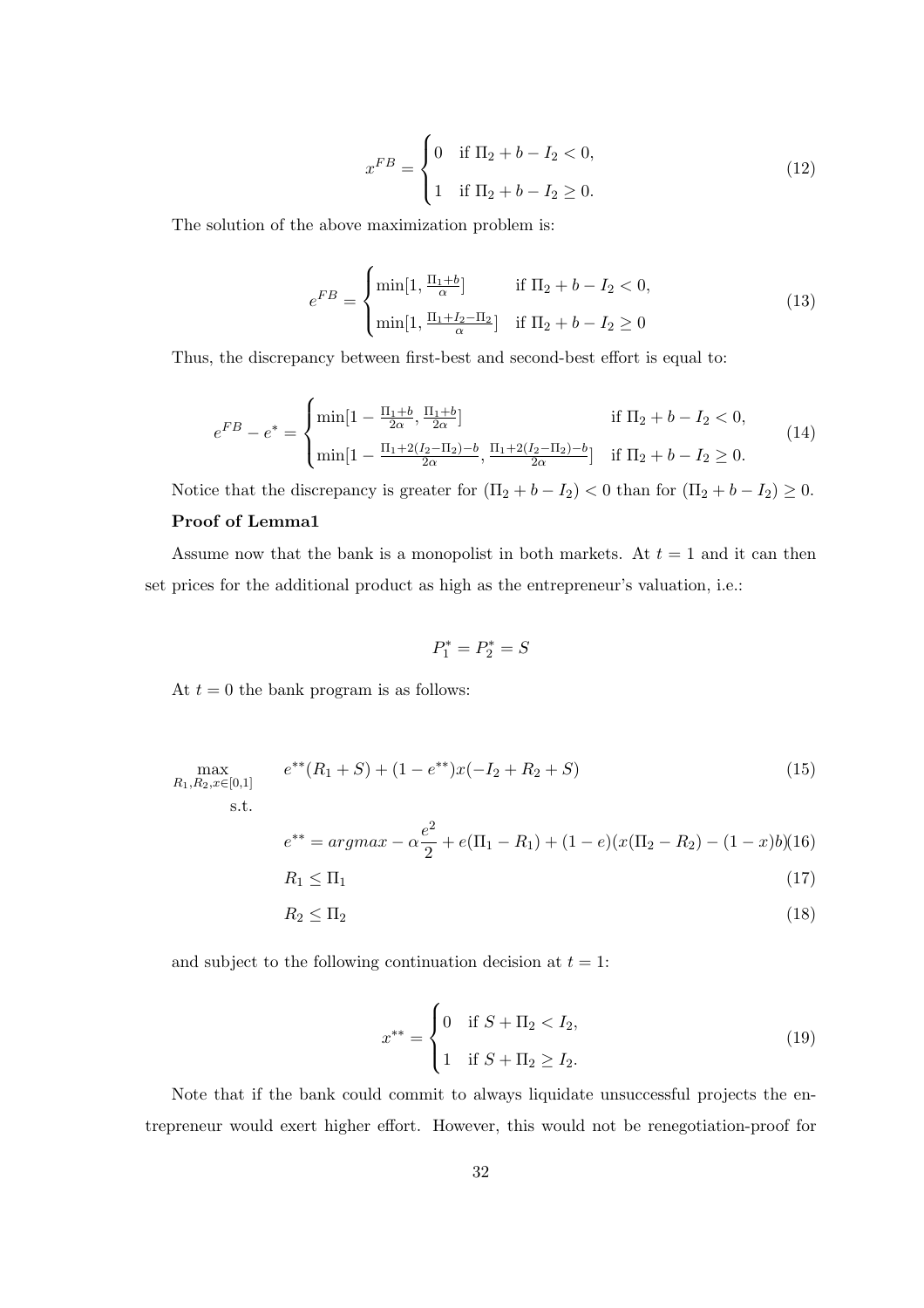$$
x^{FB} = \begin{cases} 0 & \text{if } \Pi_2 + b - I_2 < 0, \\ 1 & \text{if } \Pi_2 + b - I_2 \ge 0. \end{cases}
$$
 (12)

The solution of the above maximization problem is:

$$
e^{FB} = \begin{cases} \min[1, \frac{\Pi_1 + b}{\alpha}] & \text{if } \Pi_2 + b - I_2 < 0, \\ \min[1, \frac{\Pi_1 + I_2 - \Pi_2}{\alpha}] & \text{if } \Pi_2 + b - I_2 \ge 0 \end{cases} \tag{13}
$$

Thus, the discrepancy between first-best and second-best effort is equal to:

$$
e^{FB} - e^* = \begin{cases} \min[1 - \frac{\Pi_1 + b}{2\alpha}, \frac{\Pi_1 + b}{2\alpha}] & \text{if } \Pi_2 + b - I_2 < 0, \\ \min[1 - \frac{\Pi_1 + 2(I_2 - \Pi_2) - b}{2\alpha}, \frac{\Pi_1 + 2(I_2 - \Pi_2) - b}{2\alpha}] & \text{if } \Pi_2 + b - I_2 \ge 0. \end{cases} \tag{14}
$$

Notice that the discrepancy is greater for  $(\Pi_2 + b - I_2) < 0$  than for  $(\Pi_2 + b - I_2) \ge 0$ .

#### Proof of Lemma1

Assume now that the bank is a monopolist in both markets. At  $t = 1$  and it can then set prices for the additional product as high as the entrepreneur's valuation, i.e.:

$$
P_1^* = P_2^* = S
$$

At  $t = 0$  the bank program is as follows:

$$
\max_{R_1, R_2, x \in [0,1]} e^{**}(R_1 + S) + (1 - e^{**})x(-I_2 + R_2 + S)
$$
\n
$$
\text{s.t.} \tag{15}
$$

$$
e^{**} = argmax - \alpha \frac{e^2}{2} + e(\Pi_1 - R_1) + (1 - e)(x(\Pi_2 - R_2) - (1 - x)b)(16)
$$

$$
R_1 \le \Pi_1 \tag{17}
$$

$$
R_2 \le \Pi_2 \tag{18}
$$

and subject to the following continuation decision at  $t = 1$ :

$$
x^{**} = \begin{cases} 0 & \text{if } S + \Pi_2 < I_2, \\ 1 & \text{if } S + \Pi_2 \ge I_2. \end{cases} \tag{19}
$$

Note that if the bank could commit to always liquidate unsuccessful projects the entrepreneur would exert higher effort. However, this would not be renegotiation-proof for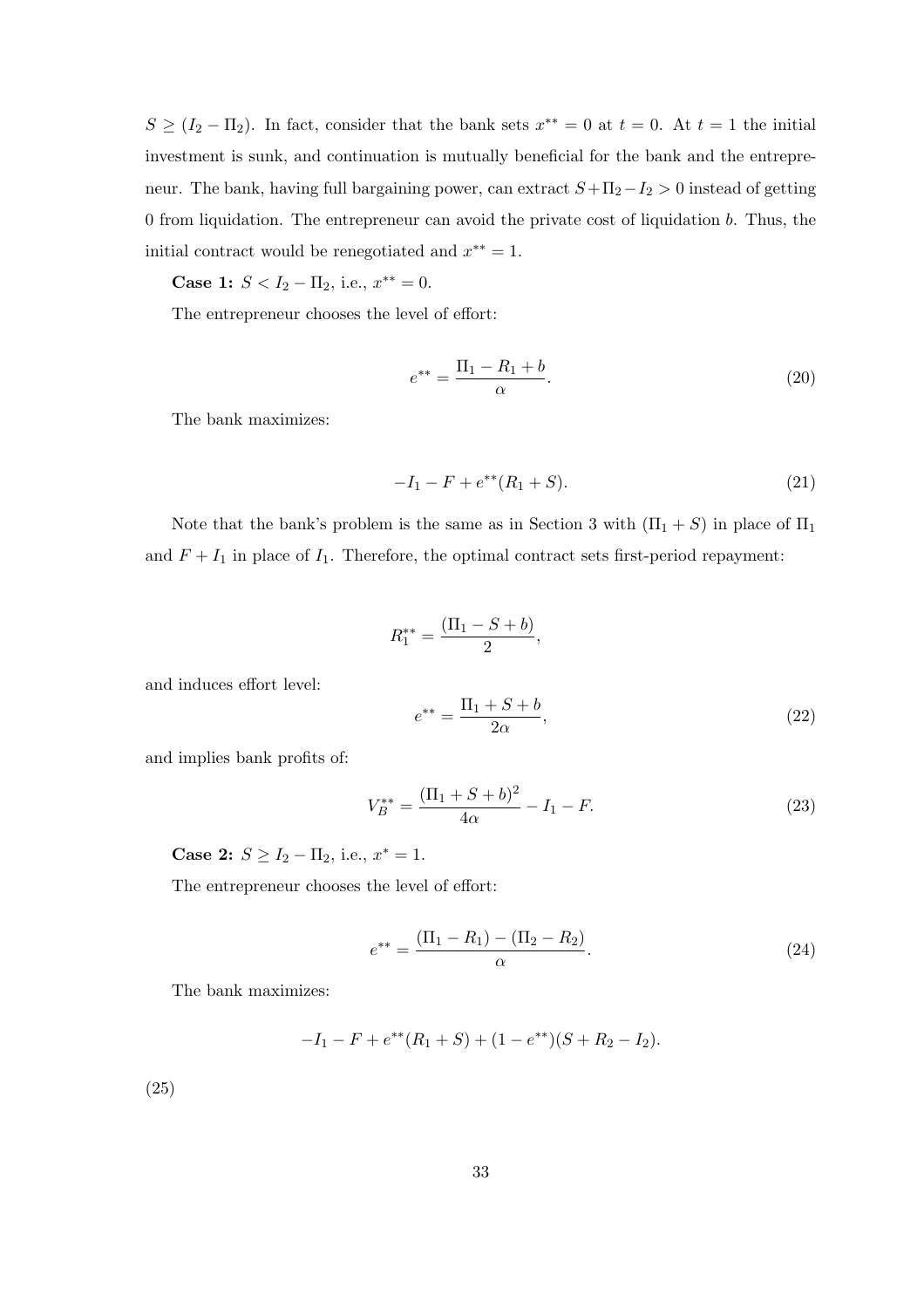$S \geq (I_2 - \Pi_2)$ . In fact, consider that the bank sets  $x^{**} = 0$  at  $t = 0$ . At  $t = 1$  the initial investment is sunk, and continuation is mutually beneficial for the bank and the entrepreneur. The bank, having full bargaining power, can extract  $S+\Pi_2-I_2 > 0$  instead of getting 0 from liquidation. The entrepreneur can avoid the private cost of liquidation b. Thus, the initial contract would be renegotiated and  $x^{**} = 1$ .

Case 1:  $S < I_2 - \Pi_2$ , i.e.,  $x^{**} = 0$ .

The entrepreneur chooses the level of effort:

$$
e^{**} = \frac{\Pi_1 - R_1 + b}{\alpha}.
$$
 (20)

The bank maximizes:

$$
-I_1 - F + e^{**}(R_1 + S). \tag{21}
$$

Note that the bank's problem is the same as in Section 3 with  $(\Pi_1 + S)$  in place of  $\Pi_1$ and  $F + I_1$  in place of  $I_1$ . Therefore, the optimal contract sets first-period repayment:

$$
R_1^{**} = \frac{(\Pi_1 - S + b)}{2},
$$

and induces effort level:

$$
e^{**} = \frac{\Pi_1 + S + b}{2\alpha},
$$
\n(22)

and implies bank profits of:

$$
V_B^{**} = \frac{(\Pi_1 + S + b)^2}{4\alpha} - I_1 - F.
$$
\n(23)

Case 2:  $S \ge I_2 - \Pi_2$ , i.e.,  $x^* = 1$ .

The entrepreneur chooses the level of effort:

$$
e^{**} = \frac{(\Pi_1 - R_1) - (\Pi_2 - R_2)}{\alpha}.
$$
 (24)

The bank maximizes:

$$
-I_1 - F + e^{**}(R_1 + S) + (1 - e^{**})(S + R_2 - I_2).
$$

(25)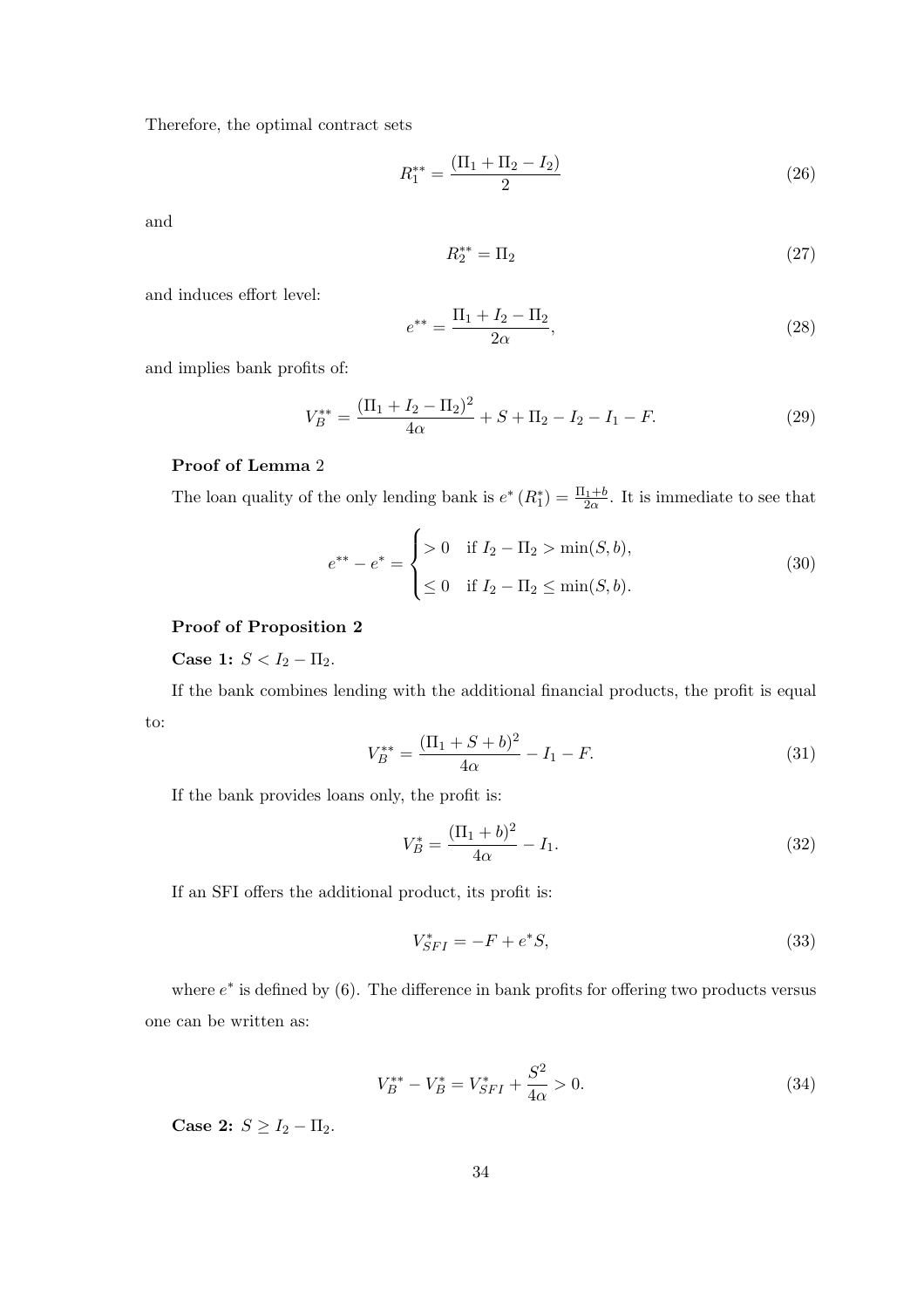Therefore, the optimal contract sets

$$
R_1^{**} = \frac{(\Pi_1 + \Pi_2 - I_2)}{2} \tag{26}
$$

and

$$
R_2^{**} = \Pi_2 \tag{27}
$$

and induces effort level:

$$
e^{**} = \frac{\Pi_1 + I_2 - \Pi_2}{2\alpha},\tag{28}
$$

and implies bank profits of:

$$
V_B^{**} = \frac{(\Pi_1 + I_2 - \Pi_2)^2}{4\alpha} + S + \Pi_2 - I_2 - I_1 - F.
$$
 (29)

#### Proof of Lemma 2

The loan quality of the only lending bank is  $e^* (R_1^*) = \frac{\Pi_1 + b}{2\alpha}$ . It is immediate to see that

$$
e^{**} - e^* = \begin{cases} > 0 & \text{if } I_2 - \Pi_2 > \min(S, b), \\ \leq 0 & \text{if } I_2 - \Pi_2 \leq \min(S, b). \end{cases}
$$
 (30)

#### Proof of Proposition 2

Case 1:  $S < I_2 - \Pi_2$ .

If the bank combines lending with the additional financial products, the profit is equal to:

$$
V_B^{**} = \frac{(\Pi_1 + S + b)^2}{4\alpha} - I_1 - F.
$$
\n(31)

If the bank provides loans only, the profit is:

$$
V_B^* = \frac{(\Pi_1 + b)^2}{4\alpha} - I_1.
$$
\n(32)

If an SFI offers the additional product, its profit is:

$$
V_{SFI}^{*} = -F + e^{*}S,
$$
\n(33)

where  $e^*$  is defined by  $(6)$ . The difference in bank profits for offering two products versus one can be written as:

$$
V_B^{**} - V_B^* = V_{SFI}^* + \frac{S^2}{4\alpha} > 0.
$$
\n(34)

Case 2:  $S \geq I_2 - \Pi_2$ .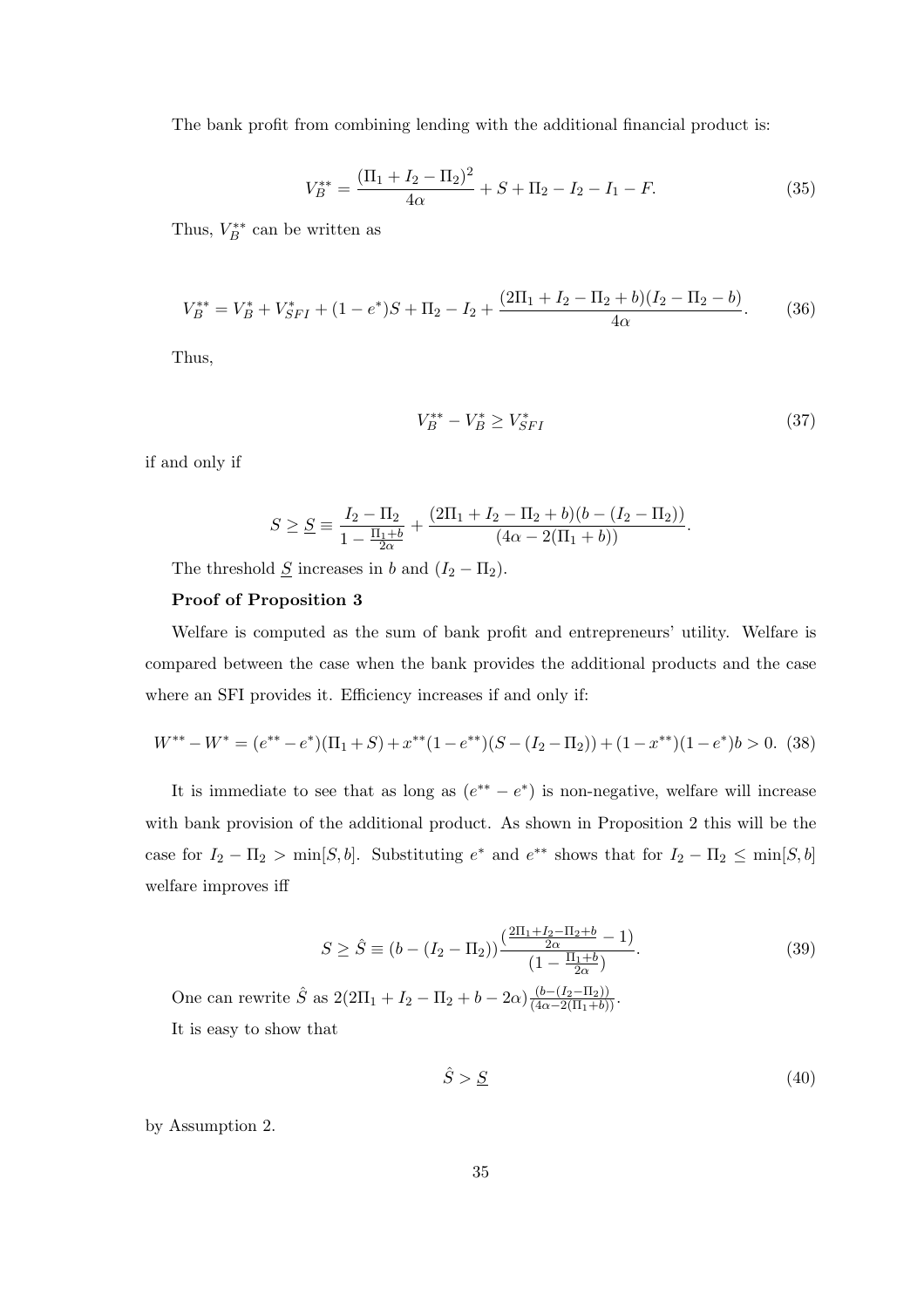The bank profit from combining lending with the additional financial product is:

$$
V_B^{**} = \frac{(\Pi_1 + I_2 - \Pi_2)^2}{4\alpha} + S + \Pi_2 - I_2 - I_1 - F.
$$
 (35)

Thus,  $V_B^{**}$  can be written as

$$
V_B^{**} = V_B^* + V_{SFI}^* + (1 - e^*)S + \Pi_2 - I_2 + \frac{(2\Pi_1 + I_2 - \Pi_2 + b)(I_2 - \Pi_2 - b)}{4\alpha}.
$$
 (36)

Thus,

$$
V_B^{**} - V_B^* \ge V_{SFI}^* \tag{37}
$$

if and only if

$$
S \ge \underline{S} \equiv \frac{I_2 - \Pi_2}{1 - \frac{\Pi_1 + b}{2\alpha}} + \frac{(2\Pi_1 + I_2 - \Pi_2 + b)(b - (I_2 - \Pi_2))}{(4\alpha - 2(\Pi_1 + b))}.
$$

The threshold  $\underline{S}$  increases in b and  $(I_2 - \Pi_2)$ .

#### Proof of Proposition 3

Welfare is computed as the sum of bank profit and entrepreneurs' utility. Welfare is compared between the case when the bank provides the additional products and the case where an SFI provides it. Efficiency increases if and only if:

$$
W^{**} - W^* = (e^{**} - e^*)(\Pi_1 + S) + x^{**}(1 - e^{**})(S - (I_2 - \Pi_2)) + (1 - x^{**})(1 - e^*)b > 0. \tag{38}
$$

It is immediate to see that as long as  $(e^{**} - e^*)$  is non-negative, welfare will increase with bank provision of the additional product. As shown in Proposition 2 this will be the case for  $I_2 - \Pi_2 > \min[S, b]$ . Substituting  $e^*$  and  $e^{**}$  shows that for  $I_2 - \Pi_2 \leq \min[S, b]$ welfare improves iff

$$
S \ge \hat{S} \equiv (b - (I_2 - \Pi_2)) \frac{\left(\frac{2\Pi_1 + I_2 - \Pi_2 + b}{2\alpha} - 1\right)}{\left(1 - \frac{\Pi_1 + b}{2\alpha}\right)}.
$$
\n(39)

One can rewrite  $\hat{S}$  as  $2(2\Pi_1 + I_2 - \Pi_2 + b - 2\alpha)\frac{(b - (I_2 - \Pi_2))}{(4\alpha - 2(\Pi_1 + b))}$ . It is easy to show that

$$
\hat{S} > \underline{S} \tag{40}
$$

by Assumption 2.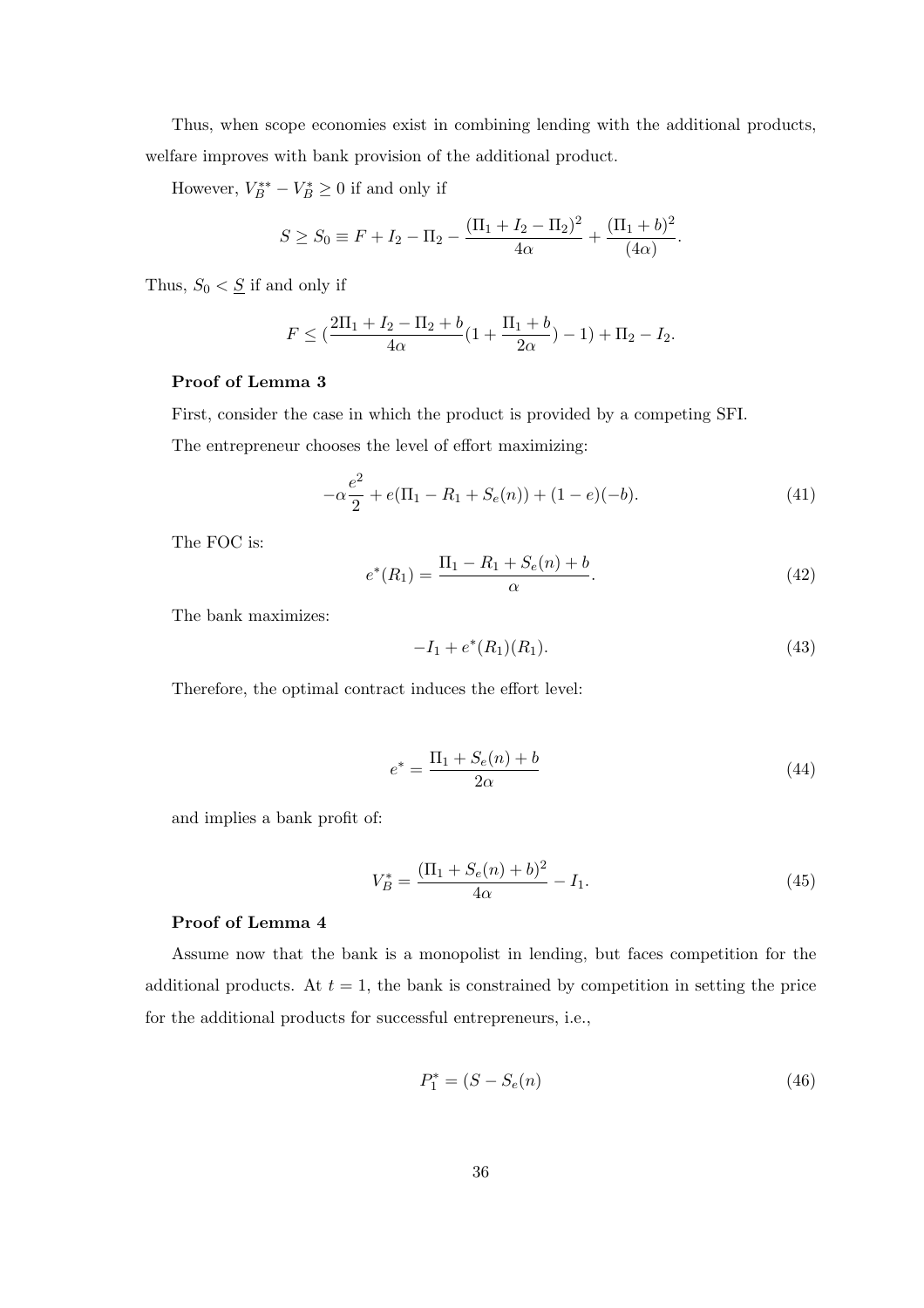Thus, when scope economies exist in combining lending with the additional products, welfare improves with bank provision of the additional product.

However,  $V_B^{**} - V_B^* \geq 0$  if and only if

$$
S \ge S_0 \equiv F + I_2 - \Pi_2 - \frac{(\Pi_1 + I_2 - \Pi_2)^2}{4\alpha} + \frac{(\Pi_1 + b)^2}{(4\alpha)}.
$$

Thus,  $S_0 < \underline{S}$  if and only if

$$
F \leq (\frac{2\Pi_1 + I_2 - \Pi_2 + b}{4\alpha} (1 + \frac{\Pi_1 + b}{2\alpha}) - 1) + \Pi_2 - I_2.
$$

#### Proof of Lemma 3

First, consider the case in which the product is provided by a competing SFI.

The entrepreneur chooses the level of effort maximizing:

$$
-\alpha \frac{e^2}{2} + e(\Pi_1 - R_1 + S_e(n)) + (1 - e)(-b). \tag{41}
$$

The FOC is:

$$
e^*(R_1) = \frac{\Pi_1 - R_1 + S_e(n) + b}{\alpha}.
$$
\n(42)

The bank maximizes:

$$
-I_1 + e^*(R_1)(R_1). \tag{43}
$$

Therefore, the optimal contract induces the effort level:

$$
e^* = \frac{\Pi_1 + S_e(n) + b}{2\alpha} \tag{44}
$$

and implies a bank profit of:

$$
V_B^* = \frac{(\Pi_1 + S_e(n) + b)^2}{4\alpha} - I_1.
$$
\n(45)

#### Proof of Lemma 4

Assume now that the bank is a monopolist in lending, but faces competition for the additional products. At  $t = 1$ , the bank is constrained by competition in setting the price for the additional products for successful entrepreneurs, i.e.,

$$
P_1^* = (S - S_e(n) \tag{46}
$$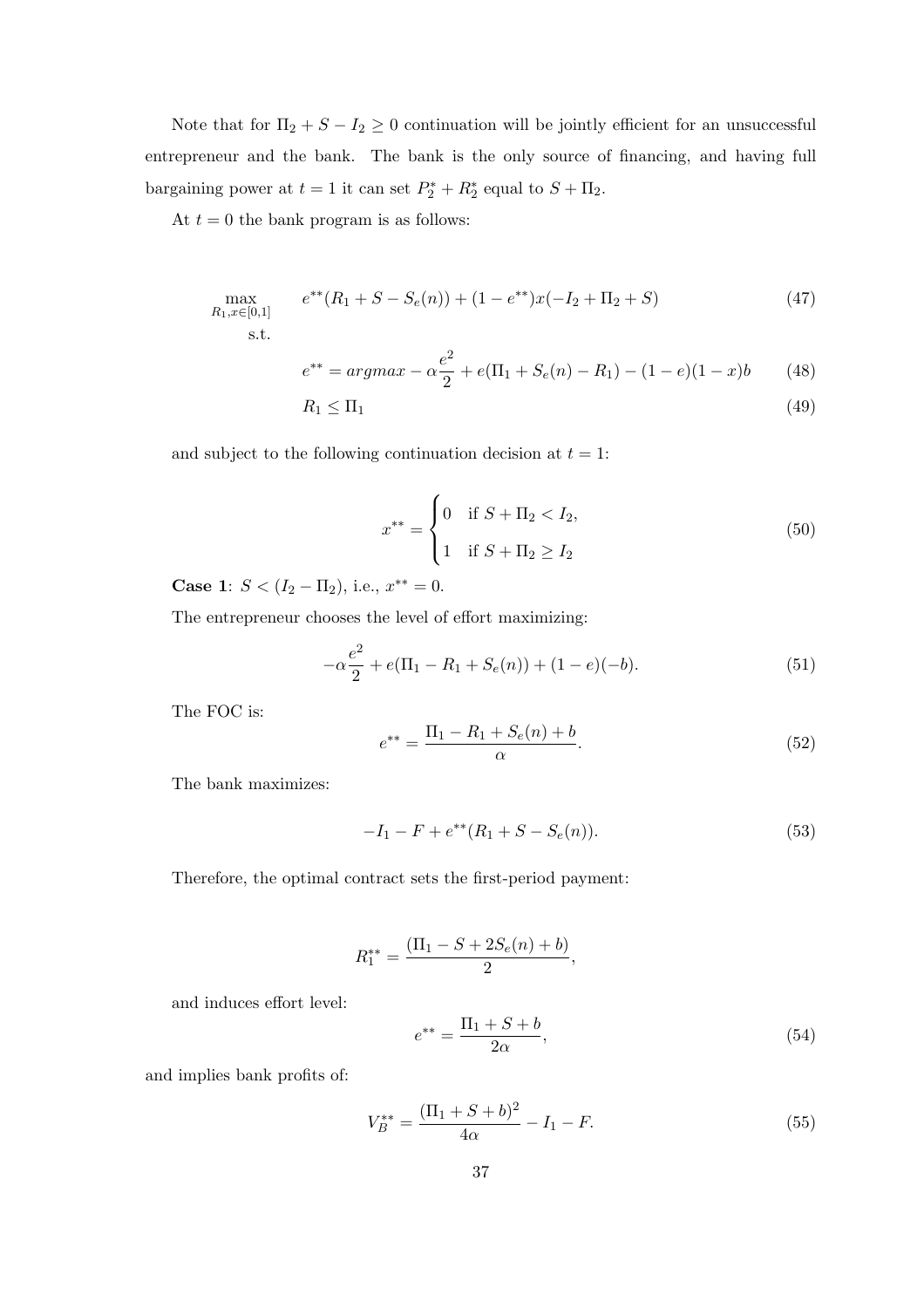Note that for  $\Pi_2 + S - I_2 \geq 0$  continuation will be jointly efficient for an unsuccessful entrepreneur and the bank. The bank is the only source of financing, and having full bargaining power at  $t = 1$  it can set  $P_2^* + R_2^*$  equal to  $S + \Pi_2$ .

At  $t = 0$  the bank program is as follows:

$$
\max_{R_1, x \in [0,1]} e^{**}(R_1 + S - S_e(n)) + (1 - e^{**})x(-I_2 + \Pi_2 + S)
$$
\n
$$
\text{s.t.} \tag{47}
$$

$$
e^{**} = argmax - \alpha \frac{e^2}{2} + e(\Pi_1 + S_e(n) - R_1) - (1 - e)(1 - x)b \tag{48}
$$

$$
R_1 \le \Pi_1 \tag{49}
$$

and subject to the following continuation decision at  $t = 1$ :

$$
x^{**} = \begin{cases} 0 & \text{if } S + \Pi_2 < I_2, \\ 1 & \text{if } S + \Pi_2 \ge I_2 \end{cases} \tag{50}
$$

Case 1:  $S < (I_2 - \Pi_2)$ , i.e.,  $x^{**} = 0$ .

The entrepreneur chooses the level of effort maximizing:

$$
-\alpha \frac{e^2}{2} + e(\Pi_1 - R_1 + S_e(n)) + (1 - e)(-b).
$$
 (51)

The FOC is:

$$
e^{**} = \frac{\Pi_1 - R_1 + S_e(n) + b}{\alpha}.
$$
\n(52)

The bank maximizes:

$$
-I_1 - F + e^{**}(R_1 + S - S_e(n)).
$$
\n(53)

Therefore, the optimal contract sets the first-period payment:

$$
R_1^{**} = \frac{(\Pi_1 - S + 2S_e(n) + b)}{2},
$$

and induces effort level:

$$
e^{**} = \frac{\Pi_1 + S + b}{2\alpha},\tag{54}
$$

and implies bank profits of:

$$
V_B^{**} = \frac{(\Pi_1 + S + b)^2}{4\alpha} - I_1 - F.
$$
\n(55)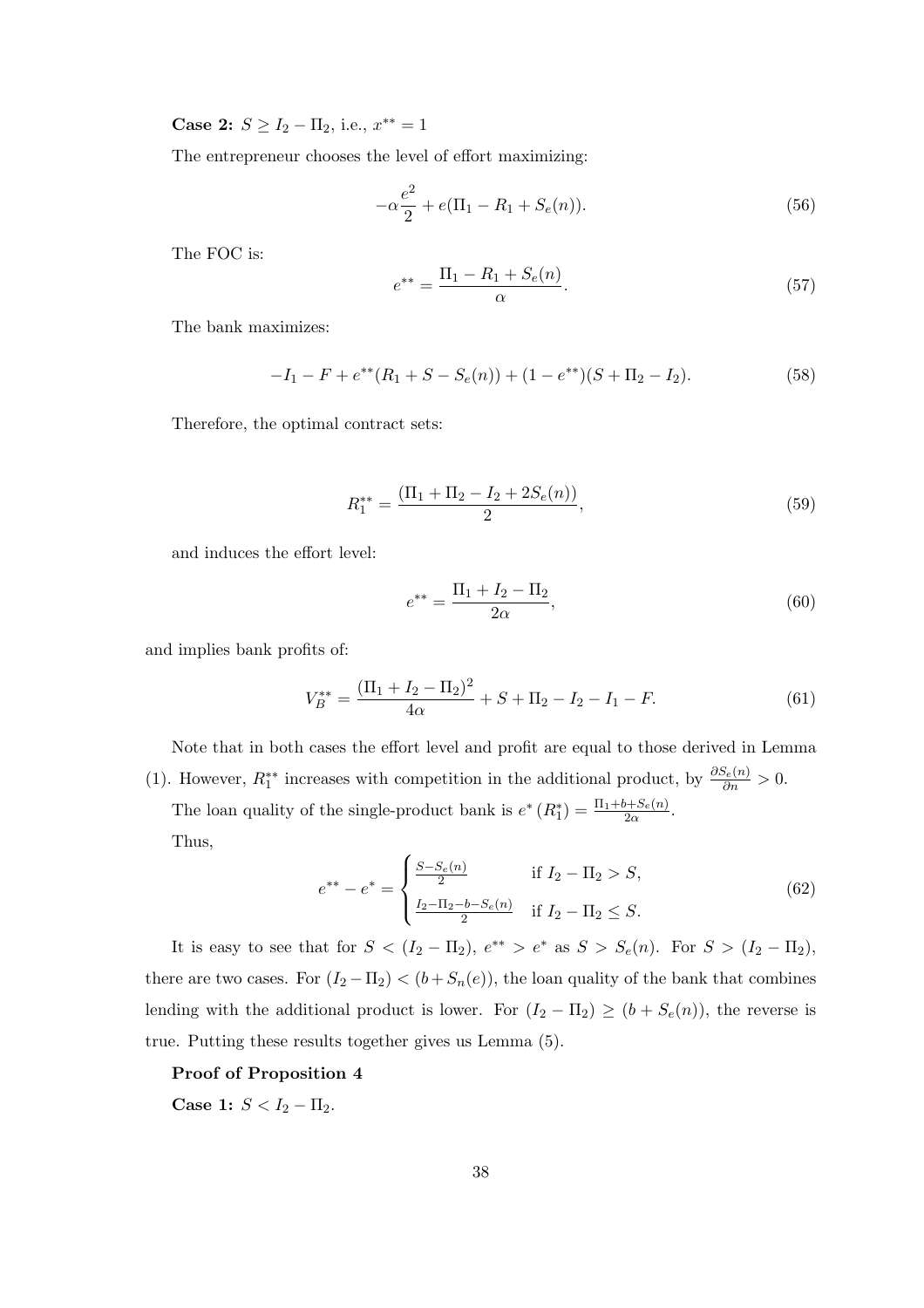Case 2:  $S \ge I_2 - \Pi_2$ , i.e.,  $x^{**} = 1$ 

The entrepreneur chooses the level of effort maximizing:

$$
-\alpha \frac{e^2}{2} + e(\Pi_1 - R_1 + S_e(n)).
$$
\n(56)

The FOC is:

$$
e^{**} = \frac{\Pi_1 - R_1 + S_e(n)}{\alpha}.
$$
\n(57)

The bank maximizes:

$$
-I_1 - F + e^{**}(R_1 + S - S_e(n)) + (1 - e^{**})(S + \Pi_2 - I_2).
$$
 (58)

Therefore, the optimal contract sets:

$$
R_1^{**} = \frac{(\Pi_1 + \Pi_2 - I_2 + 2S_e(n))}{2},\tag{59}
$$

and induces the effort level:

$$
e^{**} = \frac{\Pi_1 + I_2 - \Pi_2}{2\alpha},\tag{60}
$$

and implies bank profits of:

$$
V_B^{**} = \frac{(\Pi_1 + I_2 - \Pi_2)^2}{4\alpha} + S + \Pi_2 - I_2 - I_1 - F.
$$
 (61)

Note that in both cases the effort level and profit are equal to those derived in Lemma (1). However,  $R_1^{**}$  increases with competition in the additional product, by  $\frac{\partial S_e(n)}{\partial n} > 0$ .

The loan quality of the single-product bank is  $e^* (R_1^*) = \frac{\Pi_1 + b + S_e(n)}{2\alpha}$ . Thus,

$$
e^{**} - e^* = \begin{cases} \frac{S - S_e(n)}{2} & \text{if } I_2 - \Pi_2 > S, \\ \frac{I_2 - \Pi_2 - b - S_e(n)}{2} & \text{if } I_2 - \Pi_2 \le S. \end{cases}
$$
(62)

It is easy to see that for  $S < (I_2 - \Pi_2)$ ,  $e^{**} > e^*$  as  $S > S_e(n)$ . For  $S > (I_2 - \Pi_2)$ , there are two cases. For  $(I_2 - \Pi_2) < (b + S_n(e))$ , the loan quality of the bank that combines lending with the additional product is lower. For  $(I_2 - \Pi_2) \ge (b + S_e(n))$ , the reverse is true. Putting these results together gives us Lemma (5).

Proof of Proposition 4

Case 1:  $S < I_2 - \Pi_2$ .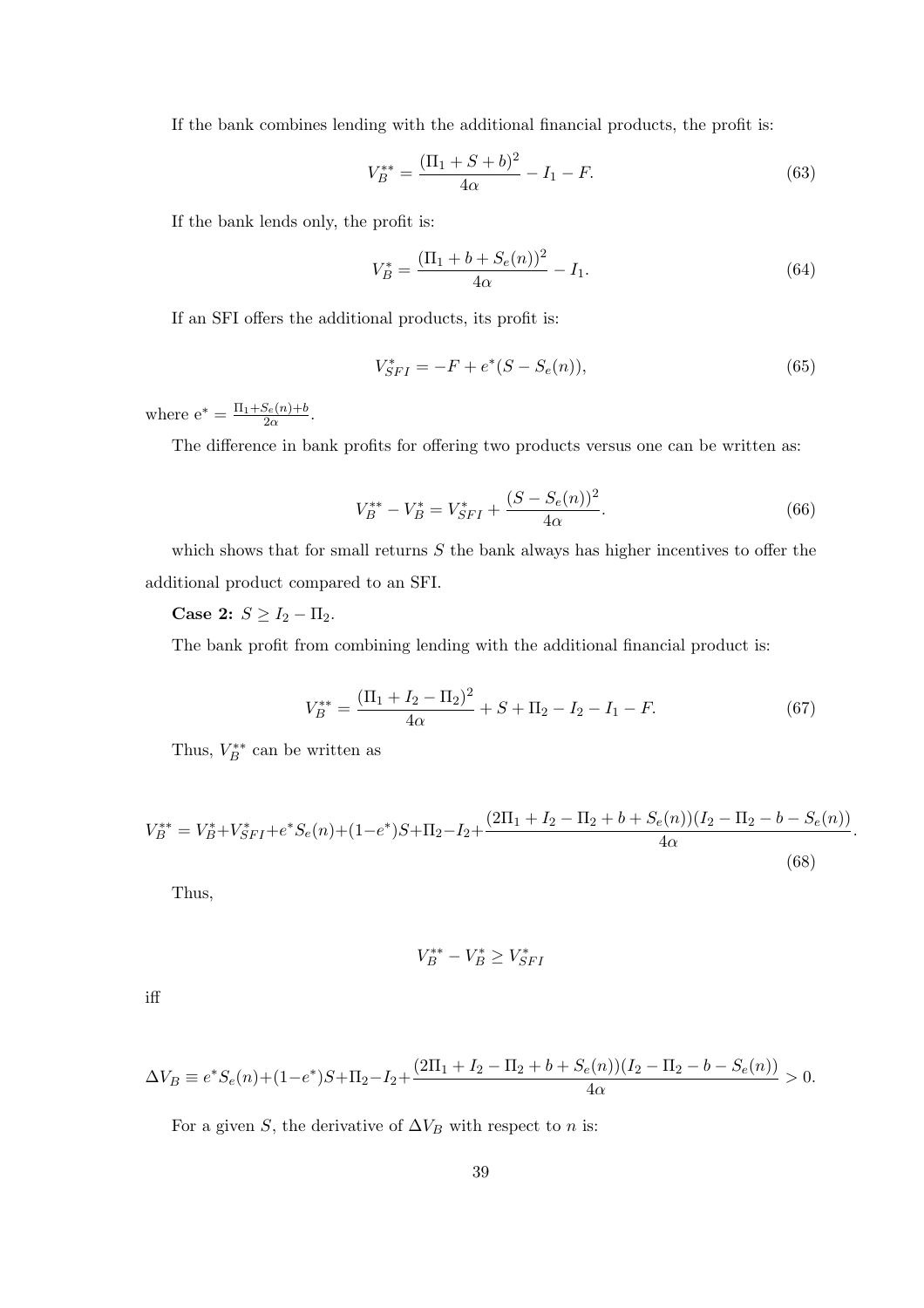If the bank combines lending with the additional financial products, the profit is:

$$
V_B^{**} = \frac{(\Pi_1 + S + b)^2}{4\alpha} - I_1 - F.
$$
\n(63)

If the bank lends only, the profit is:

$$
V_B^* = \frac{(\Pi_1 + b + S_e(n))^2}{4\alpha} - I_1.
$$
\n(64)

If an SFI offers the additional products, its profit is:

$$
V_{SFI}^{*} = -F + e^{*}(S - S_{e}(n)),
$$
\n(65)

where  $e^* = \frac{\Pi_1 + S_e(n) + b}{2\alpha}$  $\frac{S_e(n)+b}{2\alpha}$ .

The difference in bank profits for offering two products versus one can be written as:

$$
V_B^{**} - V_B^* = V_{SFI}^* + \frac{(S - S_e(n))^2}{4\alpha}.
$$
\n(66)

which shows that for small returns  $S$  the bank always has higher incentives to offer the additional product compared to an SFI.

Case 2:  $S \ge I_2 - \Pi_2$ .

The bank profit from combining lending with the additional financial product is:

$$
V_B^{**} = \frac{(\Pi_1 + I_2 - \Pi_2)^2}{4\alpha} + S + \Pi_2 - I_2 - I_1 - F.
$$
 (67)

.

Thus,  $V_B^{**}$  can be written as

$$
V_B^{**} = V_B^* + V_{SFI}^* + e^* S_e(n) + (1 - e^*) S + \Pi_2 - I_2 + \frac{(2\Pi_1 + I_2 - \Pi_2 + b + S_e(n))(I_2 - \Pi_2 - b - S_e(n))}{4\alpha}
$$
\n(68)

Thus,

$$
V_B^{**} - V_B^* \ge V_{SFI}^*
$$

iff

$$
\Delta V_B \equiv e^* S_e(n) + (1 - e^*) S + \Pi_2 - I_2 + \frac{(2\Pi_1 + I_2 - \Pi_2 + b + S_e(n))(I_2 - \Pi_2 - b - S_e(n))}{4\alpha} > 0.
$$

For a given S, the derivative of  $\Delta V_B$  with respect to n is: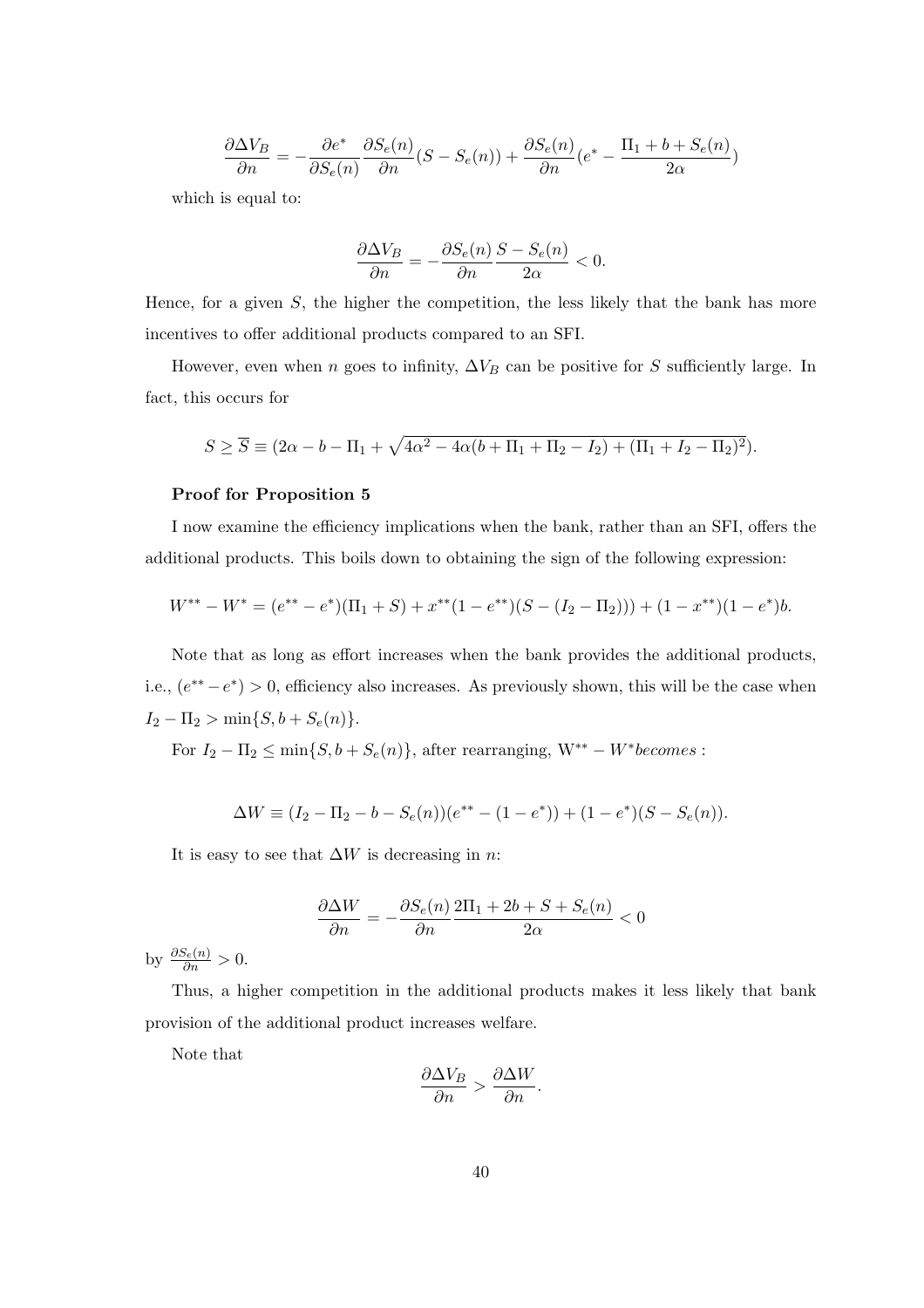$$
\frac{\partial \Delta V_B}{\partial n} = -\frac{\partial e^*}{\partial S_e(n)} \frac{\partial S_e(n)}{\partial n} (S - S_e(n)) + \frac{\partial S_e(n)}{\partial n} (e^* - \frac{\Pi_1 + b + S_e(n)}{2\alpha})
$$

which is equal to:

$$
\frac{\partial\Delta V_B}{\partial n}=-\frac{\partial S_e(n)}{\partial n}\frac{S-S_e(n)}{2\alpha}<0.
$$

Hence, for a given  $S$ , the higher the competition, the less likely that the bank has more incentives to offer additional products compared to an SFI.

However, even when n goes to infinity,  $\Delta V_B$  can be positive for S sufficiently large. In fact, this occurs for

$$
S \ge \overline{S} \equiv (2\alpha - b - \Pi_1 + \sqrt{4\alpha^2 - 4\alpha(b + \Pi_1 + \Pi_2 - I_2) + (\Pi_1 + I_2 - \Pi_2)^2}).
$$

#### Proof for Proposition 5

I now examine the efficiency implications when the bank, rather than an SFI, offers the additional products. This boils down to obtaining the sign of the following expression:

$$
W^{**} - W^* = (e^{**} - e^*)(\Pi_1 + S) + x^{**}(1 - e^{**})(S - (I_2 - \Pi_2))) + (1 - x^{**})(1 - e^*)b.
$$

Note that as long as effort increases when the bank provides the additional products, i.e.,  $(e^{**}-e^*) > 0$ , efficiency also increases. As previously shown, this will be the case when  $I_2 - \Pi_2 > \min\{S, b + S_e(n)\}.$ 

For  $I_2 - \Pi_2 \le \min\{S, b + S_e(n)\}\$ , after rearranging,  $W^{**} - W^*$ becomes :

$$
\Delta W \equiv (I_2 - \Pi_2 - b - S_e(n))(e^{**} - (1 - e^*)) + (1 - e^*)(S - S_e(n)).
$$

It is easy to see that  $\Delta W$  is decreasing in n:

$$
\frac{\partial \Delta W}{\partial n} = -\frac{\partial S_e(n)}{\partial n} \frac{2\Pi_1 + 2b + S + S_e(n)}{2\alpha} < 0
$$

by  $\frac{\partial S_e(n)}{\partial n} > 0$ .

Thus, a higher competition in the additional products makes it less likely that bank provision of the additional product increases welfare.

Note that

$$
\frac{\partial \Delta V_B}{\partial n} > \frac{\partial \Delta W}{\partial n}.
$$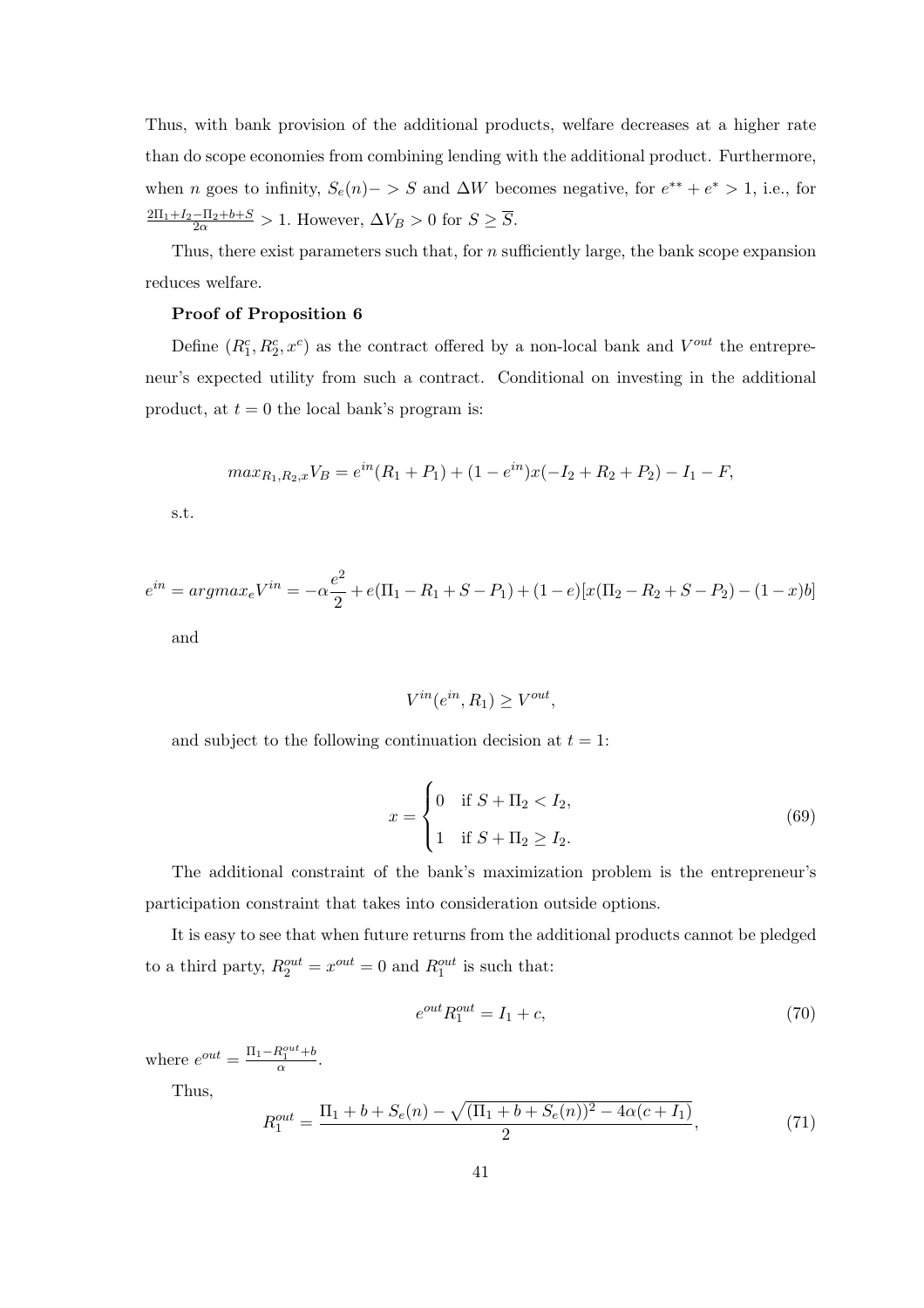Thus, with bank provision of the additional products, welfare decreases at a higher rate than do scope economies from combining lending with the additional product. Furthermore, when *n* goes to infinity,  $S_e(n)$  > S and  $\Delta W$  becomes negative, for  $e^{**} + e^* > 1$ , i.e., for  $\frac{2\Pi_1+I_2-\Pi_2+b+S}{2\alpha} > 1$ . However,  $\Delta V_B > 0$  for  $S \geq \overline{S}$ .

Thus, there exist parameters such that, for n sufficiently large, the bank scope expansion reduces welfare.

#### Proof of Proposition 6

Define  $(R_1^c, R_2^c, x^c)$  as the contract offered by a non-local bank and  $V^{out}$  the entrepreneur's expected utility from such a contract. Conditional on investing in the additional product, at  $t = 0$  the local bank's program is:

$$
max_{R_1,R_2,x}V_B = e^{in}(R_1 + P_1) + (1 - e^{in})x(-I_2 + R_2 + P_2) - I_1 - F,
$$

s.t.

$$
e^{in} = argmax_e V^{in} = -\alpha \frac{e^2}{2} + e(\Pi_1 - R_1 + S - P_1) + (1 - e)[x(\Pi_2 - R_2 + S - P_2) - (1 - x)b]
$$

and

$$
V^{in}(e^{in}, R_1) \ge V^{out},
$$

and subject to the following continuation decision at  $t = 1$ :

$$
x = \begin{cases} 0 & \text{if } S + \Pi_2 < I_2, \\ 1 & \text{if } S + \Pi_2 \ge I_2. \end{cases} \tag{69}
$$

The additional constraint of the bank's maximization problem is the entrepreneur's participation constraint that takes into consideration outside options.

It is easy to see that when future returns from the additional products cannot be pledged to a third party,  $R_2^{out} = x^{out} = 0$  and  $R_1^{out}$  is such that:

$$
e^{out}R_1^{out} = I_1 + c,\tag{70}
$$

where  $e^{out} = \frac{\Pi_1 - R_1^{out} + b}{\alpha}$ .

Thus,

$$
R_1^{out} = \frac{\Pi_1 + b + S_e(n) - \sqrt{(\Pi_1 + b + S_e(n))^2 - 4\alpha(c + I_1)}}{2},\tag{71}
$$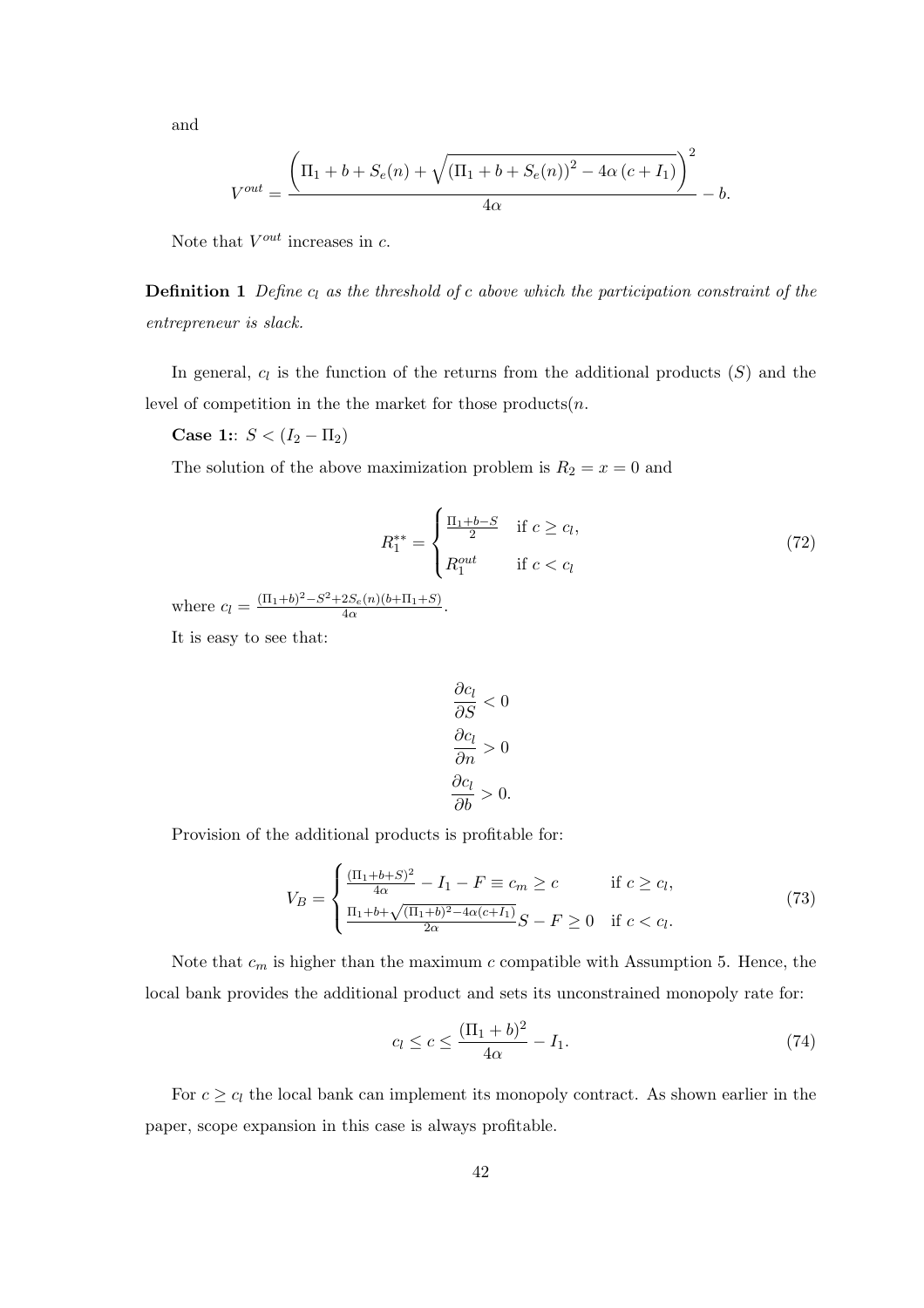and

$$
V^{out} = \frac{\left(\Pi_1 + b + S_e(n) + \sqrt{(\Pi_1 + b + S_e(n))^{2} - 4\alpha (c + I_1)}\right)^{2}}{4\alpha} - b.
$$

Note that  $V^{out}$  increases in c.

**Definition 1** Define  $c_l$  as the threshold of c above which the participation constraint of the entrepreneur is slack.

In general,  $c_l$  is the function of the returns from the additional products  $(S)$  and the level of competition in the the market for those products $(n.$ 

Case 1::  $S < (I_2 - \Pi_2)$ 

The solution of the above maximization problem is  $R_2 = x = 0$  and

$$
R_1^{**} = \begin{cases} \frac{\Pi_1 + b - S}{2} & \text{if } c \ge c_l, \\ R_1^{out} & \text{if } c < c_l \end{cases} \tag{72}
$$

where  $c_l = \frac{(\Pi_1+b)^2 - S^2 + 2S_e(n)(b+\Pi_1+S)}{4\alpha}$  $\frac{2S_e(n)(b+11+S)}{4\alpha}$ .

It is easy to see that:

$$
\frac{\partial c_l}{\partial S} < 0
$$
\n
$$
\frac{\partial c_l}{\partial n} > 0
$$
\n
$$
\frac{\partial c_l}{\partial b} > 0.
$$

Provision of the additional products is profitable for:

$$
V_B = \begin{cases} \frac{(\Pi_1 + b + S)^2}{4\alpha} - I_1 - F \equiv c_m \ge c & \text{if } c \ge c_l, \\ \frac{\Pi_1 + b + \sqrt{(\Pi_1 + b)^2 - 4\alpha(c + I_1)}}{2\alpha} S - F \ge 0 & \text{if } c < c_l. \end{cases}
$$
(73)

Note that  $c_m$  is higher than the maximum c compatible with Assumption 5. Hence, the local bank provides the additional product and sets its unconstrained monopoly rate for:

$$
c_l \le c \le \frac{(\Pi_1 + b)^2}{4\alpha} - I_1.
$$
 (74)

For  $c \geq c_l$  the local bank can implement its monopoly contract. As shown earlier in the paper, scope expansion in this case is always profitable.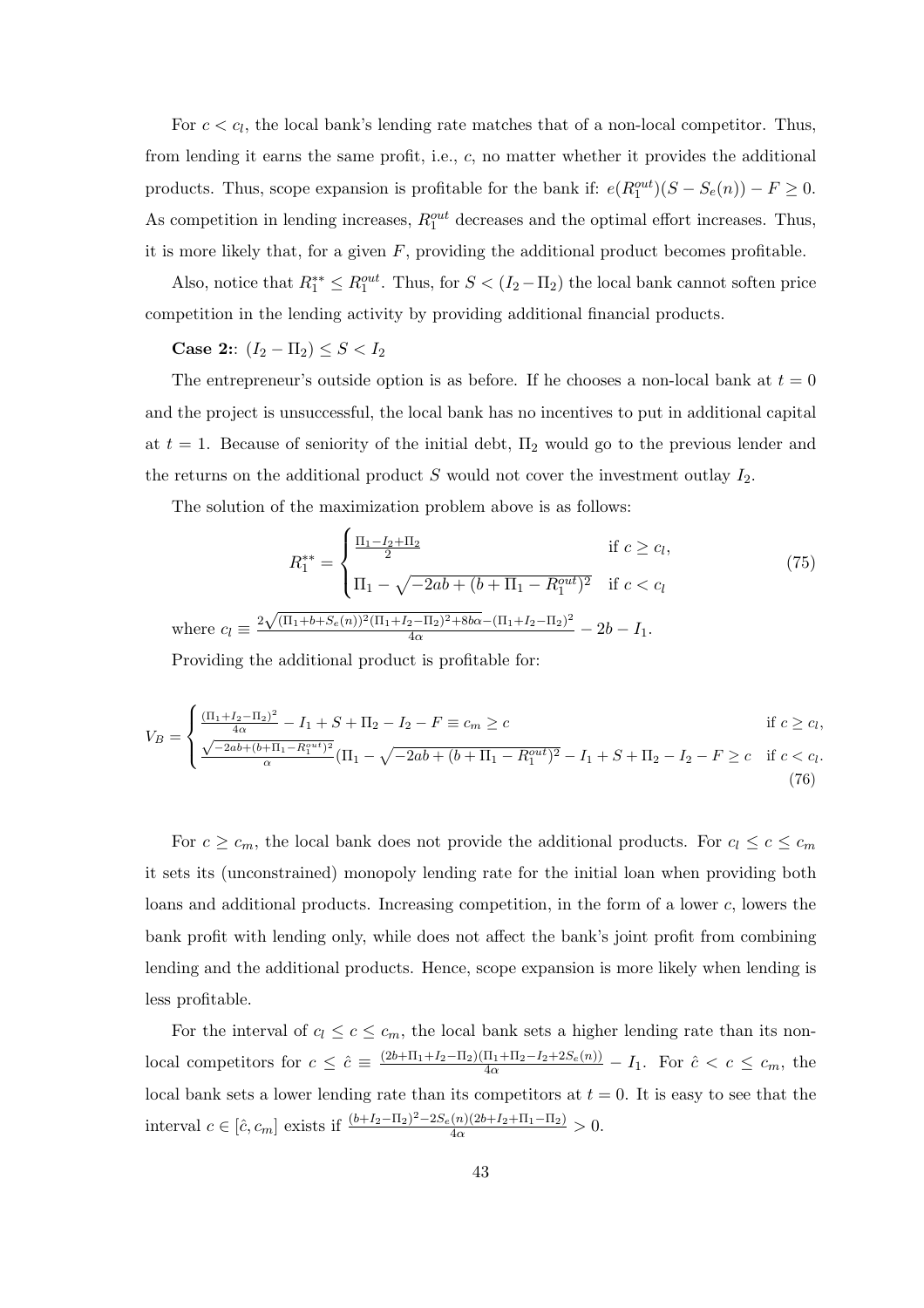For  $c < c_l$ , the local bank's lending rate matches that of a non-local competitor. Thus, from lending it earns the same profit, i.e., c, no matter whether it provides the additional products. Thus, scope expansion is profitable for the bank if:  $e(R_1^{out})(S - S_e(n)) - F \ge 0$ . As competition in lending increases,  $R_1^{out}$  decreases and the optimal effort increases. Thus, it is more likely that, for a given  $F$ , providing the additional product becomes profitable.

Also, notice that  $R_1^{**} \leq R_1^{out}$ . Thus, for  $S < (I_2 - \Pi_2)$  the local bank cannot soften price competition in the lending activity by providing additional financial products.

Case 2::  $(I_2 - \Pi_2) \leq S < I_2$ 

where

The entrepreneur's outside option is as before. If he chooses a non-local bank at  $t = 0$ and the project is unsuccessful, the local bank has no incentives to put in additional capital at  $t = 1$ . Because of seniority of the initial debt,  $\Pi_2$  would go to the previous lender and the returns on the additional product  $S$  would not cover the investment outlay  $I_2$ .

The solution of the maximization problem above is as follows:  $\overline{a}$ 

$$
R_1^{**} = \begin{cases} \frac{\Pi_1 - I_2 + \Pi_2}{2} & \text{if } c \geq c_l, \\ \Pi_1 - \sqrt{-2ab + (b + \Pi_1 - R_1^{out})^2} & \text{if } c < c_l \end{cases} \tag{75}
$$
\n
$$
c_l \equiv \frac{2\sqrt{(\Pi_1 + b + S_e(n))^2(\Pi_1 + I_2 - \Pi_2)^2 + 8b\alpha} - (\Pi_1 + I_2 - \Pi_2)^2}{4\alpha} - 2b - I_1.
$$

Providing the additional product is profitable for:

$$
V_B = \begin{cases} \frac{(\Pi_1 + I_2 - \Pi_2)^2}{4\alpha} - I_1 + S + \Pi_2 - I_2 - F \equiv c_m \ge c & \text{if } c \ge c_l, \\ \frac{\sqrt{-2ab + (b + \Pi_1 - R_1^{out})^2}}{\alpha} (\Pi_1 - \sqrt{-2ab + (b + \Pi_1 - R_1^{out})^2} - I_1 + S + \Pi_2 - I_2 - F \ge c & \text{if } c < c_l. \end{cases}
$$
(76)

For  $c \geq c_m$ , the local bank does not provide the additional products. For  $c_l \leq c \leq c_m$ it sets its (unconstrained) monopoly lending rate for the initial loan when providing both loans and additional products. Increasing competition, in the form of a lower c, lowers the bank profit with lending only, while does not affect the bank's joint profit from combining lending and the additional products. Hence, scope expansion is more likely when lending is less profitable.

For the interval of  $c_l \leq c \leq c_m$ , the local bank sets a higher lending rate than its nonlocal competitors for  $c \leq \hat{c} \equiv \frac{(2b+\Pi_1+I_2-\Pi_2)(\Pi_1+\Pi_2-I_2+2S_e(n))}{4\alpha}-I_1$ . For  $\hat{c} < c \leq c_m$ , the local bank sets a lower lending rate than its competitors at  $t = 0$ . It is easy to see that the interval  $c \in [\hat{c}, c_m]$  exists if  $\frac{(b+I_2-\Pi_2)^2 - 2S_e(n)(2b+I_2+\Pi_1-\Pi_2)}{4\alpha} > 0$ .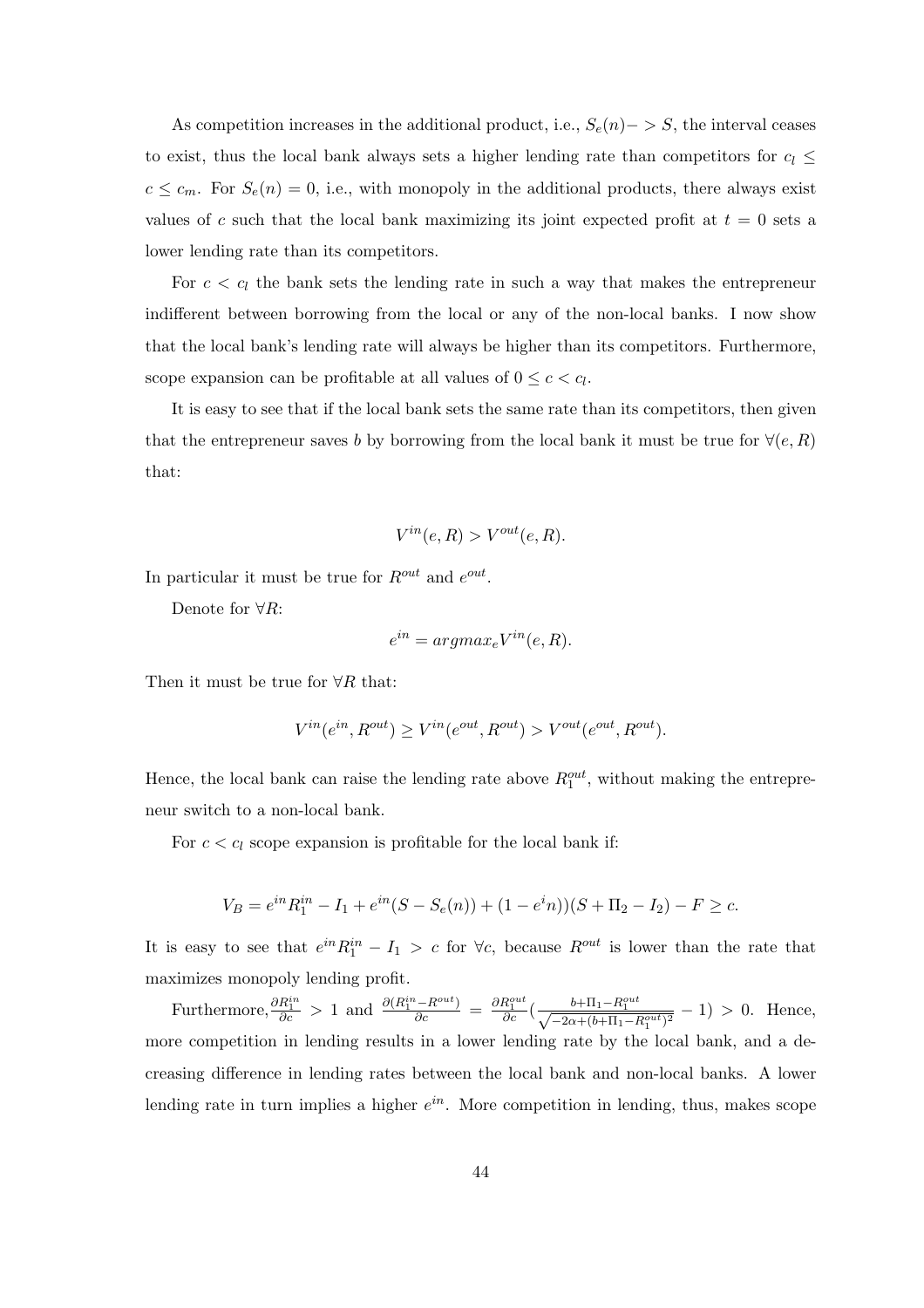As competition increases in the additional product, i.e.,  $S_e(n)$  – > S, the interval ceases to exist, thus the local bank always sets a higher lending rate than competitors for  $c_l$   $\leq$  $c \leq c_m$ . For  $S_e(n) = 0$ , i.e., with monopoly in the additional products, there always exist values of c such that the local bank maximizing its joint expected profit at  $t = 0$  sets a lower lending rate than its competitors.

For  $c < c_l$  the bank sets the lending rate in such a way that makes the entrepreneur indifferent between borrowing from the local or any of the non-local banks. I now show that the local bank's lending rate will always be higher than its competitors. Furthermore, scope expansion can be profitable at all values of  $0 \leq c < c_l$ .

It is easy to see that if the local bank sets the same rate than its competitors, then given that the entrepreneur saves b by borrowing from the local bank it must be true for  $\forall (e, R)$ that:

$$
V^{in}(e,R) > V^{out}(e,R).
$$

In particular it must be true for  $R^{out}$  and  $e^{out}$ .

Denote for  $\forall R$ :

$$
e^{in} = argmax_e V^{in}(e, R).
$$

Then it must be true for  $\forall R$  that:

$$
V^{in}(e^{in}, R^{out}) \ge V^{in}(e^{out}, R^{out}) > V^{out}(e^{out}, R^{out}).
$$

Hence, the local bank can raise the lending rate above  $R_1^{out}$ , without making the entrepreneur switch to a non-local bank.

For  $c < c<sub>l</sub>$  scope expansion is profitable for the local bank if:

$$
V_B = e^{in} R_1^{in} - I_1 + e^{in} (S - S_e(n)) + (1 - e^{in}) (S + \Pi_2 - I_2) - F \geq c.
$$

It is easy to see that  $e^{in}R_1^{in} - I_1 > c$  for  $\forall c$ , because  $R^{out}$  is lower than the rate that maximizes monopoly lending profit.

Furthermore,  $\frac{\partial R_1^{in}}{\partial c} > 1$  and  $\frac{\partial (R_1^{in}-R^{out})}{\partial c} = \frac{\partial R_1^{out}}{\partial c} \left(\frac{b+\Pi_1-R_1^{out}}{\sqrt{-2\alpha+(b+\Pi_1-R_1^{out})^2}}-1\right) > 0$ . Hence, more competition in lending results in a lower lending rate by the local bank, and a decreasing difference in lending rates between the local bank and non-local banks. A lower lending rate in turn implies a higher  $e^{in}$ . More competition in lending, thus, makes scope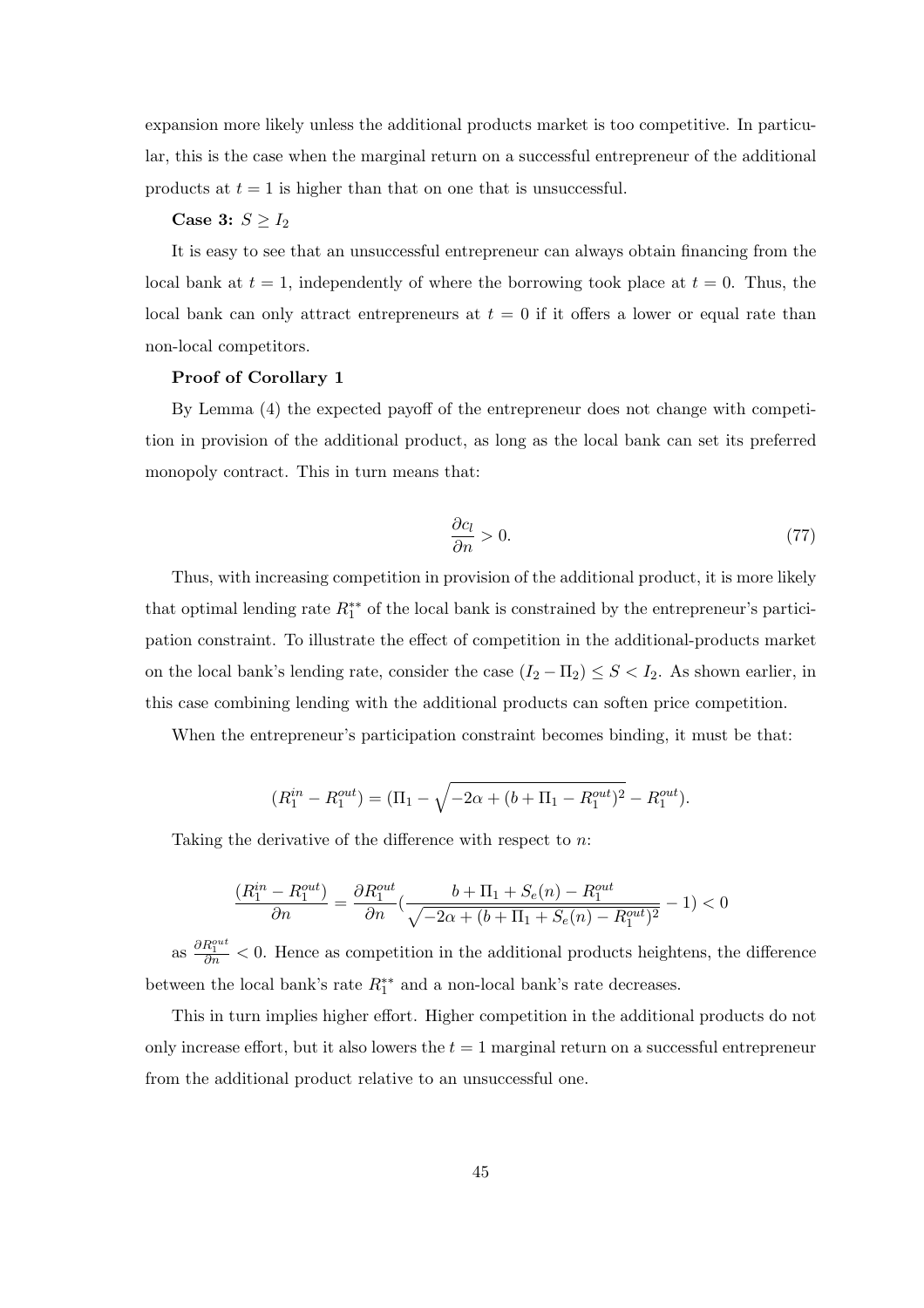expansion more likely unless the additional products market is too competitive. In particular, this is the case when the marginal return on a successful entrepreneur of the additional products at  $t = 1$  is higher than that on one that is unsuccessful.

#### Case 3:  $S \geq I_2$

It is easy to see that an unsuccessful entrepreneur can always obtain financing from the local bank at  $t = 1$ , independently of where the borrowing took place at  $t = 0$ . Thus, the local bank can only attract entrepreneurs at  $t = 0$  if it offers a lower or equal rate than non-local competitors.

#### Proof of Corollary 1

By Lemma (4) the expected payoff of the entrepreneur does not change with competition in provision of the additional product, as long as the local bank can set its preferred monopoly contract. This in turn means that:

$$
\frac{\partial c_l}{\partial n} > 0. \tag{77}
$$

Thus, with increasing competition in provision of the additional product, it is more likely that optimal lending rate  $R_1^{**}$  of the local bank is constrained by the entrepreneur's participation constraint. To illustrate the effect of competition in the additional-products market on the local bank's lending rate, consider the case  $(I_2 - \Pi_2) \leq S < I_2$ . As shown earlier, in this case combining lending with the additional products can soften price competition.

When the entrepreneur's participation constraint becomes binding, it must be that:

$$
(R_1^{in} - R_1^{out}) = (\Pi_1 - \sqrt{-2\alpha + (b + \Pi_1 - R_1^{out})^2} - R_1^{out}).
$$

Taking the derivative of the difference with respect to n:

$$
\frac{(R_1^{in} - R_1^{out})}{\partial n} = \frac{\partial R_1^{out}}{\partial n} (\frac{b + \Pi_1 + S_e(n) - R_1^{out}}{\sqrt{-2\alpha + (b + \Pi_1 + S_e(n) - R_1^{out})^2}} - 1) < 0
$$

as  $\frac{\partial R_1^{out}}{\partial n}$  < 0. Hence as competition in the additional products heightens, the difference between the local bank's rate  $R_1^{**}$  and a non-local bank's rate decreases.

This in turn implies higher effort. Higher competition in the additional products do not only increase effort, but it also lowers the  $t = 1$  marginal return on a successful entrepreneur from the additional product relative to an unsuccessful one.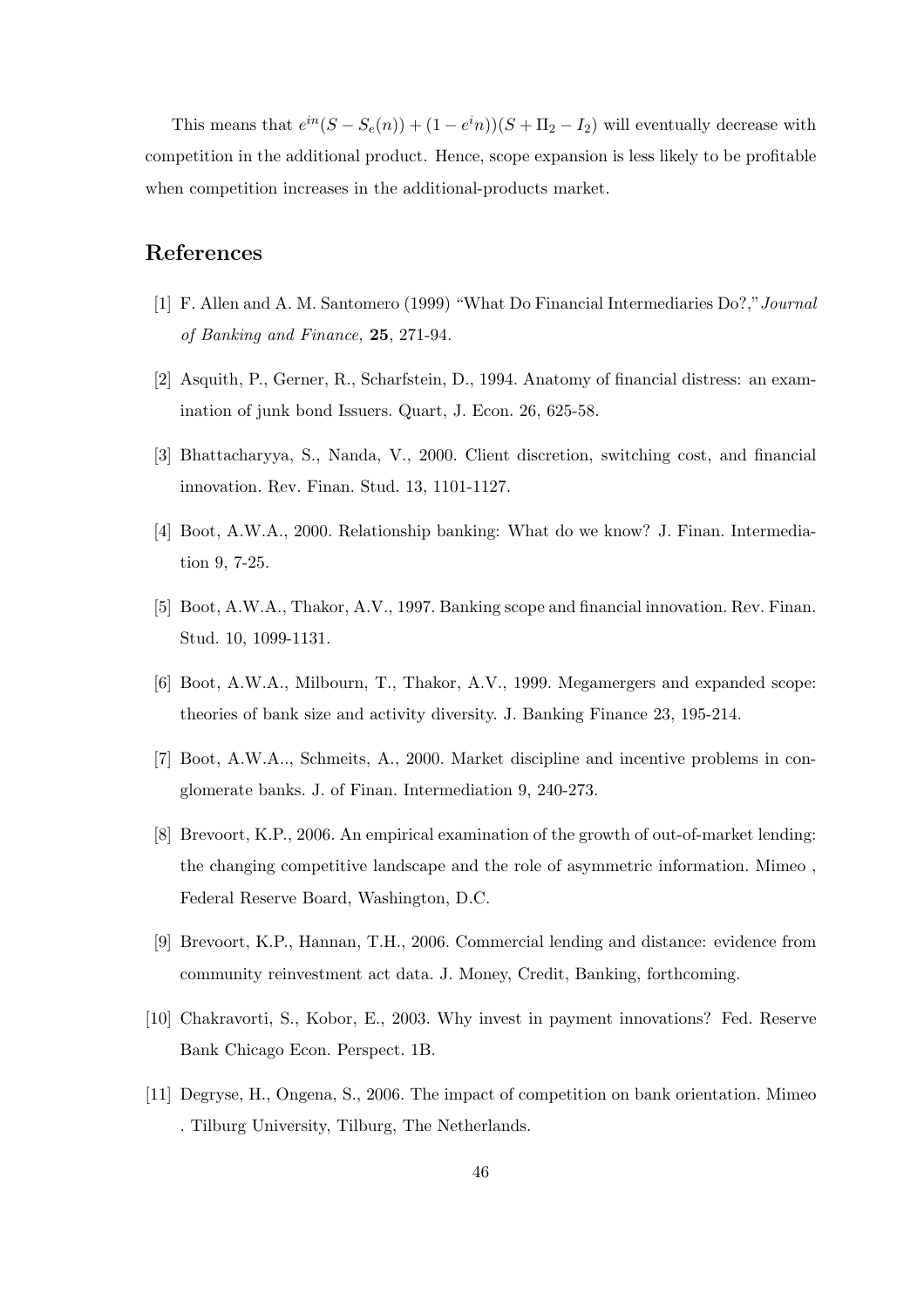This means that  $e^{in}(S - S_e(n)) + (1 - e^i n)(S + \Pi_2 - I_2)$  will eventually decrease with competition in the additional product. Hence, scope expansion is less likely to be profitable when competition increases in the additional-products market.

#### References

- [1] F. Allen and A. M. Santomero (1999) "What Do Financial Intermediaries Do?,"Journal of Banking and Finance, 25, 271-94.
- [2] Asquith, P., Gerner, R., Scharfstein, D., 1994. Anatomy of financial distress: an examination of junk bond Issuers. Quart, J. Econ. 26, 625-58.
- [3] Bhattacharyya, S., Nanda, V., 2000. Client discretion, switching cost, and financial innovation. Rev. Finan. Stud. 13, 1101-1127.
- [4] Boot, A.W.A., 2000. Relationship banking: What do we know? J. Finan. Intermediation 9, 7-25.
- [5] Boot, A.W.A., Thakor, A.V., 1997. Banking scope and financial innovation. Rev. Finan. Stud. 10, 1099-1131.
- [6] Boot, A.W.A., Milbourn, T., Thakor, A.V., 1999. Megamergers and expanded scope: theories of bank size and activity diversity. J. Banking Finance 23, 195-214.
- [7] Boot, A.W.A.., Schmeits, A., 2000. Market discipline and incentive problems in conglomerate banks. J. of Finan. Intermediation 9, 240-273.
- [8] Brevoort, K.P., 2006. An empirical examination of the growth of out-of-market lending: the changing competitive landscape and the role of asymmetric information. Mimeo , Federal Reserve Board, Washington, D.C.
- [9] Brevoort, K.P., Hannan, T.H., 2006. Commercial lending and distance: evidence from community reinvestment act data. J. Money, Credit, Banking, forthcoming.
- [10] Chakravorti, S., Kobor, E., 2003. Why invest in payment innovations? Fed. Reserve Bank Chicago Econ. Perspect. 1B.
- [11] Degryse, H., Ongena, S., 2006. The impact of competition on bank orientation. Mimeo . Tilburg University, Tilburg, The Netherlands.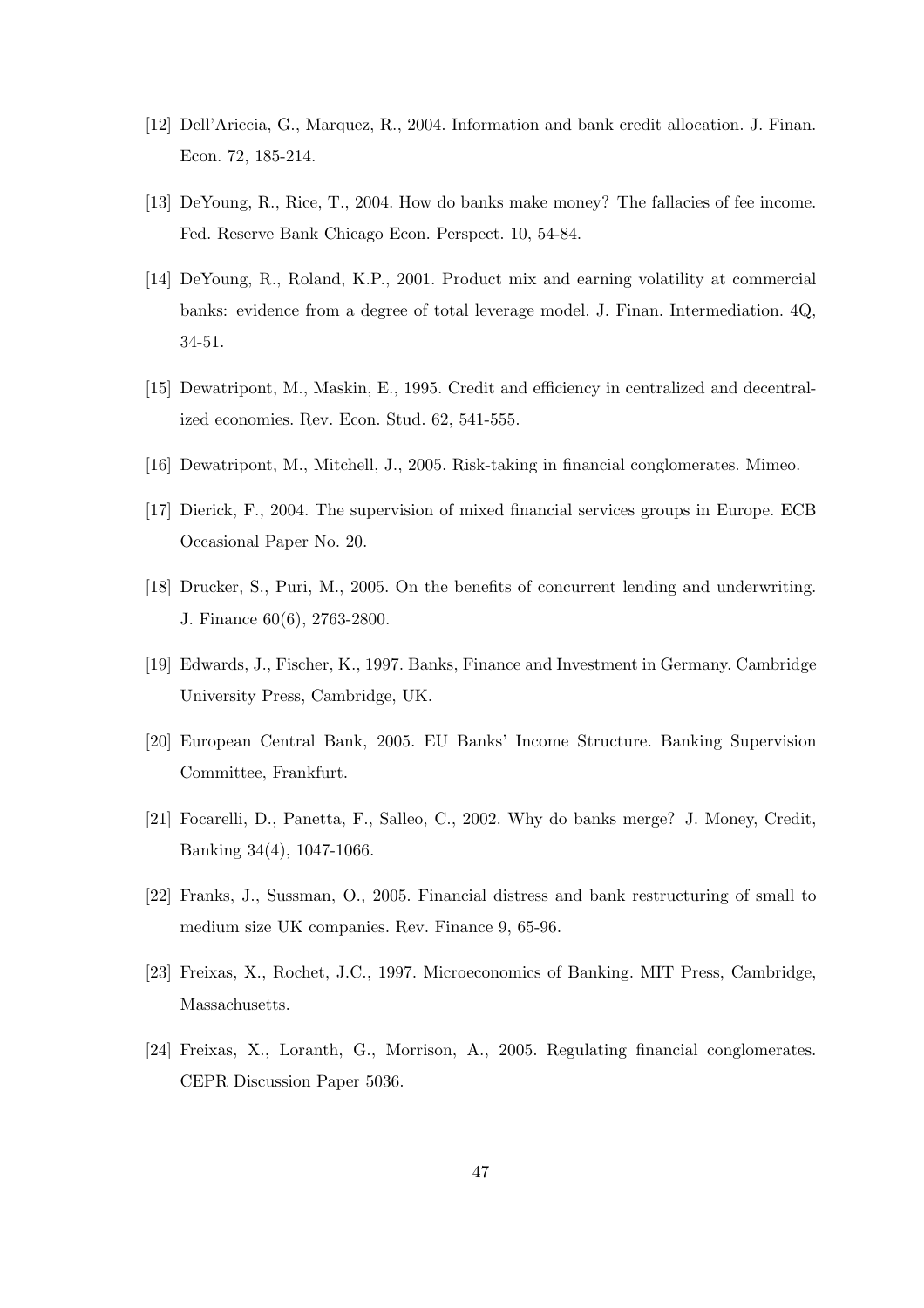- [12] Dell'Ariccia, G., Marquez, R., 2004. Information and bank credit allocation. J. Finan. Econ. 72, 185-214.
- [13] DeYoung, R., Rice, T., 2004. How do banks make money? The fallacies of fee income. Fed. Reserve Bank Chicago Econ. Perspect. 10, 54-84.
- [14] DeYoung, R., Roland, K.P., 2001. Product mix and earning volatility at commercial banks: evidence from a degree of total leverage model. J. Finan. Intermediation. 4Q, 34-51.
- [15] Dewatripont, M., Maskin, E., 1995. Credit and efficiency in centralized and decentralized economies. Rev. Econ. Stud. 62, 541-555.
- [16] Dewatripont, M., Mitchell, J., 2005. Risk-taking in financial conglomerates. Mimeo.
- [17] Dierick, F., 2004. The supervision of mixed financial services groups in Europe. ECB Occasional Paper No. 20.
- [18] Drucker, S., Puri, M., 2005. On the benefits of concurrent lending and underwriting. J. Finance 60(6), 2763-2800.
- [19] Edwards, J., Fischer, K., 1997. Banks, Finance and Investment in Germany. Cambridge University Press, Cambridge, UK.
- [20] European Central Bank, 2005. EU Banks' Income Structure. Banking Supervision Committee, Frankfurt.
- [21] Focarelli, D., Panetta, F., Salleo, C., 2002. Why do banks merge? J. Money, Credit, Banking 34(4), 1047-1066.
- [22] Franks, J., Sussman, O., 2005. Financial distress and bank restructuring of small to medium size UK companies. Rev. Finance 9, 65-96.
- [23] Freixas, X., Rochet, J.C., 1997. Microeconomics of Banking. MIT Press, Cambridge, Massachusetts.
- [24] Freixas, X., Loranth, G., Morrison, A., 2005. Regulating financial conglomerates. CEPR Discussion Paper 5036.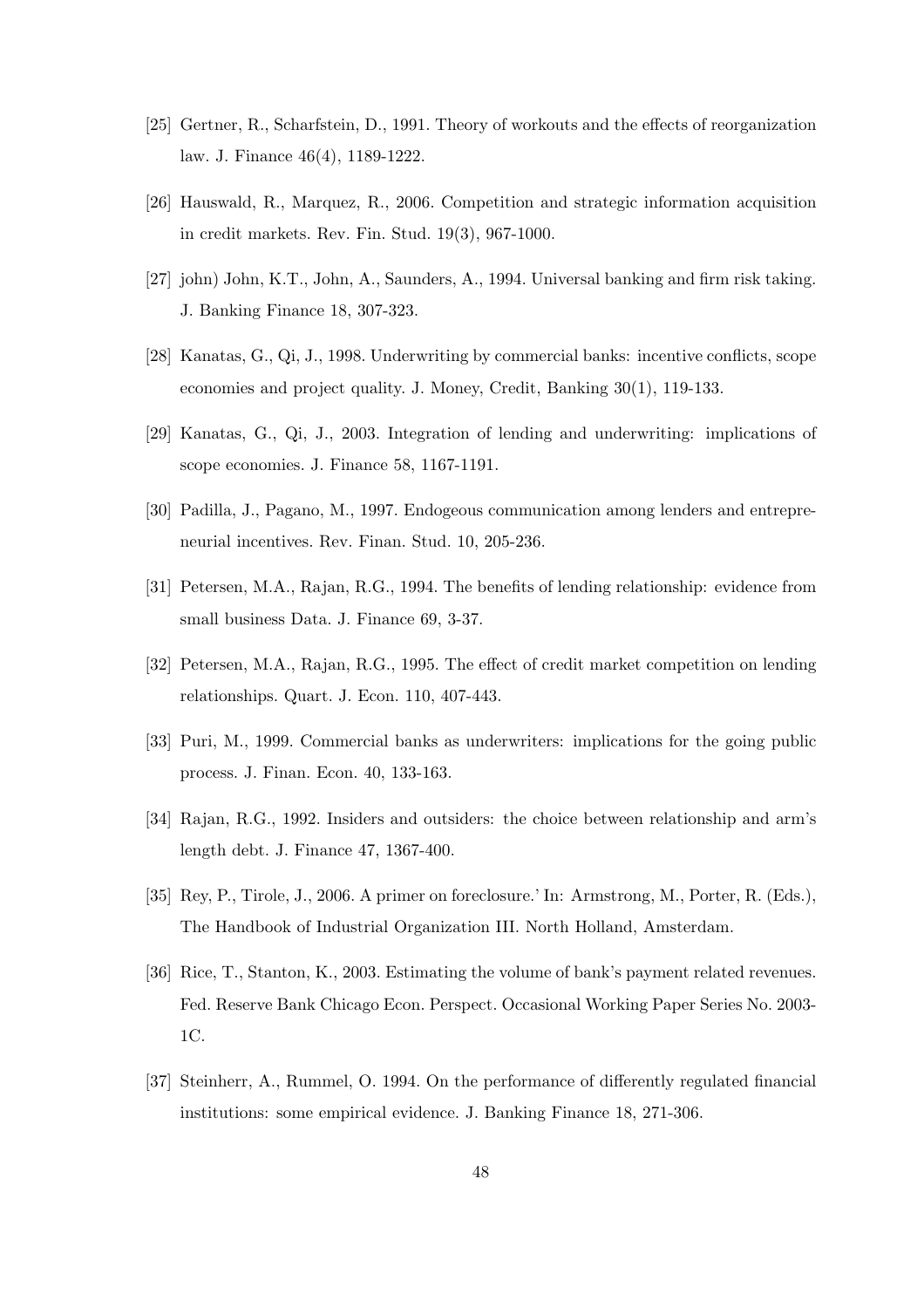- [25] Gertner, R., Scharfstein, D., 1991. Theory of workouts and the effects of reorganization law. J. Finance 46(4), 1189-1222.
- [26] Hauswald, R., Marquez, R., 2006. Competition and strategic information acquisition in credit markets. Rev. Fin. Stud. 19(3), 967-1000.
- [27] john) John, K.T., John, A., Saunders, A., 1994. Universal banking and firm risk taking. J. Banking Finance 18, 307-323.
- [28] Kanatas, G., Qi, J., 1998. Underwriting by commercial banks: incentive conflicts, scope economies and project quality. J. Money, Credit, Banking 30(1), 119-133.
- [29] Kanatas, G., Qi, J., 2003. Integration of lending and underwriting: implications of scope economies. J. Finance 58, 1167-1191.
- [30] Padilla, J., Pagano, M., 1997. Endogeous communication among lenders and entrepreneurial incentives. Rev. Finan. Stud. 10, 205-236.
- [31] Petersen, M.A., Rajan, R.G., 1994. The benefits of lending relationship: evidence from small business Data. J. Finance 69, 3-37.
- [32] Petersen, M.A., Rajan, R.G., 1995. The effect of credit market competition on lending relationships. Quart. J. Econ. 110, 407-443.
- [33] Puri, M., 1999. Commercial banks as underwriters: implications for the going public process. J. Finan. Econ. 40, 133-163.
- [34] Rajan, R.G., 1992. Insiders and outsiders: the choice between relationship and arm's length debt. J. Finance 47, 1367-400.
- [35] Rey, P., Tirole, J., 2006. A primer on foreclosure.' In: Armstrong, M., Porter, R. (Eds.), The Handbook of Industrial Organization III. North Holland, Amsterdam.
- [36] Rice, T., Stanton, K., 2003. Estimating the volume of bank's payment related revenues. Fed. Reserve Bank Chicago Econ. Perspect. Occasional Working Paper Series No. 2003- 1C.
- [37] Steinherr, A., Rummel, O. 1994. On the performance of differently regulated financial institutions: some empirical evidence. J. Banking Finance 18, 271-306.